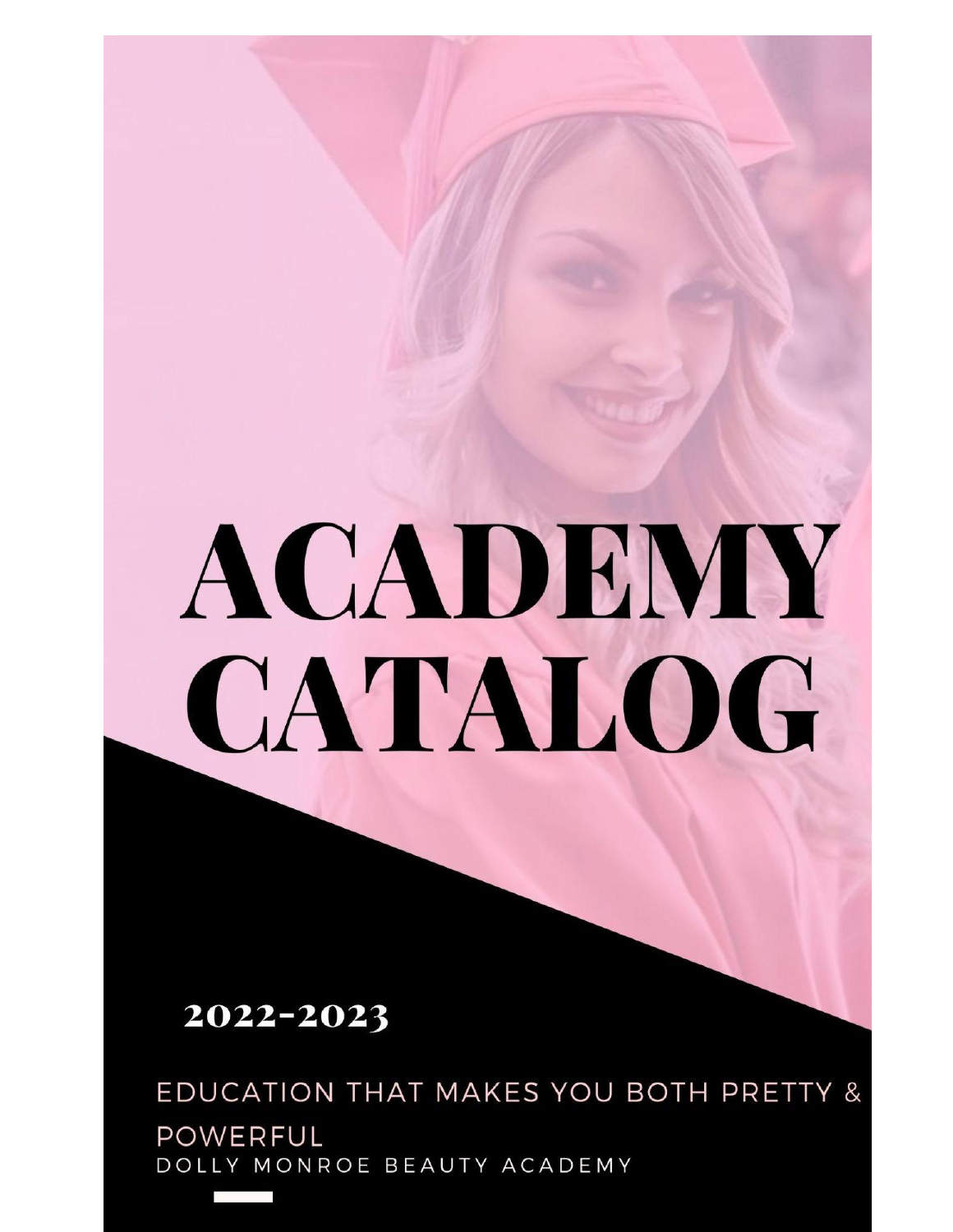# ACADEMY CATALOG

2022-2023

EDUCATION THAT MAKES YOU BOTH PRETTY & **POWERFUL** DOLLY MONROE BEAUTY ACADEMY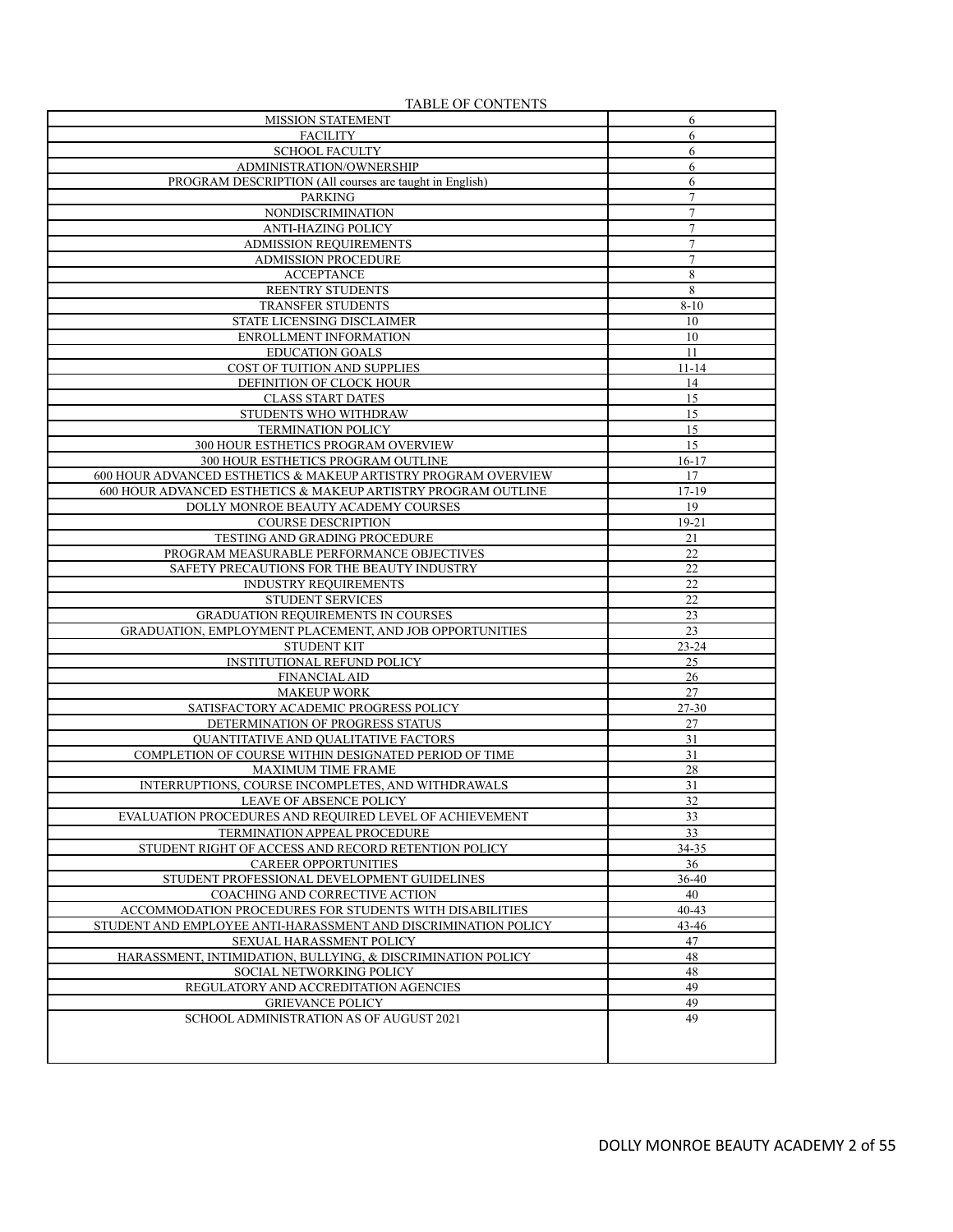| MISSION STATEMENT                                              | 6         |
|----------------------------------------------------------------|-----------|
| <b>FACILITY</b>                                                | 6         |
| <b>SCHOOL FACULTY</b>                                          | 6         |
| ADMINISTRATION/OWNERSHIP                                       | 6         |
|                                                                |           |
| PROGRAM DESCRIPTION (All courses are taught in English)        | 6         |
| <b>PARKING</b>                                                 | $\tau$    |
| <b>NONDISCRIMINATION</b>                                       | $\tau$    |
| <b>ANTI-HAZING POLICY</b>                                      | $\tau$    |
| ADMISSION REQUIREMENTS                                         | $\tau$    |
| <b>ADMISSION PROCEDURE</b>                                     | $\tau$    |
| <b>ACCEPTANCE</b>                                              | 8         |
| <b>REENTRY STUDENTS</b>                                        | 8         |
| TRANSFER STUDENTS                                              | $8 - 10$  |
| STATE LICENSING DISCLAIMER                                     | 10        |
|                                                                |           |
| <b>ENROLLMENT INFORMATION</b>                                  | 10        |
| <b>EDUCATION GOALS</b>                                         | 11        |
| COST OF TUITION AND SUPPLIES                                   | $11 - 14$ |
| DEFINITION OF CLOCK HOUR                                       | 14        |
| <b>CLASS START DATES</b>                                       | 15        |
| STUDENTS WHO WITHDRAW                                          | 15        |
| <b>TERMINATION POLICY</b>                                      | 15        |
| 300 HOUR ESTHETICS PROGRAM OVERVIEW                            | 15        |
|                                                                | $16-17$   |
| 300 HOUR ESTHETICS PROGRAM OUTLINE                             |           |
| 600 HOUR ADVANCED ESTHETICS & MAKEUP ARTISTRY PROGRAM OVERVIEW | 17        |
| 600 HOUR ADVANCED ESTHETICS & MAKEUP ARTISTRY PROGRAM OUTLINE  | 17-19     |
| DOLLY MONROE BEAUTY ACADEMY COURSES                            | 19        |
| <b>COURSE DESCRIPTION</b>                                      | $19 - 21$ |
| TESTING AND GRADING PROCEDURE                                  | 21        |
| PROGRAM MEASURABLE PERFORMANCE OBJECTIVES                      | 22        |
| SAFETY PRECAUTIONS FOR THE BEAUTY INDUSTRY                     | 22        |
| <b>INDUSTRY REQUIREMENTS</b>                                   | 22        |
| STUDENT SERVICES                                               | 22        |
|                                                                |           |
| <b>GRADUATION REQUIREMENTS IN COURSES</b>                      | 23        |
| GRADUATION, EMPLOYMENT PLACEMENT, AND JOB OPPORTUNITIES        | 23        |
| <b>STUDENT KIT</b>                                             | 23-24     |
| INSTITUTIONAL REFUND POLICY                                    | 25        |
| <b>FINANCIAL AID</b>                                           | 26        |
| <b>MAKEUP WORK</b>                                             | 27        |
| SATISFACTORY ACADEMIC PROGRESS POLICY                          | 27-30     |
| DETERMINATION OF PROGRESS STATUS                               | 27        |
| QUANTITATIVE AND QUALITATIVE FACTORS                           | 31        |
| COMPLETION OF COURSE WITHIN DESIGNATED PERIOD OF TIME          |           |
|                                                                | 31        |
| <b>MAXIMUM TIME FRAME</b>                                      | 28        |
| INTERRUPTIONS, COURSE INCOMPLETES, AND WITHDRAWALS             | 31        |
| LEAVE OF ABSENCE POLICY                                        | 32        |
| EVALUATION PROCEDURES AND REQUIRED LEVEL OF ACHIEVEMENT        | 33        |
| TERMINATION APPEAL PROCEDURE                                   | 33        |
| STUDENT RIGHT OF ACCESS AND RECORD RETENTION POLICY            | 34-35     |
| <b>CAREER OPPORTUNITIES</b>                                    | 36        |
| STUDENT PROFESSIONAL DEVELOPMENT GUIDELINES                    | 36-40     |
| COACHING AND CORRECTIVE ACTION                                 | 40        |
|                                                                |           |
| ACCOMMODATION PROCEDURES FOR STUDENTS WITH DISABILITIES        | $40 - 43$ |
| STUDENT AND EMPLOYEE ANTI-HARASSMENT AND DISCRIMINATION POLICY | $43 - 46$ |
| SEXUAL HARASSMENT POLICY                                       | 47        |
| HARASSMENT, INTIMIDATION, BULLYING, & DISCRIMINATION POLICY    | 48        |
| SOCIAL NETWORKING POLICY                                       | 48        |
| REGULATORY AND ACCREDITATION AGENCIES                          | 49        |
| <b>GRIEVANCE POLICY</b>                                        | 49        |
| SCHOOL ADMINISTRATION AS OF AUGUST 2021                        | 49        |
|                                                                |           |
|                                                                |           |
|                                                                |           |

# TABLE OF CONTENTS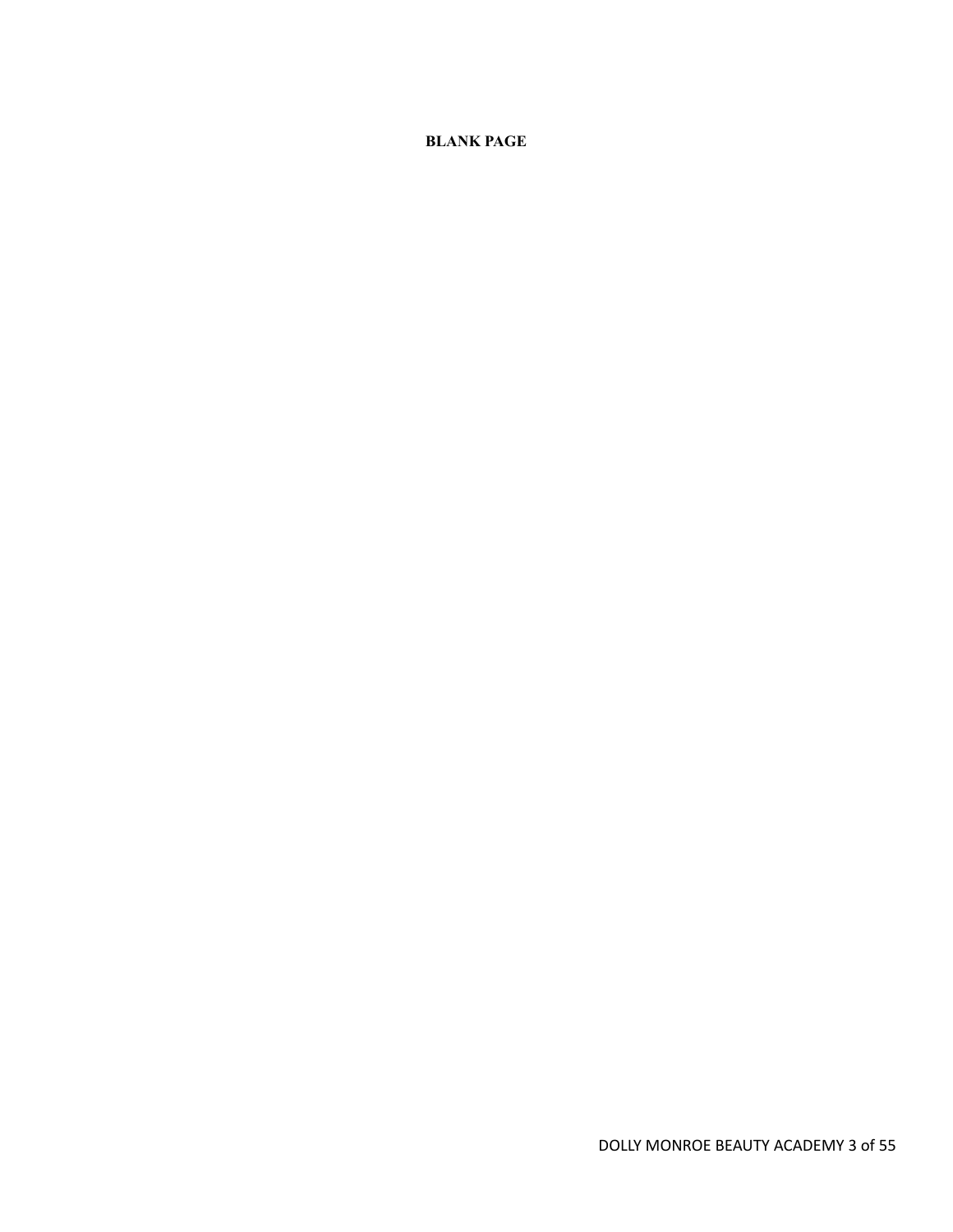# **BLANK PAGE**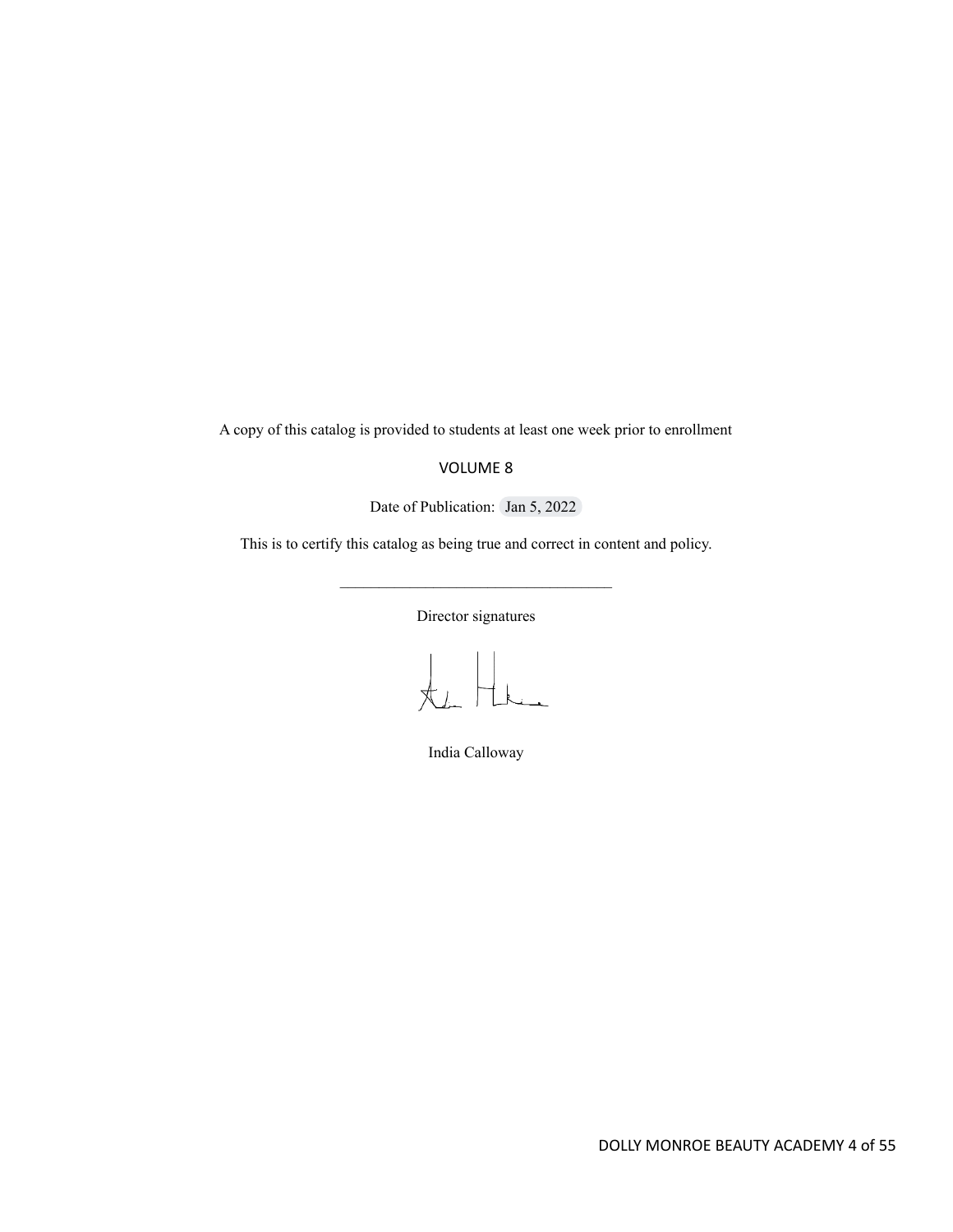A copy of this catalog is provided to students at least one week prior to enrollment

# VOLUME 8

Date of Publication: Jan 5, 2022

This is to certify this catalog as being true and correct in content and policy.

Director signatures

 $\overline{a}$  $\frac{1}{\lambda}$ 

India Calloway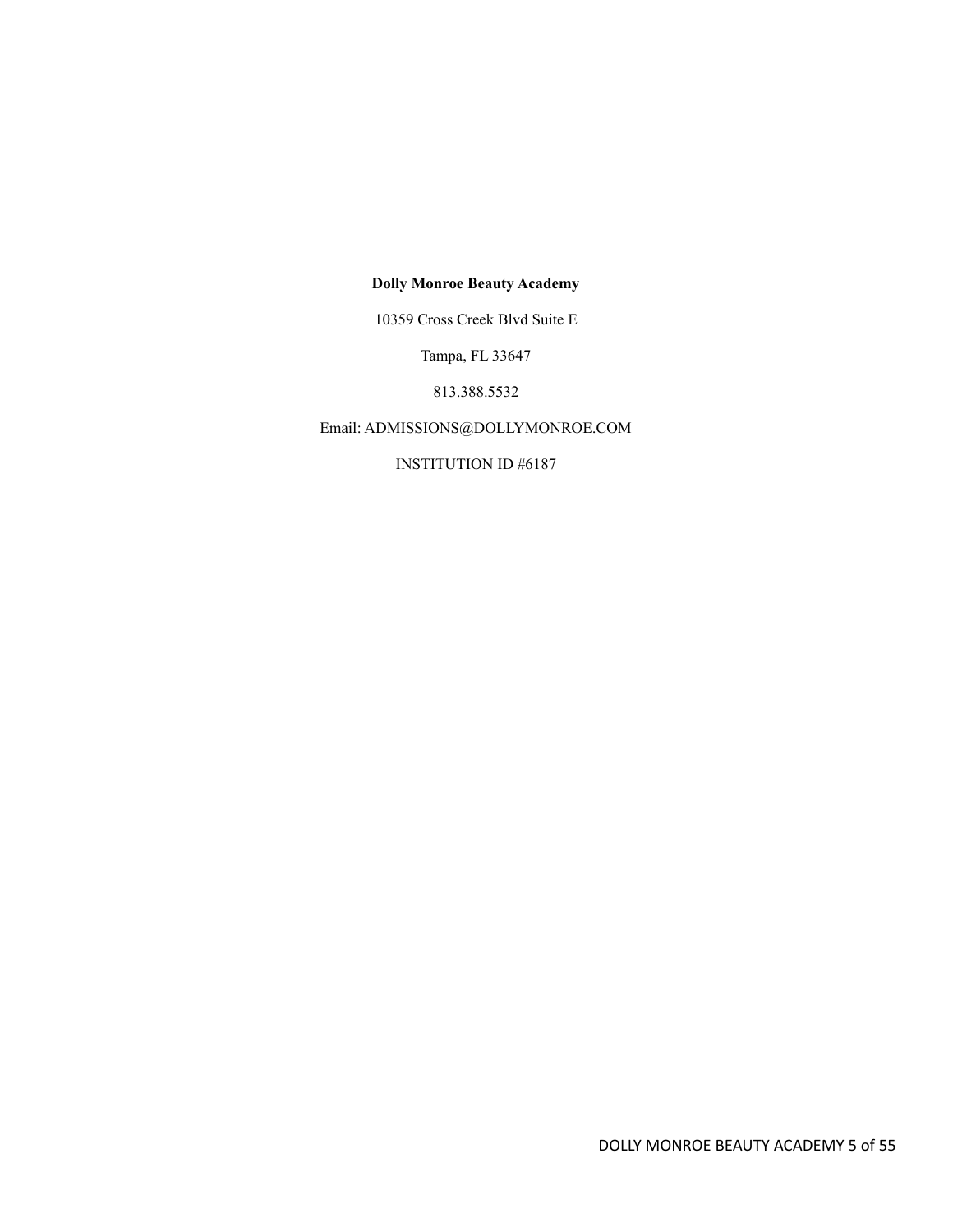# **Dolly Monroe Beauty Academy**

10359 Cross Creek Blvd Suite E

Tampa, FL 33647

813.388.5532

Email: ADMISSIONS@DOLLYMONROE.COM

INSTITUTION ID #6187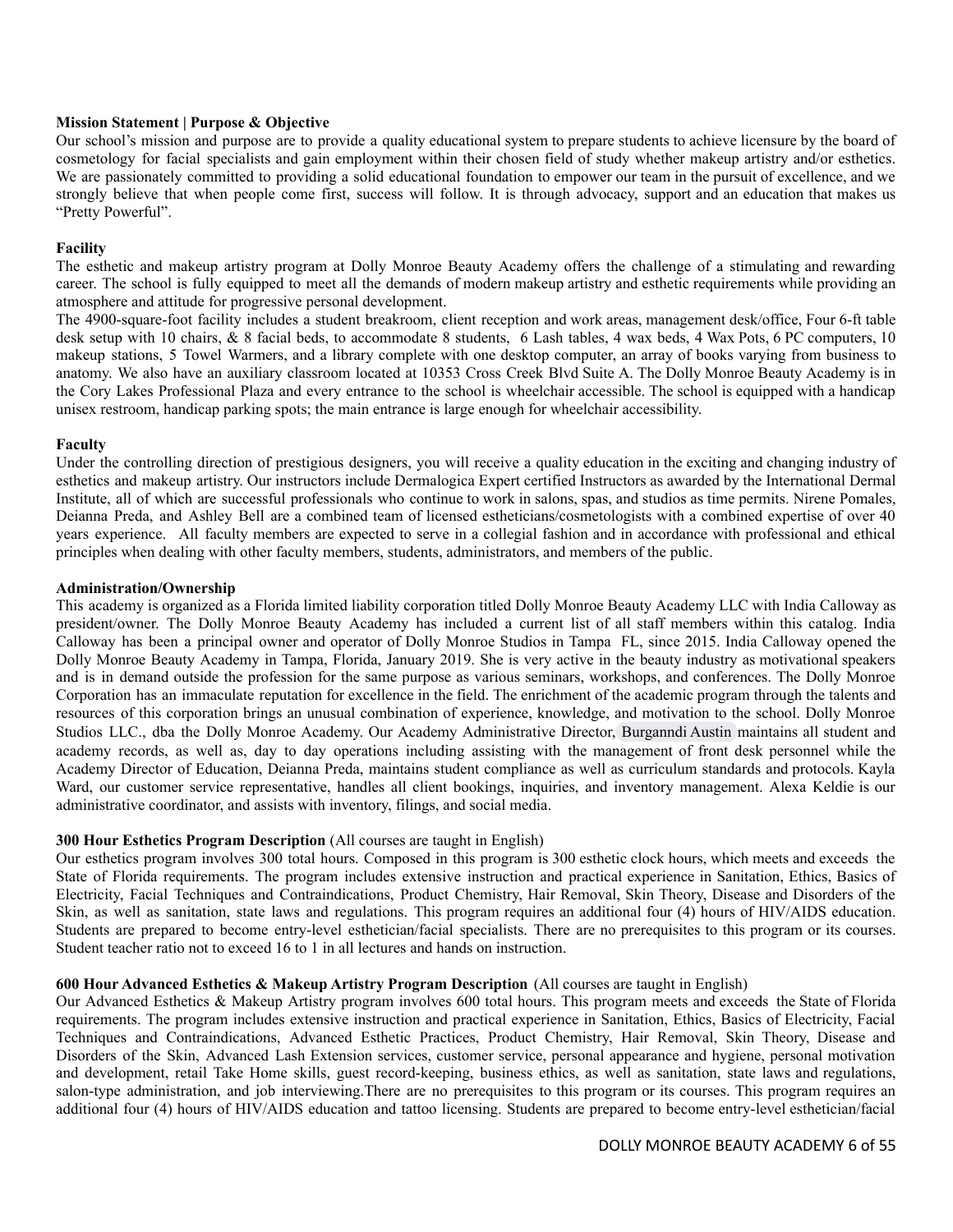# **Mission Statement | Purpose & Objective**

Our school's mission and purpose are to provide a quality educational system to prepare students to achieve licensure by the board of cosmetology for facial specialists and gain employment within their chosen field of study whether makeup artistry and/or esthetics. We are passionately committed to providing a solid educational foundation to empower our team in the pursuit of excellence, and we strongly believe that when people come first, success will follow. It is through advocacy, support and an education that makes us "Pretty Powerful".

#### **Facility**

The esthetic and makeup artistry program at Dolly Monroe Beauty Academy offers the challenge of a stimulating and rewarding career. The school is fully equipped to meet all the demands of modern makeup artistry and esthetic requirements while providing an atmosphere and attitude for progressive personal development.

The 4900-square-foot facility includes a student breakroom, client reception and work areas, management desk/office, Four 6-ft table desk setup with 10 chairs, & 8 facial beds, to accommodate 8 students, 6 Lash tables, 4 wax beds, 4 Wax Pots, 6 PC computers, 10 makeup stations, 5 Towel Warmers, and a library complete with one desktop computer, an array of books varying from business to anatomy. We also have an auxiliary classroom located at 10353 Cross Creek Blvd Suite A. The Dolly Monroe Beauty Academy is in the Cory Lakes Professional Plaza and every entrance to the school is wheelchair accessible. The school is equipped with a handicap unisex restroom, handicap parking spots; the main entrance is large enough for wheelchair accessibility.

# **Faculty**

Under the controlling direction of prestigious designers, you will receive a quality education in the exciting and changing industry of esthetics and makeup artistry. Our instructors include Dermalogica Expert certified Instructors as awarded by the International Dermal Institute, all of which are successful professionals who continue to work in salons, spas, and studios as time permits. Nirene Pomales, Deianna Preda, and Ashley Bell are a combined team of licensed estheticians/cosmetologists with a combined expertise of over 40 years experience. All faculty members are expected to serve in a collegial fashion and in accordance with professional and ethical principles when dealing with other faculty members, students, administrators, and members of the public.

#### **Administration/Ownership**

This academy is organized as a Florida limited liability corporation titled Dolly Monroe Beauty Academy LLC with India Calloway as president/owner. The Dolly Monroe Beauty Academy has included a current list of all staff members within this catalog. India Calloway has been a principal owner and operator of Dolly Monroe Studios in Tampa FL, since 2015. India Calloway opened the Dolly Monroe Beauty Academy in Tampa, Florida, January 2019. She is very active in the beauty industry as motivational speakers and is in demand outside the profession for the same purpose as various seminars, workshops, and conferences. The Dolly Monroe Corporation has an immaculate reputation for excellence in the field. The enrichment of the academic program through the talents and resources of this corporation brings an unusual combination of experience, knowledge, and motivation to the school. Dolly Monroe Studios LLC., dba the Dolly Monroe Academy. Our Academy Administrative Director, [Burganndi](mailto:burganndi.austin@dollymonroe.com) Austin maintains all student and academy records, as well as, day to day operations including assisting with the management of front desk personnel while the Academy Director of Education, Deianna Preda, maintains student compliance as well as curriculum standards and protocols. Kayla Ward, our customer service representative, handles all client bookings, inquiries, and inventory management. Alexa Keldie is our administrative coordinator, and assists with inventory, filings, and social media.

# **300 Hour Esthetics Program Description** (All courses are taught in English)

Our esthetics program involves 300 total hours. Composed in this program is 300 esthetic clock hours, which meets and exceeds the State of Florida requirements. The program includes extensive instruction and practical experience in Sanitation, Ethics, Basics of Electricity, Facial Techniques and Contraindications, Product Chemistry, Hair Removal, Skin Theory, Disease and Disorders of the Skin, as well as sanitation, state laws and regulations. This program requires an additional four (4) hours of HIV/AIDS education. Students are prepared to become entry-level esthetician/facial specialists. There are no prerequisites to this program or its courses. Student teacher ratio not to exceed 16 to 1 in all lectures and hands on instruction.

# **600 Hour Advanced Esthetics & Makeup Artistry Program Description** (All courses are taught in English)

Our Advanced Esthetics & Makeup Artistry program involves 600 total hours. This program meets and exceeds the State of Florida requirements. The program includes extensive instruction and practical experience in Sanitation, Ethics, Basics of Electricity, Facial Techniques and Contraindications, Advanced Esthetic Practices, Product Chemistry, Hair Removal, Skin Theory, Disease and Disorders of the Skin, Advanced Lash Extension services, customer service, personal appearance and hygiene, personal motivation and development, retail Take Home skills, guest record-keeping, business ethics, as well as sanitation, state laws and regulations, salon-type administration, and job interviewing.There are no prerequisites to this program or its courses. This program requires an additional four (4) hours of HIV/AIDS education and tattoo licensing. Students are prepared to become entry-level esthetician/facial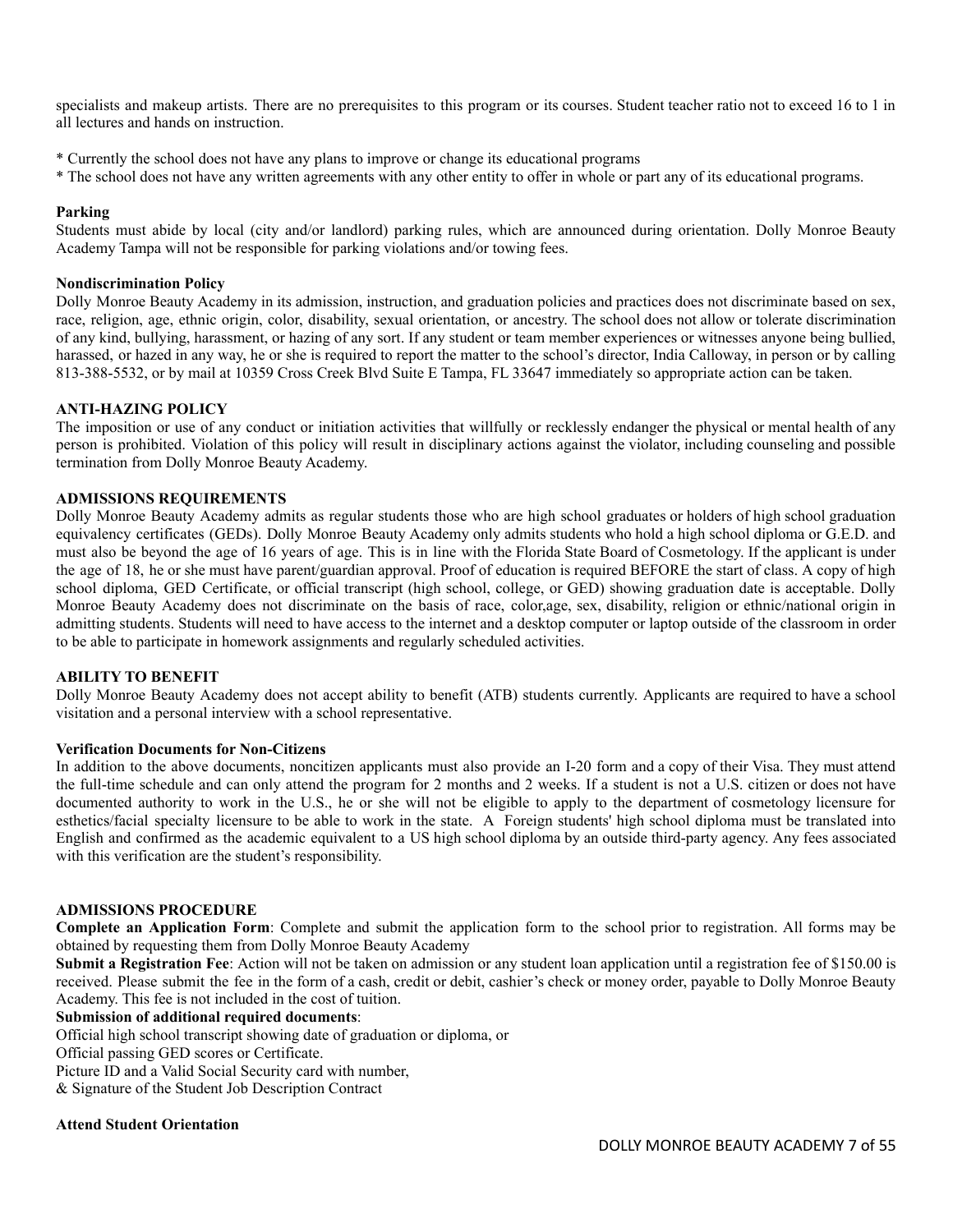specialists and makeup artists. There are no prerequisites to this program or its courses. Student teacher ratio not to exceed 16 to 1 in all lectures and hands on instruction.

\* Currently the school does not have any plans to improve or change its educational programs

\* The school does not have any written agreements with any other entity to offer in whole or part any of its educational programs.

## **Parking**

Students must abide by local (city and/or landlord) parking rules, which are announced during orientation. Dolly Monroe Beauty Academy Tampa will not be responsible for parking violations and/or towing fees.

# **Nondiscrimination Policy**

Dolly Monroe Beauty Academy in its admission, instruction, and graduation policies and practices does not discriminate based on sex, race, religion, age, ethnic origin, color, disability, sexual orientation, or ancestry. The school does not allow or tolerate discrimination of any kind, bullying, harassment, or hazing of any sort. If any student or team member experiences or witnesses anyone being bullied, harassed, or hazed in any way, he or she is required to report the matter to the school's director, India Calloway, in person or by calling 813-388-5532, or by mail at 10359 Cross Creek Blvd Suite E Tampa, FL 33647 immediately so appropriate action can be taken.

#### **ANTI-HAZING POLICY**

The imposition or use of any conduct or initiation activities that willfully or recklessly endanger the physical or mental health of any person is prohibited. Violation of this policy will result in disciplinary actions against the violator, including counseling and possible termination from Dolly Monroe Beauty Academy.

# **ADMISSIONS REQUIREMENTS**

Dolly Monroe Beauty Academy admits as regular students those who are high school graduates or holders of high school graduation equivalency certificates (GEDs). Dolly Monroe Beauty Academy only admits students who hold a high school diploma or G.E.D. and must also be beyond the age of 16 years of age. This is in line with the Florida State Board of Cosmetology. If the applicant is under the age of 18, he or she must have parent/guardian approval. Proof of education is required BEFORE the start of class. A copy of high school diploma, GED Certificate, or official transcript (high school, college, or GED) showing graduation date is acceptable. Dolly Monroe Beauty Academy does not discriminate on the basis of race, color,age, sex, disability, religion or ethnic/national origin in admitting students. Students will need to have access to the internet and a desktop computer or laptop outside of the classroom in order to be able to participate in homework assignments and regularly scheduled activities.

#### **ABILITY TO BENEFIT**

Dolly Monroe Beauty Academy does not accept ability to benefit (ATB) students currently. Applicants are required to have a school visitation and a personal interview with a school representative.

#### **Verification Documents for Non-Citizens**

In addition to the above documents, noncitizen applicants must also provide an I-20 form and a copy of their Visa. They must attend the full-time schedule and can only attend the program for 2 months and 2 weeks. If a student is not a U.S. citizen or does not have documented authority to work in the U.S., he or she will not be eligible to apply to the department of cosmetology licensure for esthetics/facial specialty licensure to be able to work in the state. A Foreign students' high school diploma must be translated into English and confirmed as the academic equivalent to a US high school diploma by an outside third-party agency. Any fees associated with this verification are the student's responsibility.

## **ADMISSIONS PROCEDURE**

**Complete an Application Form**: Complete and submit the application form to the school prior to registration. All forms may be obtained by requesting them from Dolly Monroe Beauty Academy

**Submit a Registration Fee**: Action will not be taken on admission or any student loan application until a registration fee of \$150.00 is received. Please submit the fee in the form of a cash, credit or debit, cashier's check or money order, payable to Dolly Monroe Beauty Academy. This fee is not included in the cost of tuition.

#### **Submission of additional required documents**:

Official high school transcript showing date of graduation or diploma, or

Official passing GED scores or Certificate.

Picture ID and a Valid Social Security card with number,

& Signature of the Student Job Description Contract

#### **Attend Student Orientation**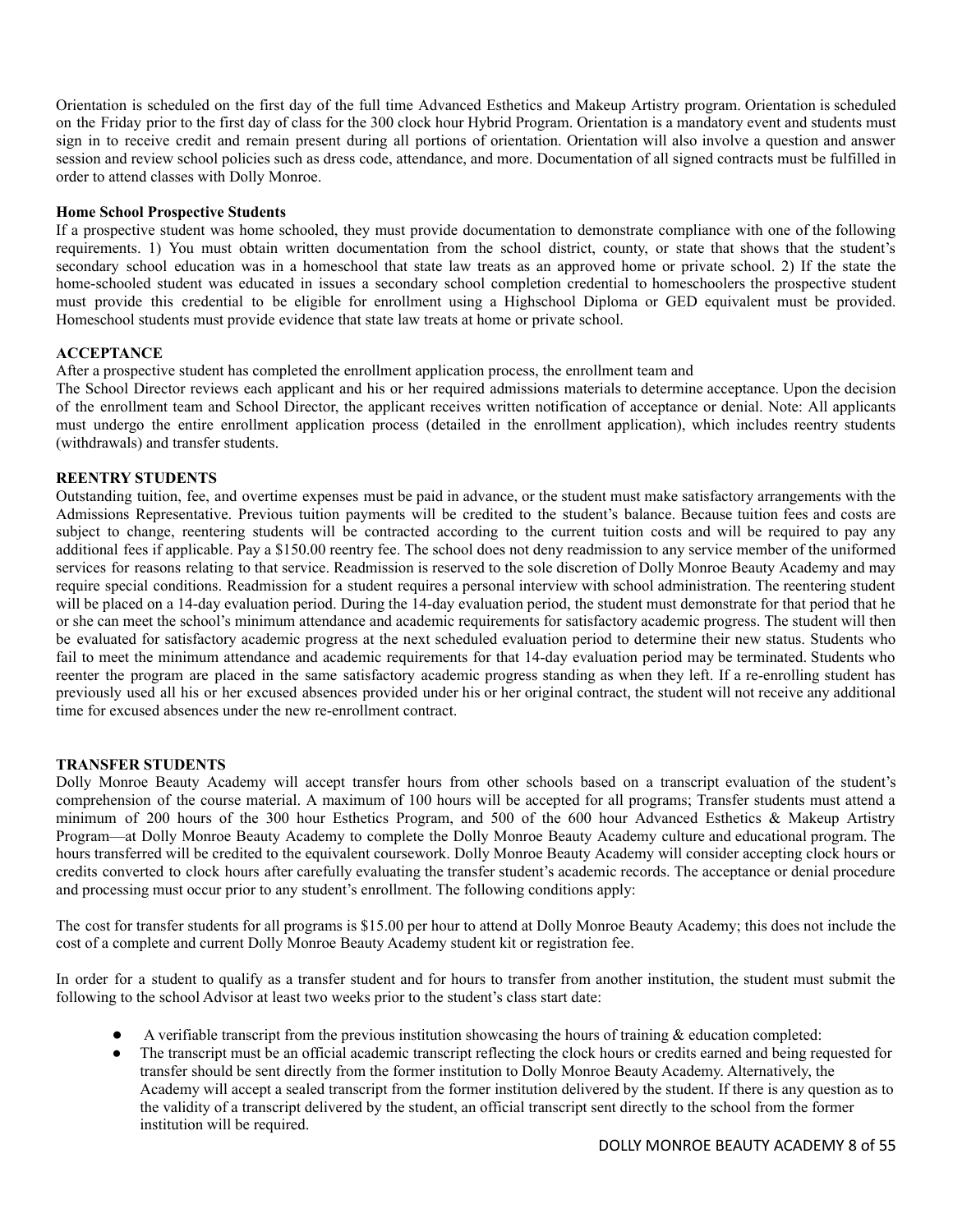Orientation is scheduled on the first day of the full time Advanced Esthetics and Makeup Artistry program. Orientation is scheduled on the Friday prior to the first day of class for the 300 clock hour Hybrid Program. Orientation is a mandatory event and students must sign in to receive credit and remain present during all portions of orientation. Orientation will also involve a question and answer session and review school policies such as dress code, attendance, and more. Documentation of all signed contracts must be fulfilled in order to attend classes with Dolly Monroe.

## **Home School Prospective Students**

If a prospective student was home schooled, they must provide documentation to demonstrate compliance with one of the following requirements. 1) You must obtain written documentation from the school district, county, or state that shows that the student's secondary school education was in a homeschool that state law treats as an approved home or private school. 2) If the state the home-schooled student was educated in issues a secondary school completion credential to homeschoolers the prospective student must provide this credential to be eligible for enrollment using a Highschool Diploma or GED equivalent must be provided. Homeschool students must provide evidence that state law treats at home or private school.

# **ACCEPTANCE**

After a prospective student has completed the enrollment application process, the enrollment team and

The School Director reviews each applicant and his or her required admissions materials to determine acceptance. Upon the decision of the enrollment team and School Director, the applicant receives written notification of acceptance or denial. Note: All applicants must undergo the entire enrollment application process (detailed in the enrollment application), which includes reentry students (withdrawals) and transfer students.

# **REENTRY STUDENTS**

Outstanding tuition, fee, and overtime expenses must be paid in advance, or the student must make satisfactory arrangements with the Admissions Representative. Previous tuition payments will be credited to the student's balance. Because tuition fees and costs are subject to change, reentering students will be contracted according to the current tuition costs and will be required to pay any additional fees if applicable. Pay a \$150.00 reentry fee. The school does not deny readmission to any service member of the uniformed services for reasons relating to that service. Readmission is reserved to the sole discretion of Dolly Monroe Beauty Academy and may require special conditions. Readmission for a student requires a personal interview with school administration. The reentering student will be placed on a 14-day evaluation period. During the 14-day evaluation period, the student must demonstrate for that period that he or she can meet the school's minimum attendance and academic requirements for satisfactory academic progress. The student will then be evaluated for satisfactory academic progress at the next scheduled evaluation period to determine their new status. Students who fail to meet the minimum attendance and academic requirements for that 14-day evaluation period may be terminated. Students who reenter the program are placed in the same satisfactory academic progress standing as when they left. If a re-enrolling student has previously used all his or her excused absences provided under his or her original contract, the student will not receive any additional time for excused absences under the new re-enrollment contract.

# **TRANSFER STUDENTS**

Dolly Monroe Beauty Academy will accept transfer hours from other schools based on a transcript evaluation of the student's comprehension of the course material. A maximum of 100 hours will be accepted for all programs; Transfer students must attend a minimum of 200 hours of the 300 hour Esthetics Program, and 500 of the 600 hour Advanced Esthetics & Makeup Artistry Program—at Dolly Monroe Beauty Academy to complete the Dolly Monroe Beauty Academy culture and educational program. The hours transferred will be credited to the equivalent coursework. Dolly Monroe Beauty Academy will consider accepting clock hours or credits converted to clock hours after carefully evaluating the transfer student's academic records. The acceptance or denial procedure and processing must occur prior to any student's enrollment. The following conditions apply:

The cost for transfer students for all programs is \$15.00 per hour to attend at Dolly Monroe Beauty Academy; this does not include the cost of a complete and current Dolly Monroe Beauty Academy student kit or registration fee.

In order for a student to qualify as a transfer student and for hours to transfer from another institution, the student must submit the following to the school Advisor at least two weeks prior to the student's class start date:

- A verifiable transcript from the previous institution showcasing the hours of training  $\&$  education completed:
- The transcript must be an official academic transcript reflecting the clock hours or credits earned and being requested for transfer should be sent directly from the former institution to Dolly Monroe Beauty Academy. Alternatively, the Academy will accept a sealed transcript from the former institution delivered by the student. If there is any question as to the validity of a transcript delivered by the student, an official transcript sent directly to the school from the former institution will be required.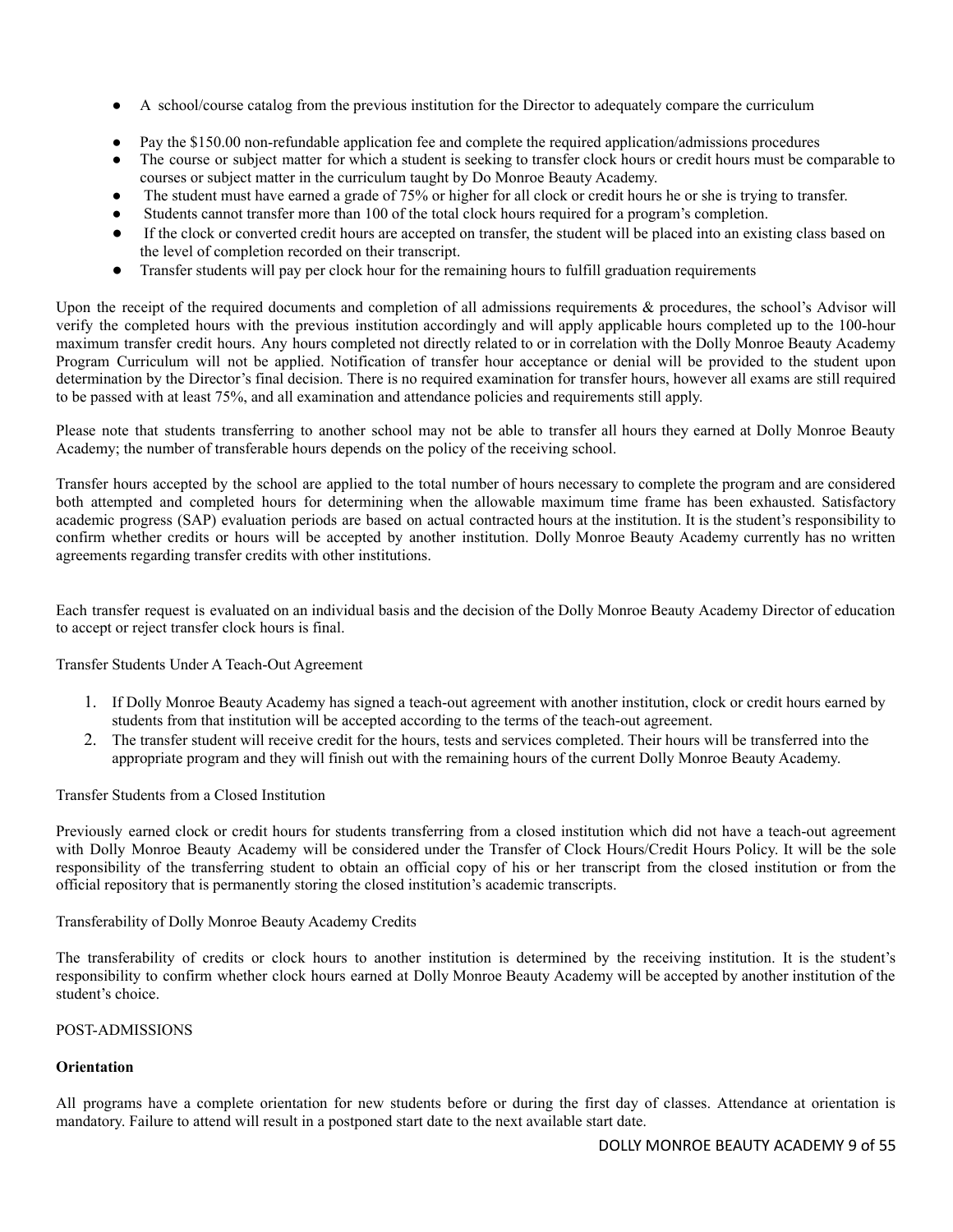- A school/course catalog from the previous institution for the Director to adequately compare the curriculum
- Pay the \$150.00 non-refundable application fee and complete the required application/admissions procedures
- The course or subject matter for which a student is seeking to transfer clock hours or credit hours must be comparable to courses or subject matter in the curriculum taught by Do Monroe Beauty Academy.
- The student must have earned a grade of 75% or higher for all clock or credit hours he or she is trying to transfer.
- Students cannot transfer more than 100 of the total clock hours required for a program's completion.
- If the clock or converted credit hours are accepted on transfer, the student will be placed into an existing class based on the level of completion recorded on their transcript.
- Transfer students will pay per clock hour for the remaining hours to fulfill graduation requirements

Upon the receipt of the required documents and completion of all admissions requirements & procedures, the school's Advisor will verify the completed hours with the previous institution accordingly and will apply applicable hours completed up to the 100-hour maximum transfer credit hours. Any hours completed not directly related to or in correlation with the Dolly Monroe Beauty Academy Program Curriculum will not be applied. Notification of transfer hour acceptance or denial will be provided to the student upon determination by the Director's final decision. There is no required examination for transfer hours, however all exams are still required to be passed with at least 75%, and all examination and attendance policies and requirements still apply.

Please note that students transferring to another school may not be able to transfer all hours they earned at Dolly Monroe Beauty Academy; the number of transferable hours depends on the policy of the receiving school.

Transfer hours accepted by the school are applied to the total number of hours necessary to complete the program and are considered both attempted and completed hours for determining when the allowable maximum time frame has been exhausted. Satisfactory academic progress (SAP) evaluation periods are based on actual contracted hours at the institution. It is the student's responsibility to confirm whether credits or hours will be accepted by another institution. Dolly Monroe Beauty Academy currently has no written agreements regarding transfer credits with other institutions.

Each transfer request is evaluated on an individual basis and the decision of the Dolly Monroe Beauty Academy Director of education to accept or reject transfer clock hours is final.

Transfer Students Under A Teach-Out Agreement

- 1. If Dolly Monroe Beauty Academy has signed a teach-out agreement with another institution, clock or credit hours earned by students from that institution will be accepted according to the terms of the teach-out agreement.
- 2. The transfer student will receive credit for the hours, tests and services completed. Their hours will be transferred into the appropriate program and they will finish out with the remaining hours of the current Dolly Monroe Beauty Academy.

Transfer Students from a Closed Institution

Previously earned clock or credit hours for students transferring from a closed institution which did not have a teach-out agreement with Dolly Monroe Beauty Academy will be considered under the Transfer of Clock Hours/Credit Hours Policy. It will be the sole responsibility of the transferring student to obtain an official copy of his or her transcript from the closed institution or from the official repository that is permanently storing the closed institution's academic transcripts.

Transferability of Dolly Monroe Beauty Academy Credits

The transferability of credits or clock hours to another institution is determined by the receiving institution. It is the student's responsibility to confirm whether clock hours earned at Dolly Monroe Beauty Academy will be accepted by another institution of the student's choice.

#### POST-ADMISSIONS

# **Orientation**

All programs have a complete orientation for new students before or during the first day of classes. Attendance at orientation is mandatory. Failure to attend will result in a postponed start date to the next available start date.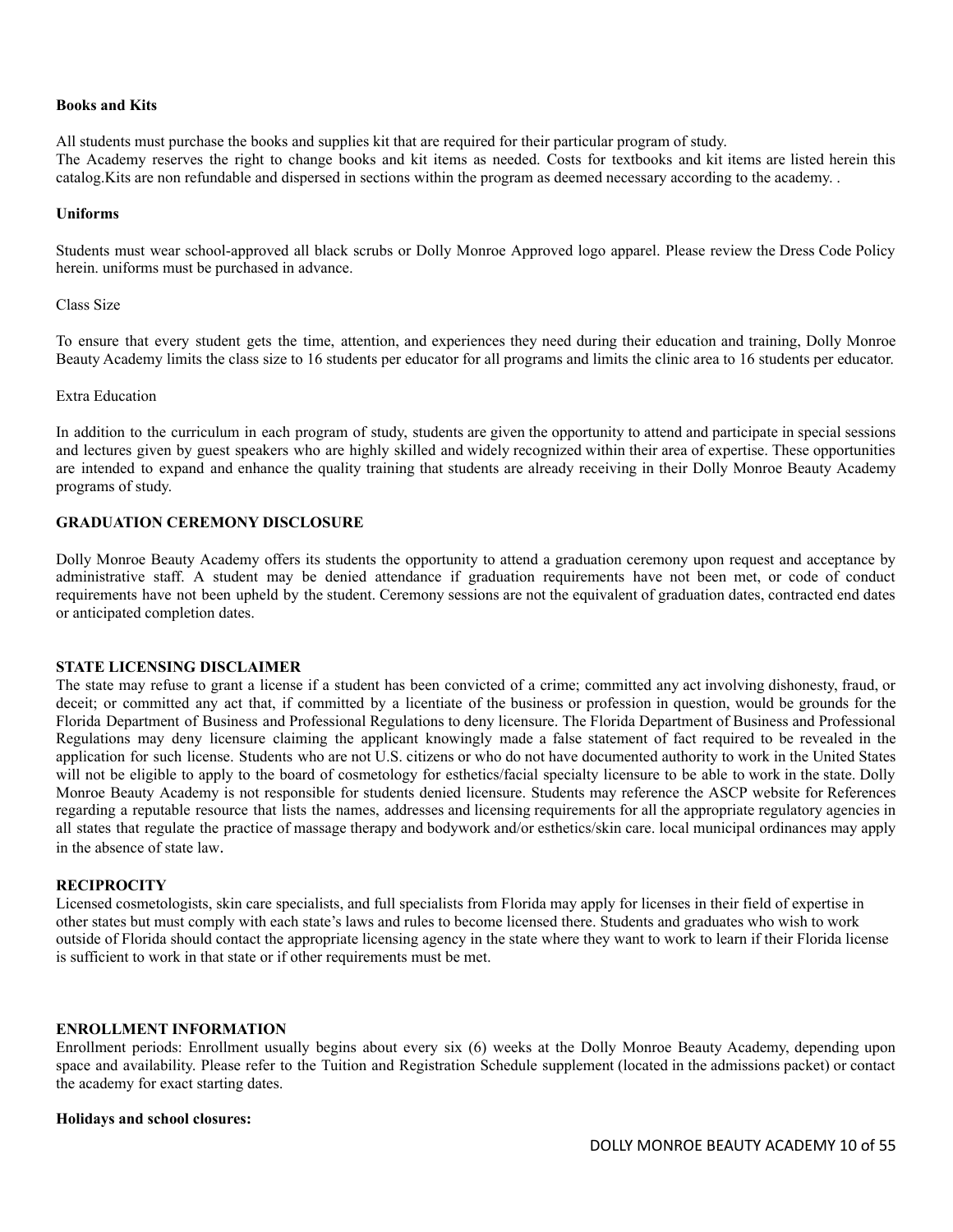# **Books and Kits**

All students must purchase the books and supplies kit that are required for their particular program of study. The Academy reserves the right to change books and kit items as needed. Costs for textbooks and kit items are listed herein this catalog.Kits are non refundable and dispersed in sections within the program as deemed necessary according to the academy. .

#### **Uniforms**

Students must wear school-approved all black scrubs or Dolly Monroe Approved logo apparel. Please review the Dress Code Policy herein. uniforms must be purchased in advance.

#### Class Size

To ensure that every student gets the time, attention, and experiences they need during their education and training, Dolly Monroe Beauty Academy limits the class size to 16 students per educator for all programs and limits the clinic area to 16 students per educator.

#### Extra Education

In addition to the curriculum in each program of study, students are given the opportunity to attend and participate in special sessions and lectures given by guest speakers who are highly skilled and widely recognized within their area of expertise. These opportunities are intended to expand and enhance the quality training that students are already receiving in their Dolly Monroe Beauty Academy programs of study.

# **GRADUATION CEREMONY DISCLOSURE**

Dolly Monroe Beauty Academy offers its students the opportunity to attend a graduation ceremony upon request and acceptance by administrative staff. A student may be denied attendance if graduation requirements have not been met, or code of conduct requirements have not been upheld by the student. Ceremony sessions are not the equivalent of graduation dates, contracted end dates or anticipated completion dates.

#### **STATE LICENSING DISCLAIMER**

The state may refuse to grant a license if a student has been convicted of a crime; committed any act involving dishonesty, fraud, or deceit; or committed any act that, if committed by a licentiate of the business or profession in question, would be grounds for the Florida Department of Business and Professional Regulations to deny licensure. The Florida Department of Business and Professional Regulations may deny licensure claiming the applicant knowingly made a false statement of fact required to be revealed in the application for such license. Students who are not U.S. citizens or who do not have documented authority to work in the United States will not be eligible to apply to the board of cosmetology for esthetics/facial specialty licensure to be able to work in the state. Dolly Monroe Beauty Academy is not responsible for students denied licensure. Students may reference the ASCP website for References regarding a reputable resource that lists the names, addresses and licensing requirements for all the appropriate regulatory agencies in all states that regulate the practice of massage therapy and bodywork and/or esthetics/skin care. local municipal ordinances may apply in the absence of state law.

#### **RECIPROCITY**

Licensed cosmetologists, skin care specialists, and full specialists from Florida may apply for licenses in their field of expertise in other states but must comply with each state's laws and rules to become licensed there. Students and graduates who wish to work outside of Florida should contact the appropriate licensing agency in the state where they want to work to learn if their Florida license is sufficient to work in that state or if other requirements must be met.

#### **ENROLLMENT INFORMATION**

Enrollment periods: Enrollment usually begins about every six (6) weeks at the Dolly Monroe Beauty Academy, depending upon space and availability. Please refer to the Tuition and Registration Schedule supplement (located in the admissions packet) or contact the academy for exact starting dates.

#### **Holidays and school closures:**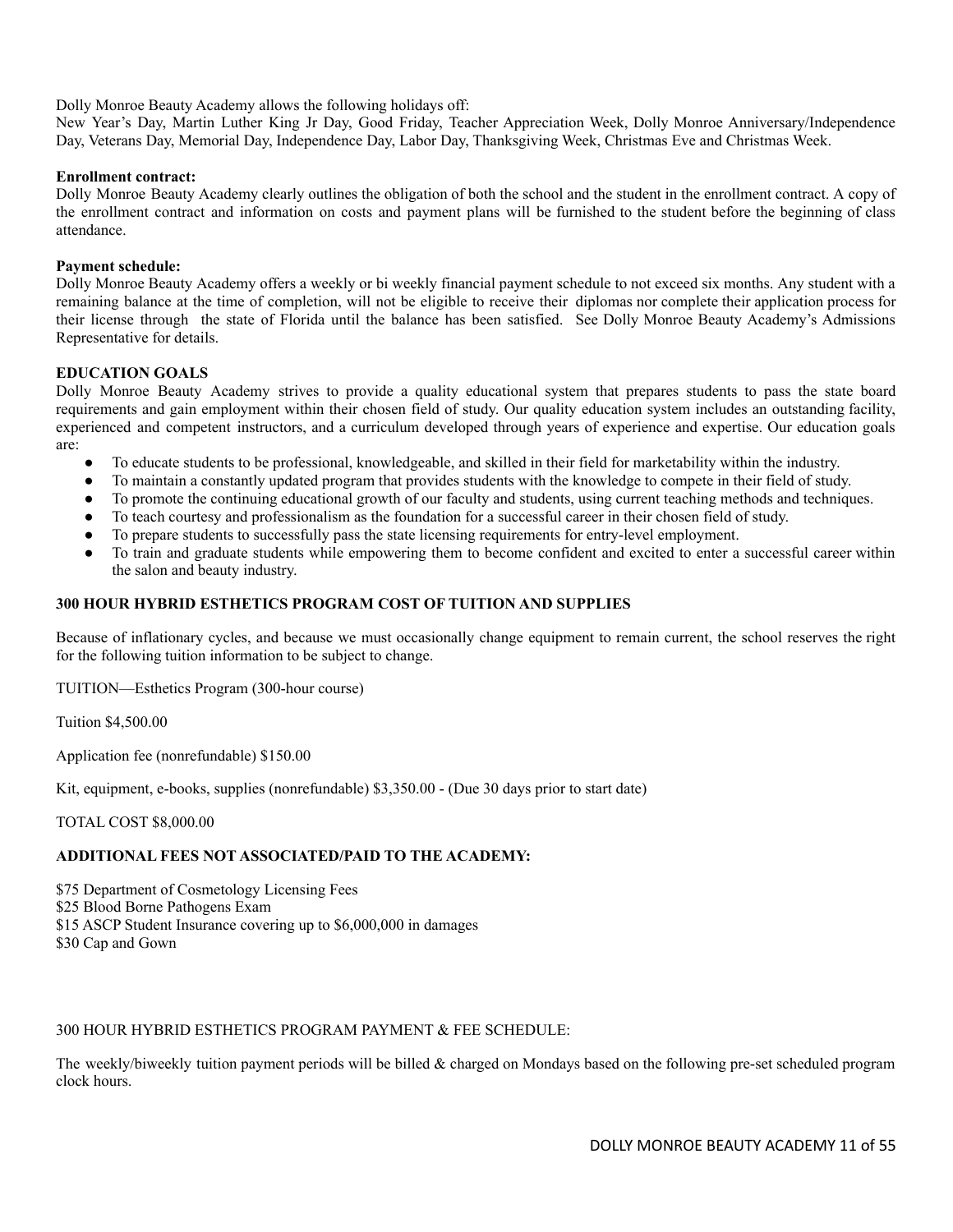Dolly Monroe Beauty Academy allows the following holidays off:

New Year's Day, Martin Luther King Jr Day, Good Friday, Teacher Appreciation Week, Dolly Monroe Anniversary/Independence Day, Veterans Day, Memorial Day, Independence Day, Labor Day, Thanksgiving Week, Christmas Eve and Christmas Week.

## **Enrollment contract:**

Dolly Monroe Beauty Academy clearly outlines the obligation of both the school and the student in the enrollment contract. A copy of the enrollment contract and information on costs and payment plans will be furnished to the student before the beginning of class attendance.

# **Payment schedule:**

Dolly Monroe Beauty Academy offers a weekly or bi weekly financial payment schedule to not exceed six months. Any student with a remaining balance at the time of completion, will not be eligible to receive their diplomas nor complete their application process for their license through the state of Florida until the balance has been satisfied. See Dolly Monroe Beauty Academy's Admissions Representative for details.

# **EDUCATION GOALS**

Dolly Monroe Beauty Academy strives to provide a quality educational system that prepares students to pass the state board requirements and gain employment within their chosen field of study. Our quality education system includes an outstanding facility, experienced and competent instructors, and a curriculum developed through years of experience and expertise. Our education goals are:

- To educate students to be professional, knowledgeable, and skilled in their field for marketability within the industry.
- To maintain a constantly updated program that provides students with the knowledge to compete in their field of study.
- To promote the continuing educational growth of our faculty and students, using current teaching methods and techniques.
- To teach courtesy and professionalism as the foundation for a successful career in their chosen field of study.
- To prepare students to successfully pass the state licensing requirements for entry-level employment.
- To train and graduate students while empowering them to become confident and excited to enter a successful career within the salon and beauty industry.

# **300 HOUR HYBRID ESTHETICS PROGRAM COST OF TUITION AND SUPPLIES**

Because of inflationary cycles, and because we must occasionally change equipment to remain current, the school reserves the right for the following tuition information to be subject to change.

TUITION—Esthetics Program (300-hour course)

Tuition \$4,500.00

Application fee (nonrefundable) \$150.00

Kit, equipment, e-books, supplies (nonrefundable) \$3,350.00 - (Due 30 days prior to start date)

TOTAL COST \$8,000.00

# **ADDITIONAL FEES NOT ASSOCIATED/PAID TO THE ACADEMY:**

\$75 Department of Cosmetology Licensing Fees

- \$25 Blood Borne Pathogens Exam
- \$15 ASCP Student Insurance covering up to \$6,000,000 in damages
- \$30 Cap and Gown

# 300 HOUR HYBRID ESTHETICS PROGRAM PAYMENT & FEE SCHEDULE:

The weekly/biweekly tuition payment periods will be billed & charged on Mondays based on the following pre-set scheduled program clock hours.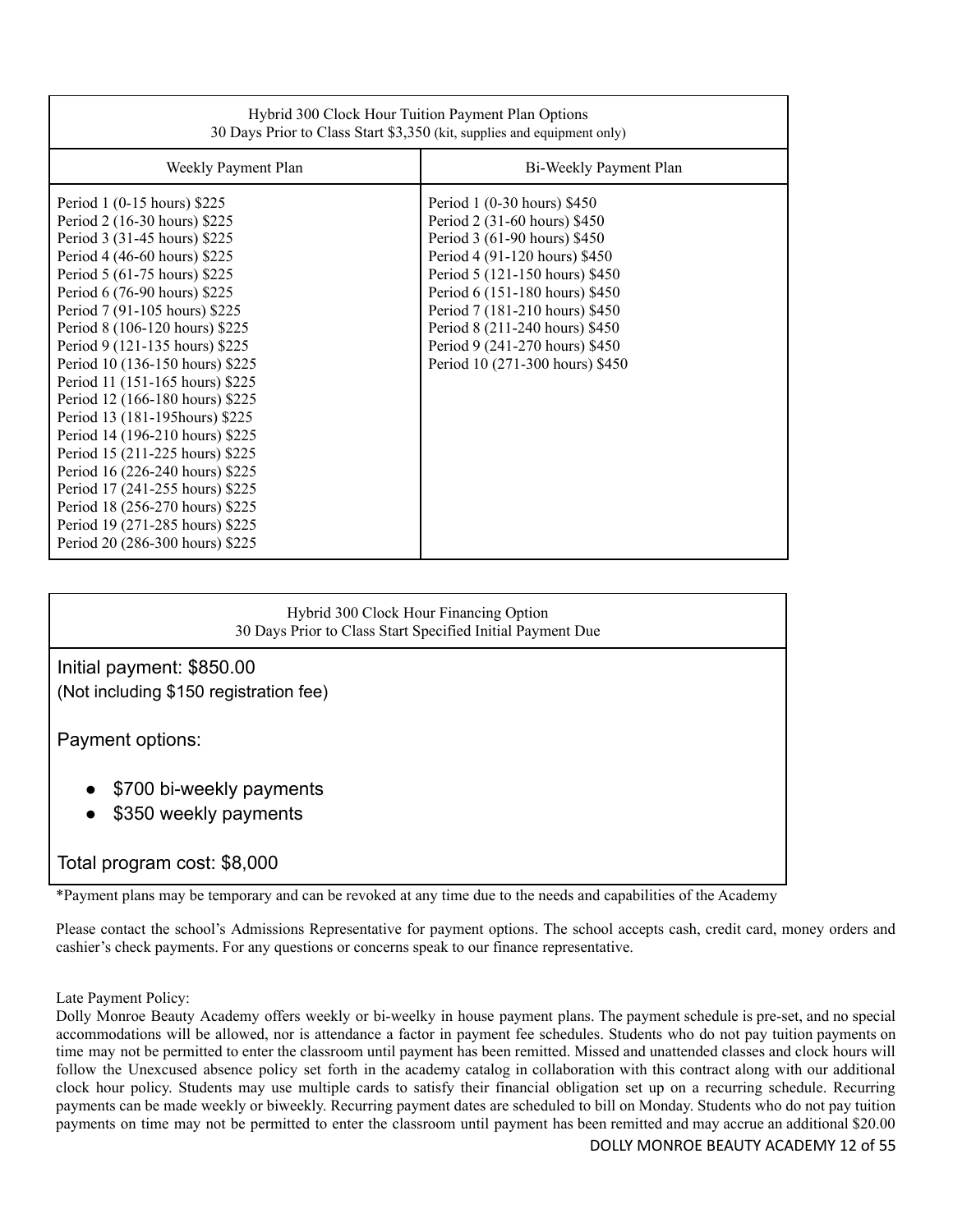| Hybrid 300 Clock Hour Tuition Payment Plan Options<br>30 Days Prior to Class Start \$3,350 (kit, supplies and equipment only)                                                                                                                                                                                                                                                                                                                                                                                                                                                                                                                                                                     |                                                                                                                                                                                                                                                                                                                                           |  |  |
|---------------------------------------------------------------------------------------------------------------------------------------------------------------------------------------------------------------------------------------------------------------------------------------------------------------------------------------------------------------------------------------------------------------------------------------------------------------------------------------------------------------------------------------------------------------------------------------------------------------------------------------------------------------------------------------------------|-------------------------------------------------------------------------------------------------------------------------------------------------------------------------------------------------------------------------------------------------------------------------------------------------------------------------------------------|--|--|
| Weekly Payment Plan                                                                                                                                                                                                                                                                                                                                                                                                                                                                                                                                                                                                                                                                               | Bi-Weekly Payment Plan                                                                                                                                                                                                                                                                                                                    |  |  |
| Period 1 (0-15 hours) \$225<br>Period 2 (16-30 hours) \$225<br>Period 3 (31-45 hours) \$225<br>Period 4 (46-60 hours) \$225<br>Period 5 (61-75 hours) \$225<br>Period 6 (76-90 hours) \$225<br>Period 7 (91-105 hours) \$225<br>Period 8 (106-120 hours) \$225<br>Period 9 (121-135 hours) \$225<br>Period 10 (136-150 hours) \$225<br>Period 11 (151-165 hours) \$225<br>Period 12 (166-180 hours) \$225<br>Period 13 (181-195 hours) \$225<br>Period 14 (196-210 hours) \$225<br>Period 15 (211-225 hours) \$225<br>Period 16 (226-240 hours) \$225<br>Period 17 (241-255 hours) \$225<br>Period 18 (256-270 hours) \$225<br>Period 19 (271-285 hours) \$225<br>Period 20 (286-300 hours) \$225 | Period 1 (0-30 hours) \$450<br>Period 2 (31-60 hours) \$450<br>Period 3 (61-90 hours) \$450<br>Period 4 (91-120 hours) \$450<br>Period 5 (121-150 hours) \$450<br>Period 6 (151-180 hours) \$450<br>Period 7 (181-210 hours) \$450<br>Period 8 (211-240 hours) \$450<br>Period 9 (241-270 hours) \$450<br>Period 10 (271-300 hours) \$450 |  |  |

| Hybrid 300 Clock Hour Financing Option<br>30 Days Prior to Class Start Specified Initial Payment Due |
|------------------------------------------------------------------------------------------------------|
| Initial payment: \$850.00<br>(Not including \$150 registration fee)                                  |
| Payment options:                                                                                     |
| \$700 bi-weekly payments<br>$\bullet$<br>\$350 weekly payments<br>$\bullet$                          |
| Total program cost: \$8,000                                                                          |

\*Payment plans may be temporary and can be revoked at any time due to the needs and capabilities of the Academy

Please contact the school's Admissions Representative for payment options. The school accepts cash, credit card, money orders and cashier's check payments. For any questions or concerns speak to our finance representative.

Late Payment Policy:

Dolly Monroe Beauty Academy offers weekly or bi-weelky in house payment plans. The payment schedule is pre-set, and no special accommodations will be allowed, nor is attendance a factor in payment fee schedules. Students who do not pay tuition payments on time may not be permitted to enter the classroom until payment has been remitted. Missed and unattended classes and clock hours will follow the Unexcused absence policy set forth in the academy catalog in collaboration with this contract along with our additional clock hour policy. Students may use multiple cards to satisfy their financial obligation set up on a recurring schedule. Recurring payments can be made weekly or biweekly. Recurring payment dates are scheduled to bill on Monday. Students who do not pay tuition payments on time may not be permitted to enter the classroom until payment has been remitted and may accrue an additional \$20.00

# DOLLY MONROE BEAUTY ACADEMY 12 of 55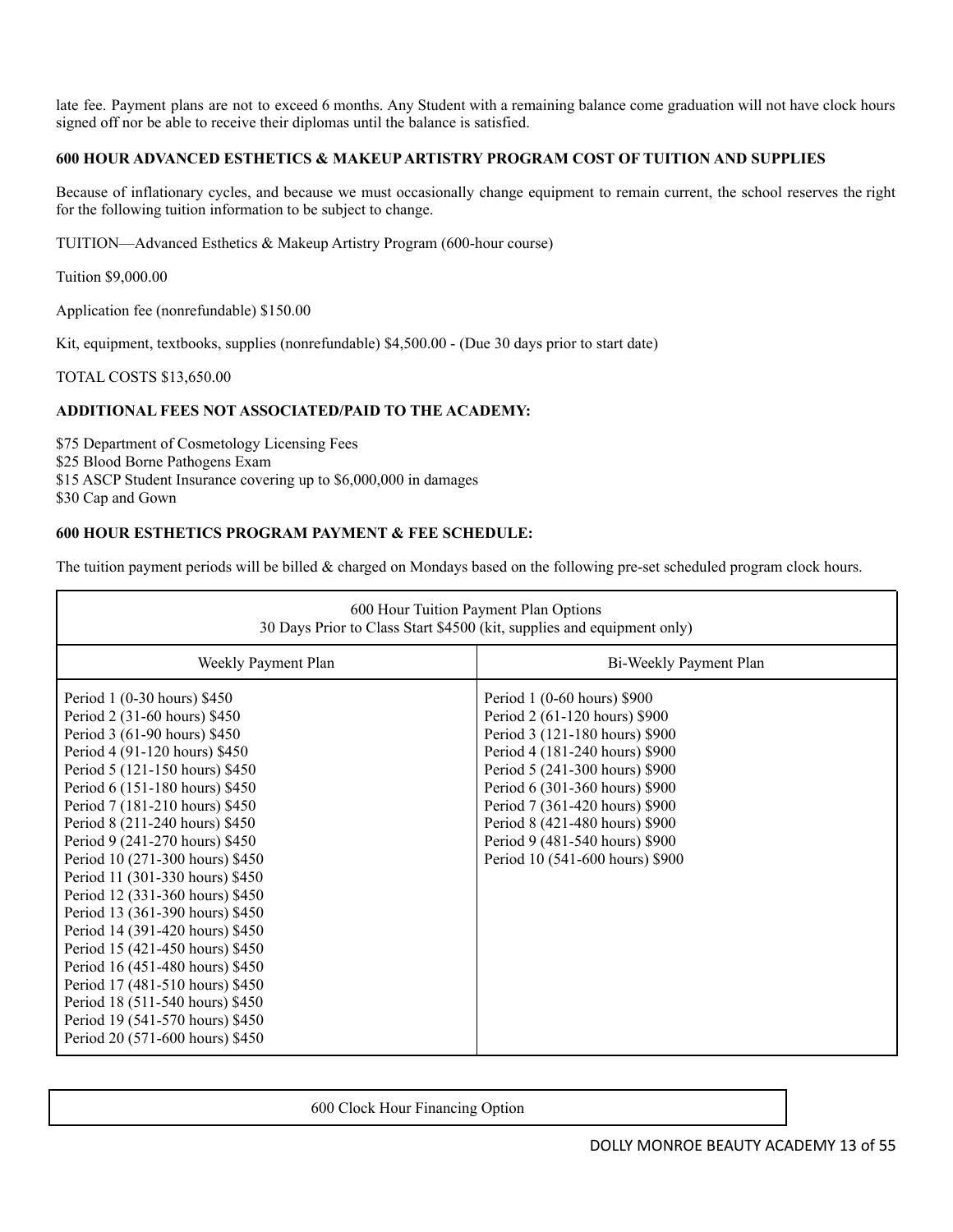late fee. Payment plans are not to exceed 6 months. Any Student with a remaining balance come graduation will not have clock hours signed off nor be able to receive their diplomas until the balance is satisfied.

# **600 HOUR ADVANCED ESTHETICS & MAKEUPARTISTRY PROGRAM COST OF TUITION AND SUPPLIES**

Because of inflationary cycles, and because we must occasionally change equipment to remain current, the school reserves the right for the following tuition information to be subject to change.

TUITION—Advanced Esthetics & Makeup Artistry Program (600-hour course)

Tuition \$9,000.00

Application fee (nonrefundable) \$150.00

Kit, equipment, textbooks, supplies (nonrefundable) \$4,500.00 - (Due 30 days prior to start date)

TOTAL COSTS \$13,650.00

# **ADDITIONAL FEES NOT ASSOCIATED/PAID TO THE ACADEMY:**

\$75 Department of Cosmetology Licensing Fees \$25 Blood Borne Pathogens Exam \$15 ASCP Student Insurance covering up to \$6,000,000 in damages \$30 Cap and Gown

# **600 HOUR ESTHETICS PROGRAM PAYMENT & FEE SCHEDULE:**

The tuition payment periods will be billed & charged on Mondays based on the following pre-set scheduled program clock hours.

| 600 Hour Tuition Payment Plan Options<br>30 Days Prior to Class Start \$4500 (kit, supplies and equipment only)                                                                                                                                                                                                                                                                                                                                                                                                                                                                                                                                                                                         |                                                                                                                                                                                                                                                                                                                                               |  |  |
|---------------------------------------------------------------------------------------------------------------------------------------------------------------------------------------------------------------------------------------------------------------------------------------------------------------------------------------------------------------------------------------------------------------------------------------------------------------------------------------------------------------------------------------------------------------------------------------------------------------------------------------------------------------------------------------------------------|-----------------------------------------------------------------------------------------------------------------------------------------------------------------------------------------------------------------------------------------------------------------------------------------------------------------------------------------------|--|--|
| Weekly Payment Plan                                                                                                                                                                                                                                                                                                                                                                                                                                                                                                                                                                                                                                                                                     | Bi-Weekly Payment Plan                                                                                                                                                                                                                                                                                                                        |  |  |
| Period 1 (0-30 hours) \$450<br>Period 2 (31-60 hours) \$450<br>Period 3 (61-90 hours) \$450<br>Period 4 (91-120 hours) \$450<br>Period 5 (121-150 hours) \$450<br>Period 6 (151-180 hours) \$450<br>Period 7 (181-210 hours) \$450<br>Period 8 (211-240 hours) \$450<br>Period 9 (241-270 hours) \$450<br>Period 10 (271-300 hours) \$450<br>Period 11 (301-330 hours) \$450<br>Period 12 (331-360 hours) \$450<br>Period 13 (361-390 hours) \$450<br>Period 14 (391-420 hours) \$450<br>Period 15 (421-450 hours) \$450<br>Period 16 (451-480 hours) \$450<br>Period 17 (481-510 hours) \$450<br>Period 18 (511-540 hours) \$450<br>Period 19 (541-570 hours) \$450<br>Period 20 (571-600 hours) \$450 | Period 1 (0-60 hours) \$900<br>Period 2 (61-120 hours) \$900<br>Period 3 (121-180 hours) \$900<br>Period 4 (181-240 hours) \$900<br>Period 5 (241-300 hours) \$900<br>Period 6 (301-360 hours) \$900<br>Period 7 (361-420 hours) \$900<br>Period 8 (421-480 hours) \$900<br>Period 9 (481-540 hours) \$900<br>Period 10 (541-600 hours) \$900 |  |  |

600 Clock Hour Financing Option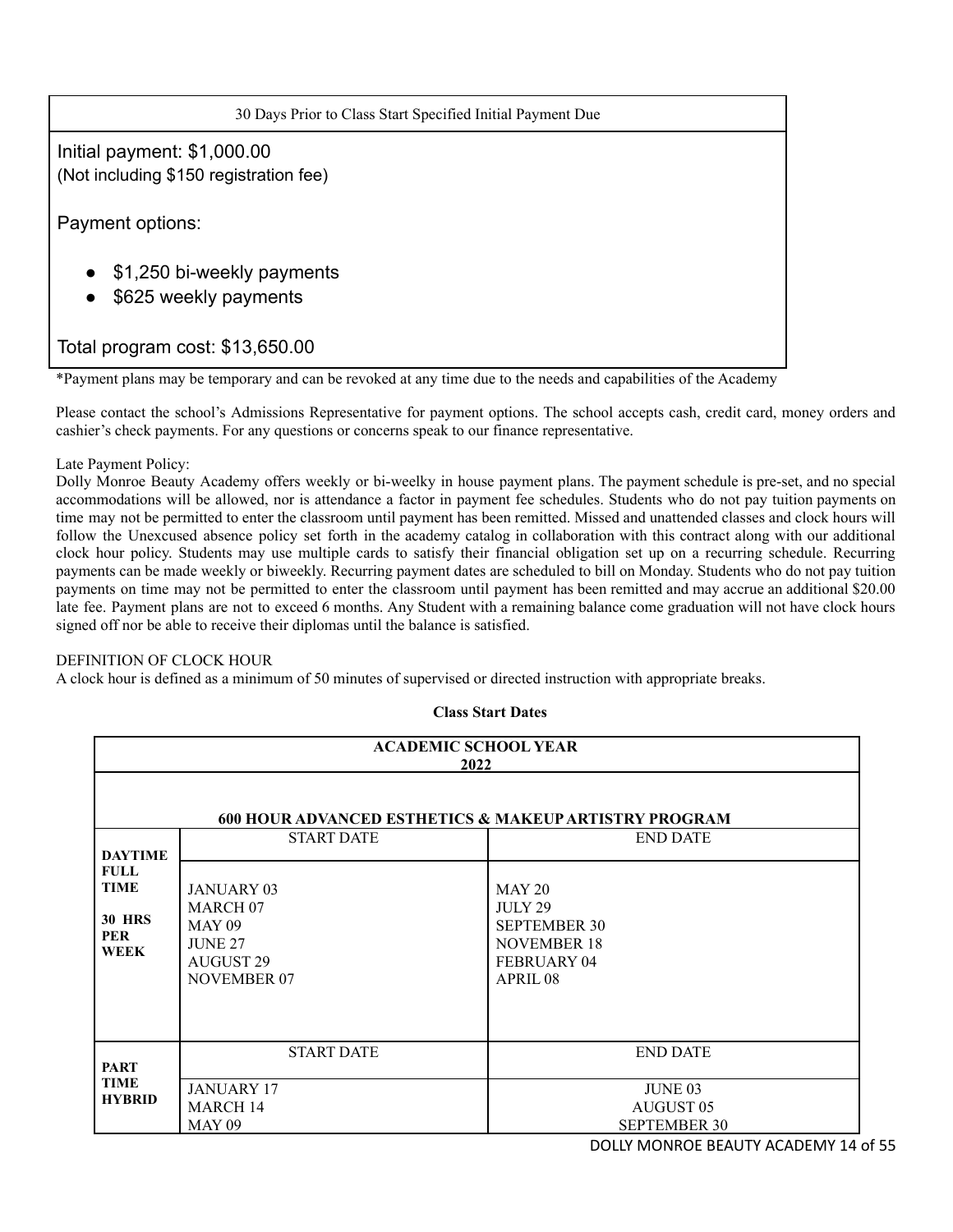| 30 Days Prior to Class Start Specified Initial Payment Due                    |
|-------------------------------------------------------------------------------|
| Initial payment: $$1,000.00$<br>(Not including \$150 registration fee)        |
| Payment options:                                                              |
| \$1,250 bi-weekly payments<br>$\bullet$<br>\$625 weekly payments<br>$\bullet$ |
| Total program cost: \$13,650.00                                               |

\*Payment plans may be temporary and can be revoked at any time due to the needs and capabilities of the Academy

Please contact the school's Admissions Representative for payment options. The school accepts cash, credit card, money orders and cashier's check payments. For any questions or concerns speak to our finance representative.

# Late Payment Policy:

Dolly Monroe Beauty Academy offers weekly or bi-weelky in house payment plans. The payment schedule is pre-set, and no special accommodations will be allowed, nor is attendance a factor in payment fee schedules. Students who do not pay tuition payments on time may not be permitted to enter the classroom until payment has been remitted. Missed and unattended classes and clock hours will follow the Unexcused absence policy set forth in the academy catalog in collaboration with this contract along with our additional clock hour policy. Students may use multiple cards to satisfy their financial obligation set up on a recurring schedule. Recurring payments can be made weekly or biweekly. Recurring payment dates are scheduled to bill on Monday. Students who do not pay tuition payments on time may not be permitted to enter the classroom until payment has been remitted and may accrue an additional \$20.00 late fee. Payment plans are not to exceed 6 months. Any Student with a remaining balance come graduation will not have clock hours signed off nor be able to receive their diplomas until the balance is satisfied.

# DEFINITION OF CLOCK HOUR

A clock hour is defined as a minimum of 50 minutes of supervised or directed instruction with appropriate breaks.

#### **Class Start Dates**

|                                                                   | <b>ACADEMIC SCHOOL YEAR</b><br>2022                                                                                   |                                                                                                                           |  |  |  |
|-------------------------------------------------------------------|-----------------------------------------------------------------------------------------------------------------------|---------------------------------------------------------------------------------------------------------------------------|--|--|--|
|                                                                   | <b>600 HOUR ADVANCED ESTHETICS &amp; MAKEUP ARTISTRY PROGRAM</b>                                                      |                                                                                                                           |  |  |  |
| <b>DAYTIME</b>                                                    | <b>START DATE</b>                                                                                                     | <b>END DATE</b>                                                                                                           |  |  |  |
| <b>FULL</b><br><b>TIME</b><br><b>30 HRS</b><br>PER<br><b>WEEK</b> | <b>JANUARY 03</b><br><b>MARCH 07</b><br><b>MAY 09</b><br><b>JUNE 27</b><br>AUGUST <sub>29</sub><br><b>NOVEMBER 07</b> | <b>MAY 20</b><br><b>JULY 29</b><br><b>SEPTEMBER 30</b><br><b>NOVEMBER 18</b><br><b>FEBRUARY 04</b><br>APRIL <sub>08</sub> |  |  |  |
| <b>PART</b>                                                       | <b>START DATE</b>                                                                                                     | <b>END DATE</b>                                                                                                           |  |  |  |
| <b>TIME</b><br><b>HYBRID</b>                                      | <b>JANUARY 17</b><br><b>MARCH 14</b><br><b>MAY 09</b>                                                                 | JUNE 03<br><b>AUGUST 05</b><br><b>SEPTEMBER 30</b>                                                                        |  |  |  |

DOLLY MONROE BEAUTY ACADEMY 14 of 55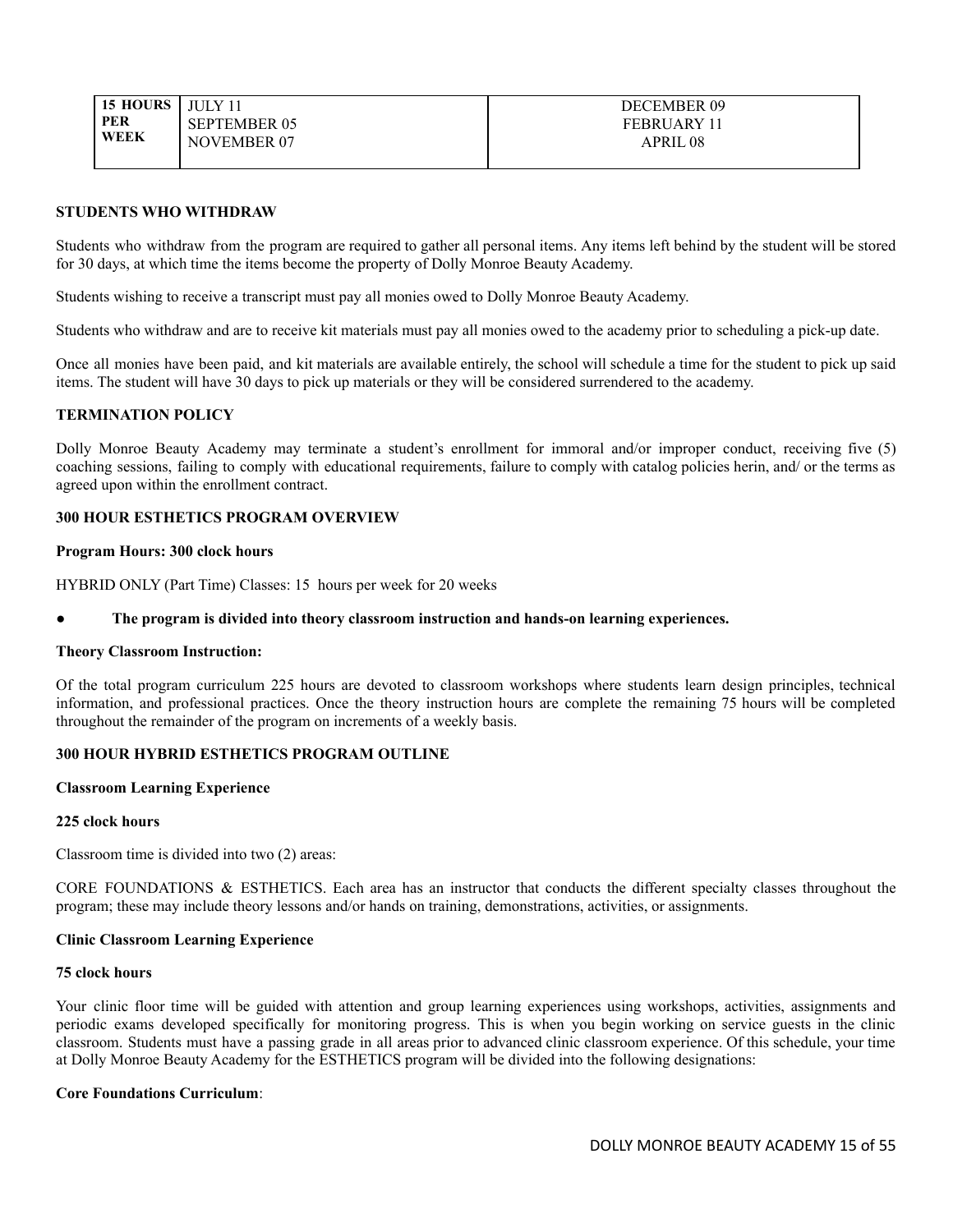| 15 HOURS | JULY 11             | DECEMBER 09     |
|----------|---------------------|-----------------|
| PER      | <b>SEPTEMBER 05</b> | <b>FEBRUARY</b> |
| WEEK     | NOVEMBER 07         | APRIL 08        |
|          |                     |                 |

#### **STUDENTS WHO WITHDRAW**

Students who withdraw from the program are required to gather all personal items. Any items left behind by the student will be stored for 30 days, at which time the items become the property of Dolly Monroe Beauty Academy.

Students wishing to receive a transcript must pay all monies owed to Dolly Monroe Beauty Academy.

Students who withdraw and are to receive kit materials must pay all monies owed to the academy prior to scheduling a pick-up date.

Once all monies have been paid, and kit materials are available entirely, the school will schedule a time for the student to pick up said items. The student will have 30 days to pick up materials or they will be considered surrendered to the academy.

#### **TERMINATION POLICY**

Dolly Monroe Beauty Academy may terminate a student's enrollment for immoral and/or improper conduct, receiving five (5) coaching sessions, failing to comply with educational requirements, failure to comply with catalog policies herin, and/ or the terms as agreed upon within the enrollment contract.

#### **300 HOUR ESTHETICS PROGRAM OVERVIEW**

#### **Program Hours: 300 clock hours**

HYBRID ONLY (Part Time) Classes: 15 hours per week for 20 weeks

#### **● The program is divided into theory classroom instruction and hands-on learning experiences.**

#### **Theory Classroom Instruction:**

Of the total program curriculum 225 hours are devoted to classroom workshops where students learn design principles, technical information, and professional practices. Once the theory instruction hours are complete the remaining 75 hours will be completed throughout the remainder of the program on increments of a weekly basis.

## **300 HOUR HYBRID ESTHETICS PROGRAM OUTLINE**

#### **Classroom Learning Experience**

#### **225 clock hours**

Classroom time is divided into two (2) areas:

CORE FOUNDATIONS & ESTHETICS. Each area has an instructor that conducts the different specialty classes throughout the program; these may include theory lessons and/or hands on training, demonstrations, activities, or assignments.

#### **Clinic Classroom Learning Experience**

#### **75 clock hours**

Your clinic floor time will be guided with attention and group learning experiences using workshops, activities, assignments and periodic exams developed specifically for monitoring progress. This is when you begin working on service guests in the clinic classroom. Students must have a passing grade in all areas prior to advanced clinic classroom experience. Of this schedule, your time at Dolly Monroe Beauty Academy for the ESTHETICS program will be divided into the following designations:

## **Core Foundations Curriculum**: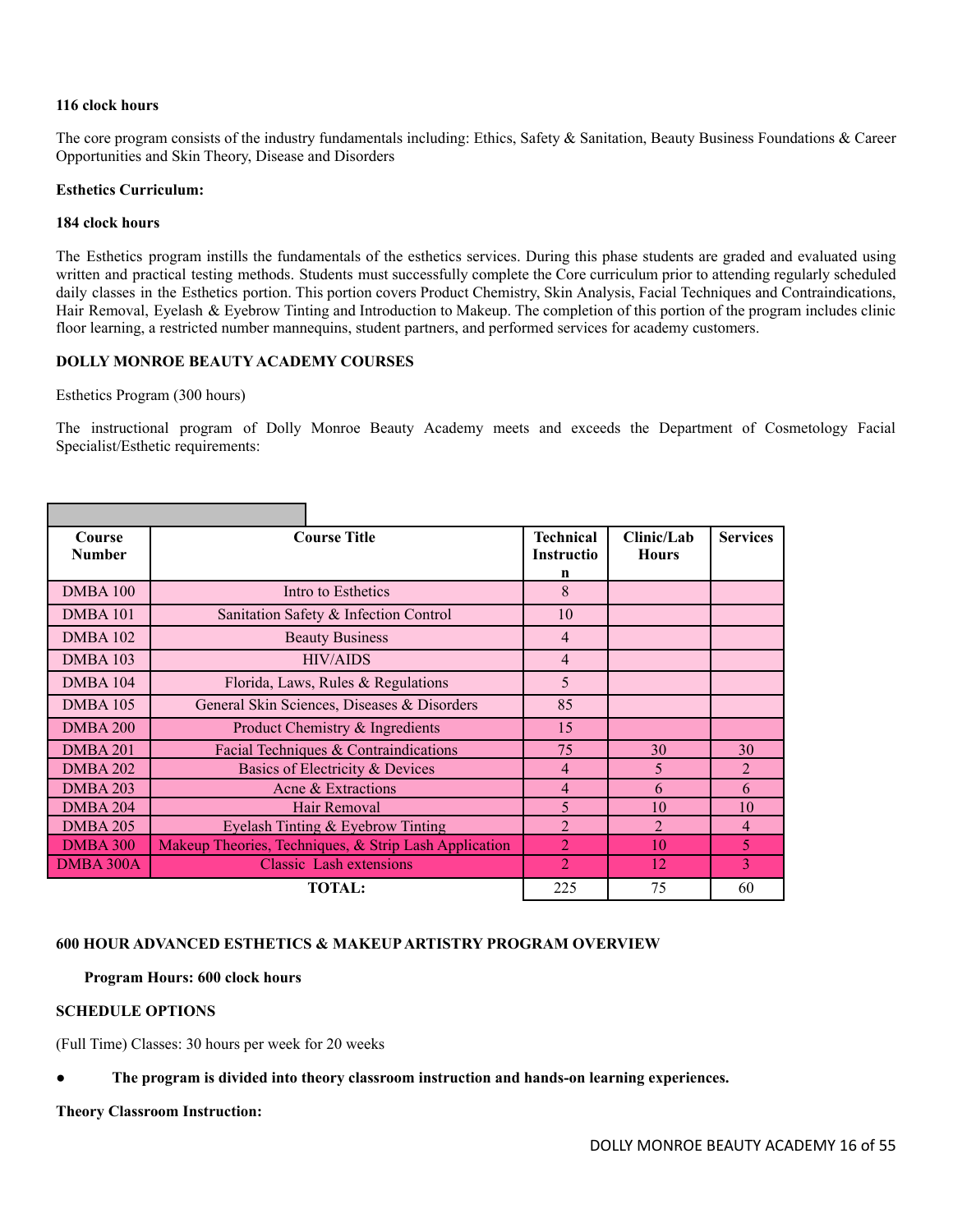# **116 clock hours**

The core program consists of the industry fundamentals including: Ethics, Safety & Sanitation, Beauty Business Foundations & Career Opportunities and Skin Theory, Disease and Disorders

## **Esthetics Curriculum:**

# **184 clock hours**

The Esthetics program instills the fundamentals of the esthetics services. During this phase students are graded and evaluated using written and practical testing methods. Students must successfully complete the Core curriculum prior to attending regularly scheduled daily classes in the Esthetics portion. This portion covers Product Chemistry, Skin Analysis, Facial Techniques and Contraindications, Hair Removal, Eyelash & Eyebrow Tinting and Introduction to Makeup. The completion of this portion of the program includes clinic floor learning, a restricted number mannequins, student partners, and performed services for academy customers.

# **DOLLY MONROE BEAUTY ACADEMY COURSES**

# Esthetics Program (300 hours)

The instructional program of Dolly Monroe Beauty Academy meets and exceeds the Department of Cosmetology Facial Specialist/Esthetic requirements:

| Course          | <b>Course Title</b>                                   | <b>Technical</b>  | Clinic/Lab     | <b>Services</b> |
|-----------------|-------------------------------------------------------|-------------------|----------------|-----------------|
| <b>Number</b>   |                                                       | <b>Instructio</b> | <b>Hours</b>   |                 |
|                 |                                                       | n                 |                |                 |
| <b>DMBA 100</b> | Intro to Esthetics                                    | 8                 |                |                 |
| <b>DMBA 101</b> | Sanitation Safety & Infection Control                 | 10                |                |                 |
| <b>DMBA 102</b> | <b>Beauty Business</b>                                | $\overline{4}$    |                |                 |
| <b>DMBA 103</b> | <b>HIV/AIDS</b>                                       | $\overline{4}$    |                |                 |
| <b>DMBA 104</b> | Florida, Laws, Rules & Regulations                    | 5                 |                |                 |
| <b>DMBA 105</b> | General Skin Sciences, Diseases & Disorders           | 85                |                |                 |
| <b>DMBA 200</b> | Product Chemistry & Ingredients                       | 15                |                |                 |
| <b>DMBA 201</b> | Facial Techniques & Contraindications                 | 75                | 30             | 30              |
| <b>DMBA 202</b> | Basics of Electricity & Devices                       | 4                 | 5              | $\overline{2}$  |
| <b>DMBA 203</b> | Acne & Extractions                                    | 4                 | 6              | 6               |
| <b>DMBA 204</b> | Hair Removal                                          | 5                 | 10             | 10              |
| <b>DMBA 205</b> | Eyelash Tinting $&$ Eyebrow Tinting                   | $\overline{2}$    | $\overline{2}$ | 4               |
| <b>DMBA 300</b> | Makeup Theories, Techniques, & Strip Lash Application | $\overline{2}$    | 10             | 5               |
| DMBA 300A       | <b>Classic Lash extensions</b>                        | $\overline{2}$    | 12             | 3               |
|                 | <b>TOTAL:</b>                                         | 225               | 75             | 60              |

# **600 HOUR ADVANCED ESTHETICS & MAKEUPARTISTRY PROGRAM OVERVIEW**

# **Program Hours: 600 clock hours**

# **SCHEDULE OPTIONS**

(Full Time) Classes: 30 hours per week for 20 weeks

**● The program is divided into theory classroom instruction and hands-on learning experiences.**

# **Theory Classroom Instruction:**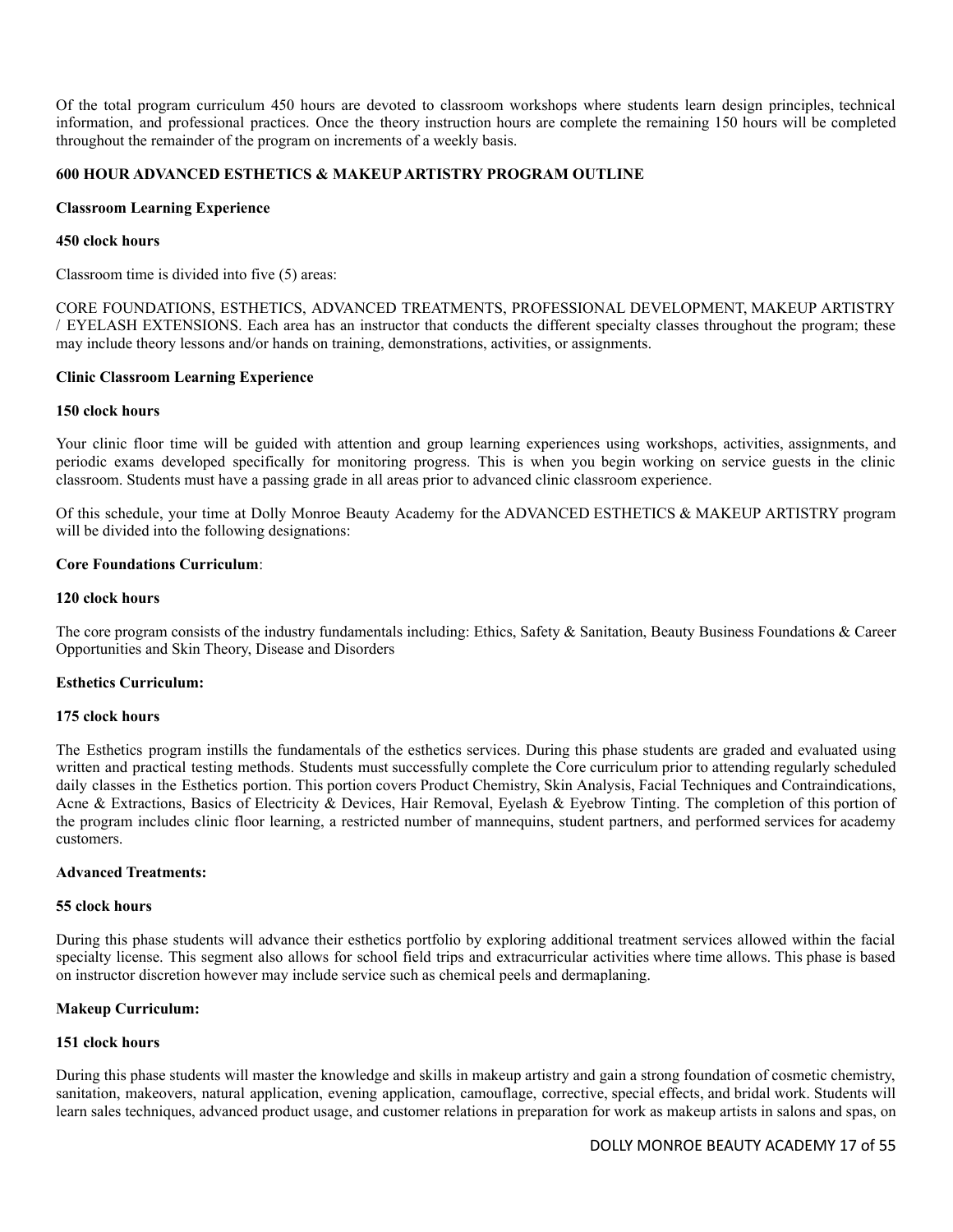Of the total program curriculum 450 hours are devoted to classroom workshops where students learn design principles, technical information, and professional practices. Once the theory instruction hours are complete the remaining 150 hours will be completed throughout the remainder of the program on increments of a weekly basis.

## **600 HOUR ADVANCED ESTHETICS & MAKEUPARTISTRY PROGRAM OUTLINE**

#### **Classroom Learning Experience**

#### **450 clock hours**

Classroom time is divided into five (5) areas:

CORE FOUNDATIONS, ESTHETICS, ADVANCED TREATMENTS, PROFESSIONAL DEVELOPMENT, MAKEUP ARTISTRY / EYELASH EXTENSIONS. Each area has an instructor that conducts the different specialty classes throughout the program; these may include theory lessons and/or hands on training, demonstrations, activities, or assignments.

#### **Clinic Classroom Learning Experience**

#### **150 clock hours**

Your clinic floor time will be guided with attention and group learning experiences using workshops, activities, assignments, and periodic exams developed specifically for monitoring progress. This is when you begin working on service guests in the clinic classroom. Students must have a passing grade in all areas prior to advanced clinic classroom experience.

Of this schedule, your time at Dolly Monroe Beauty Academy for the ADVANCED ESTHETICS & MAKEUP ARTISTRY program will be divided into the following designations:

## **Core Foundations Curriculum**:

## **120 clock hours**

The core program consists of the industry fundamentals including: Ethics, Safety  $\&$  Sanitation, Beauty Business Foundations  $\&$  Career Opportunities and Skin Theory, Disease and Disorders

#### **Esthetics Curriculum:**

#### **175 clock hours**

The Esthetics program instills the fundamentals of the esthetics services. During this phase students are graded and evaluated using written and practical testing methods. Students must successfully complete the Core curriculum prior to attending regularly scheduled daily classes in the Esthetics portion. This portion covers Product Chemistry, Skin Analysis, Facial Techniques and Contraindications, Acne & Extractions, Basics of Electricity & Devices, Hair Removal, Eyelash & Eyebrow Tinting. The completion of this portion of the program includes clinic floor learning, a restricted number of mannequins, student partners, and performed services for academy customers.

#### **Advanced Treatments:**

#### **55 clock hours**

During this phase students will advance their esthetics portfolio by exploring additional treatment services allowed within the facial specialty license. This segment also allows for school field trips and extracurricular activities where time allows. This phase is based on instructor discretion however may include service such as chemical peels and dermaplaning.

#### **Makeup Curriculum:**

#### **151 clock hours**

During this phase students will master the knowledge and skills in makeup artistry and gain a strong foundation of cosmetic chemistry, sanitation, makeovers, natural application, evening application, camouflage, corrective, special effects, and bridal work. Students will learn sales techniques, advanced product usage, and customer relations in preparation for work as makeup artists in salons and spas, on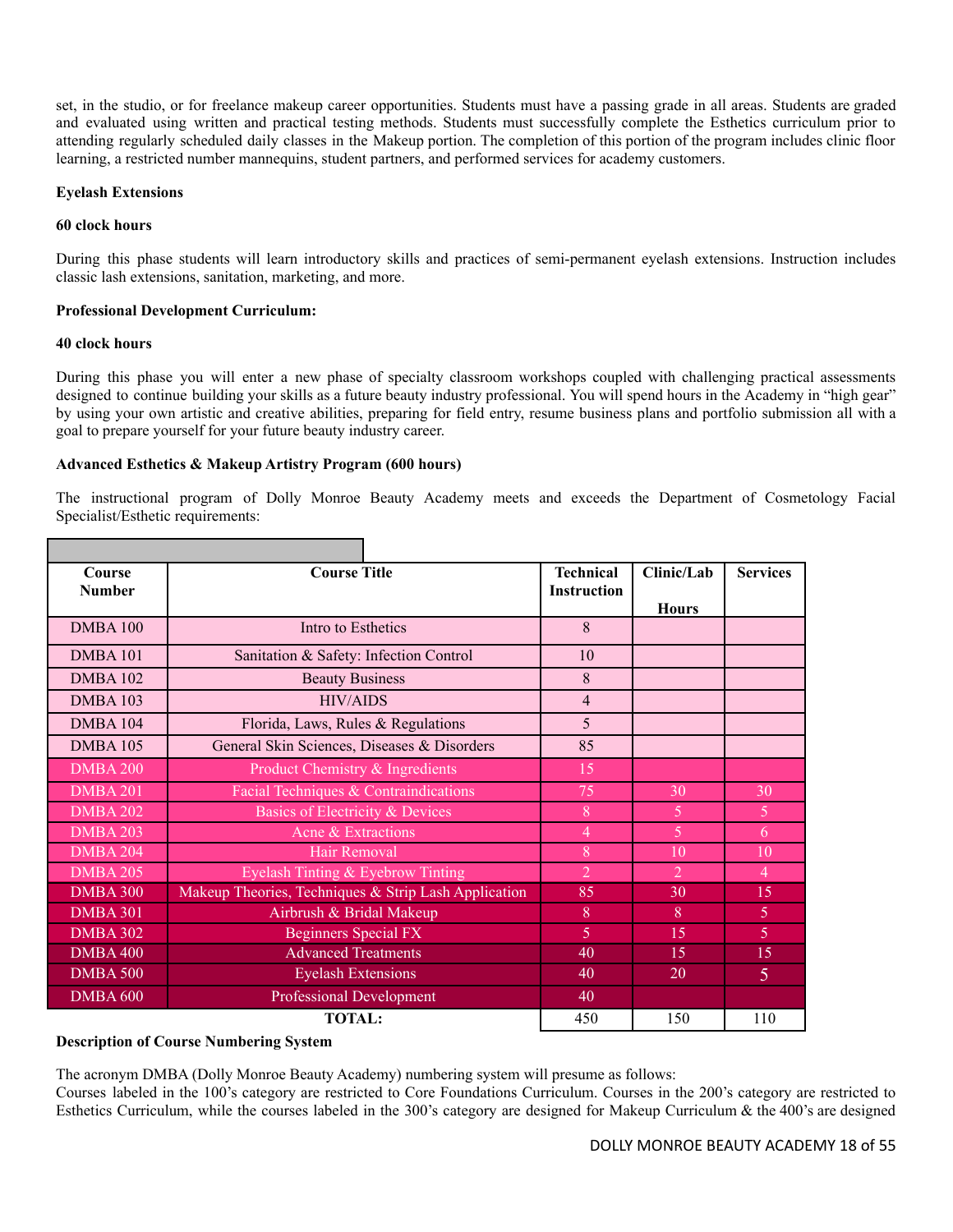set, in the studio, or for freelance makeup career opportunities. Students must have a passing grade in all areas. Students are graded and evaluated using written and practical testing methods. Students must successfully complete the Esthetics curriculum prior to attending regularly scheduled daily classes in the Makeup portion. The completion of this portion of the program includes clinic floor learning, a restricted number mannequins, student partners, and performed services for academy customers.

# **Eyelash Extensions**

## **60 clock hours**

During this phase students will learn introductory skills and practices of semi-permanent eyelash extensions. Instruction includes classic lash extensions, sanitation, marketing, and more.

## **Professional Development Curriculum:**

## **40 clock hours**

During this phase you will enter a new phase of specialty classroom workshops coupled with challenging practical assessments designed to continue building your skills as a future beauty industry professional. You will spend hours in the Academy in "high gear" by using your own artistic and creative abilities, preparing for field entry, resume business plans and portfolio submission all with a goal to prepare yourself for your future beauty industry career.

# **Advanced Esthetics & Makeup Artistry Program (600 hours)**

The instructional program of Dolly Monroe Beauty Academy meets and exceeds the Department of Cosmetology Facial Specialist/Esthetic requirements:

| Course<br><b>Number</b> | <b>Course Title</b>                                  | <b>Technical</b><br><b>Instruction</b> | Clinic/Lab     | <b>Services</b> |
|-------------------------|------------------------------------------------------|----------------------------------------|----------------|-----------------|
|                         |                                                      |                                        | <b>Hours</b>   |                 |
| <b>DMBA 100</b>         | Intro to Esthetics                                   | 8                                      |                |                 |
| <b>DMBA 101</b>         | Sanitation & Safety: Infection Control               | 10                                     |                |                 |
| <b>DMBA 102</b>         | <b>Beauty Business</b>                               | 8                                      |                |                 |
| <b>DMBA 103</b>         | <b>HIV/AIDS</b>                                      | $\overline{4}$                         |                |                 |
| <b>DMBA 104</b>         | Florida, Laws, Rules & Regulations                   | 5                                      |                |                 |
| <b>DMBA 105</b>         | General Skin Sciences, Diseases & Disorders          | 85                                     |                |                 |
| <b>DMBA 200</b>         | Product Chemistry & Ingredients                      | 15                                     |                |                 |
| <b>DMBA 201</b>         | Facial Techniques & Contraindications                | 75                                     | 30             | 30              |
| <b>DMBA 202</b>         | Basics of Electricity & Devices                      | 8                                      | 5              | 5               |
| <b>DMBA 203</b>         | Acne & Extractions                                   | 4                                      | 5              | 6               |
| <b>DMBA 204</b>         | Hair Removal                                         | 8                                      | 10             | 10              |
| <b>DMBA 205</b>         | Eyelash Tinting & Eyebrow Tinting                    | $\overline{2}$                         | $\overline{2}$ | $\overline{4}$  |
| DMBA 300                | Makeup Theories, Techniques & Strip Lash Application | 85                                     | 30             | 15              |
| <b>DMBA 301</b>         | Airbrush & Bridal Makeup                             | 8                                      | 8              | 5               |
| <b>DMBA 302</b>         | <b>Beginners Special FX</b>                          | 5                                      | 15             | $\overline{5}$  |
| <b>DMBA 400</b>         | <b>Advanced Treatments</b>                           | 40                                     | 15             | 15              |
| <b>DMBA 500</b>         | <b>Eyelash Extensions</b>                            | 40                                     | 20             | 5               |
| <b>DMBA 600</b>         | <b>Professional Development</b>                      | 40                                     |                |                 |
|                         | <b>TOTAL:</b>                                        | 450                                    | 150            | 110             |

#### **Description of Course Numbering System**

The acronym DMBA (Dolly Monroe Beauty Academy) numbering system will presume as follows:

Courses labeled in the 100's category are restricted to Core Foundations Curriculum. Courses in the 200's category are restricted to Esthetics Curriculum, while the courses labeled in the 300's category are designed for Makeup Curriculum & the 400's are designed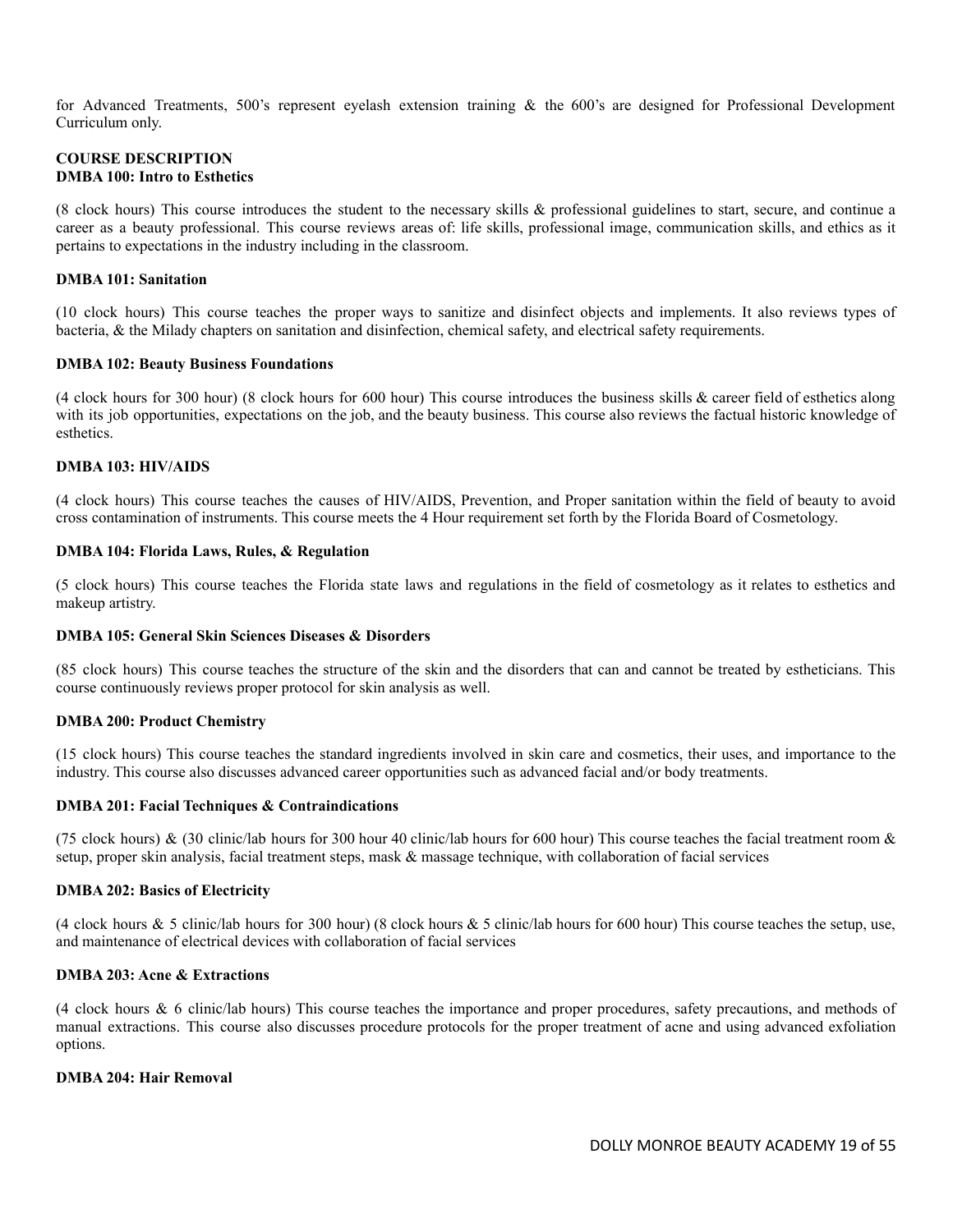for Advanced Treatments, 500's represent eyelash extension training & the 600's are designed for Professional Development Curriculum only.

# **COURSE DESCRIPTION DMBA 100: Intro to Esthetics**

(8 clock hours) This course introduces the student to the necessary skills & professional guidelines to start, secure, and continue a career as a beauty professional. This course reviews areas of: life skills, professional image, communication skills, and ethics as it pertains to expectations in the industry including in the classroom.

## **DMBA 101: Sanitation**

(10 clock hours) This course teaches the proper ways to sanitize and disinfect objects and implements. It also reviews types of bacteria, & the Milady chapters on sanitation and disinfection, chemical safety, and electrical safety requirements.

# **DMBA 102: Beauty Business Foundations**

(4 clock hours for 300 hour) (8 clock hours for 600 hour) This course introduces the business skills & career field of esthetics along with its job opportunities, expectations on the job, and the beauty business. This course also reviews the factual historic knowledge of esthetics.

# **DMBA 103: HIV/AIDS**

(4 clock hours) This course teaches the causes of HIV/AIDS, Prevention, and Proper sanitation within the field of beauty to avoid cross contamination of instruments. This course meets the 4 Hour requirement set forth by the Florida Board of Cosmetology.

# **DMBA 104: Florida Laws, Rules, & Regulation**

(5 clock hours) This course teaches the Florida state laws and regulations in the field of cosmetology as it relates to esthetics and makeup artistry.

## **DMBA 105: General Skin Sciences Diseases & Disorders**

(85 clock hours) This course teaches the structure of the skin and the disorders that can and cannot be treated by estheticians. This course continuously reviews proper protocol for skin analysis as well.

#### **DMBA 200: Product Chemistry**

(15 clock hours) This course teaches the standard ingredients involved in skin care and cosmetics, their uses, and importance to the industry. This course also discusses advanced career opportunities such as advanced facial and/or body treatments.

# **DMBA 201: Facial Techniques & Contraindications**

(75 clock hours) & (30 clinic/lab hours for 300 hour 40 clinic/lab hours for 600 hour) This course teaches the facial treatment room & setup, proper skin analysis, facial treatment steps, mask & massage technique, with collaboration of facial services

#### **DMBA 202: Basics of Electricity**

(4 clock hours & 5 clinic/lab hours for 300 hour) (8 clock hours  $\&$  5 clinic/lab hours for 600 hour) This course teaches the setup, use, and maintenance of electrical devices with collaboration of facial services

# **DMBA 203: Acne & Extractions**

(4 clock hours & 6 clinic/lab hours) This course teaches the importance and proper procedures, safety precautions, and methods of manual extractions. This course also discusses procedure protocols for the proper treatment of acne and using advanced exfoliation options.

## **DMBA 204: Hair Removal**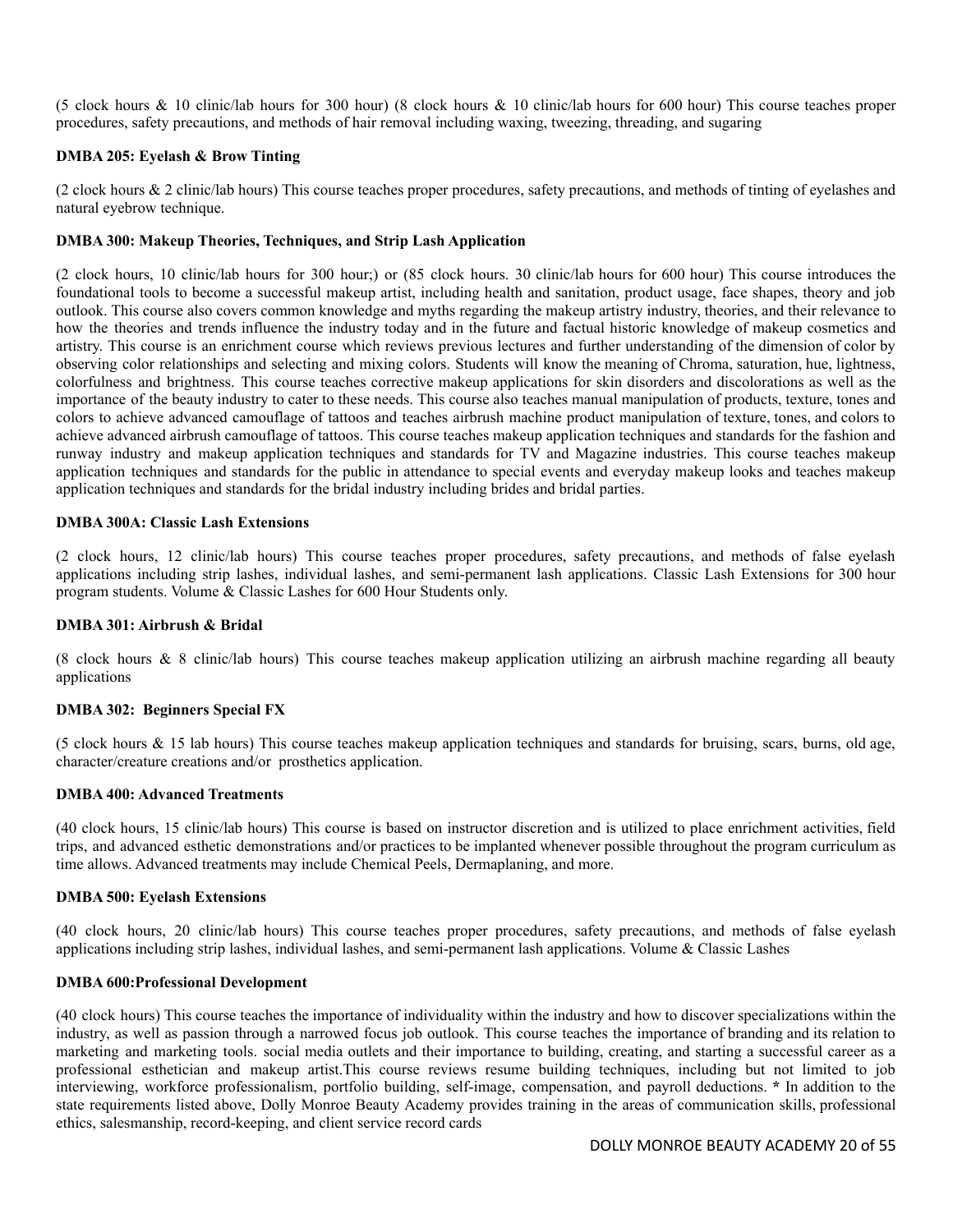(5 clock hours & 10 clinic/lab hours for 300 hour) (8 clock hours & 10 clinic/lab hours for 600 hour) This course teaches proper procedures, safety precautions, and methods of hair removal including waxing, tweezing, threading, and sugaring

# **DMBA 205: Eyelash & Brow Tinting**

(2 clock hours & 2 clinic/lab hours) This course teaches proper procedures, safety precautions, and methods of tinting of eyelashes and natural eyebrow technique.

# **DMBA 300: Makeup Theories, Techniques, and Strip Lash Application**

(2 clock hours, 10 clinic/lab hours for 300 hour;) or (85 clock hours. 30 clinic/lab hours for 600 hour) This course introduces the foundational tools to become a successful makeup artist, including health and sanitation, product usage, face shapes, theory and job outlook. This course also covers common knowledge and myths regarding the makeup artistry industry, theories, and their relevance to how the theories and trends influence the industry today and in the future and factual historic knowledge of makeup cosmetics and artistry. This course is an enrichment course which reviews previous lectures and further understanding of the dimension of color by observing color relationships and selecting and mixing colors. Students will know the meaning of Chroma, saturation, hue, lightness, colorfulness and brightness. This course teaches corrective makeup applications for skin disorders and discolorations as well as the importance of the beauty industry to cater to these needs. This course also teaches manual manipulation of products, texture, tones and colors to achieve advanced camouflage of tattoos and teaches airbrush machine product manipulation of texture, tones, and colors to achieve advanced airbrush camouflage of tattoos. This course teaches makeup application techniques and standards for the fashion and runway industry and makeup application techniques and standards for TV and Magazine industries. This course teaches makeup application techniques and standards for the public in attendance to special events and everyday makeup looks and teaches makeup application techniques and standards for the bridal industry including brides and bridal parties.

# **DMBA 300A: Classic Lash Extensions**

(2 clock hours, 12 clinic/lab hours) This course teaches proper procedures, safety precautions, and methods of false eyelash applications including strip lashes, individual lashes, and semi-permanent lash applications. Classic Lash Extensions for 300 hour program students. Volume & Classic Lashes for 600 Hour Students only.

# **DMBA 301: Airbrush & Bridal**

(8 clock hours & 8 clinic/lab hours) This course teaches makeup application utilizing an airbrush machine regarding all beauty applications

## **DMBA 302: Beginners Special FX**

(5 clock hours & 15 lab hours) This course teaches makeup application techniques and standards for bruising, scars, burns, old age, character/creature creations and/or prosthetics application.

# **DMBA 400: Advanced Treatments**

(40 clock hours, 15 clinic/lab hours) This course is based on instructor discretion and is utilized to place enrichment activities, field trips, and advanced esthetic demonstrations and/or practices to be implanted whenever possible throughout the program curriculum as time allows. Advanced treatments may include Chemical Peels, Dermaplaning, and more.

# **DMBA 500: Eyelash Extensions**

(40 clock hours, 20 clinic/lab hours) This course teaches proper procedures, safety precautions, and methods of false eyelash applications including strip lashes, individual lashes, and semi-permanent lash applications. Volume & Classic Lashes

#### **DMBA 600:Professional Development**

(40 clock hours) This course teaches the importance of individuality within the industry and how to discover specializations within the industry, as well as passion through a narrowed focus job outlook. This course teaches the importance of branding and its relation to marketing and marketing tools. social media outlets and their importance to building, creating, and starting a successful career as a professional esthetician and makeup artist.This course reviews resume building techniques, including but not limited to job interviewing, workforce professionalism, portfolio building, self-image, compensation, and payroll deductions. **\*** In addition to the state requirements listed above, Dolly Monroe Beauty Academy provides training in the areas of communication skills, professional ethics, salesmanship, record-keeping, and client service record cards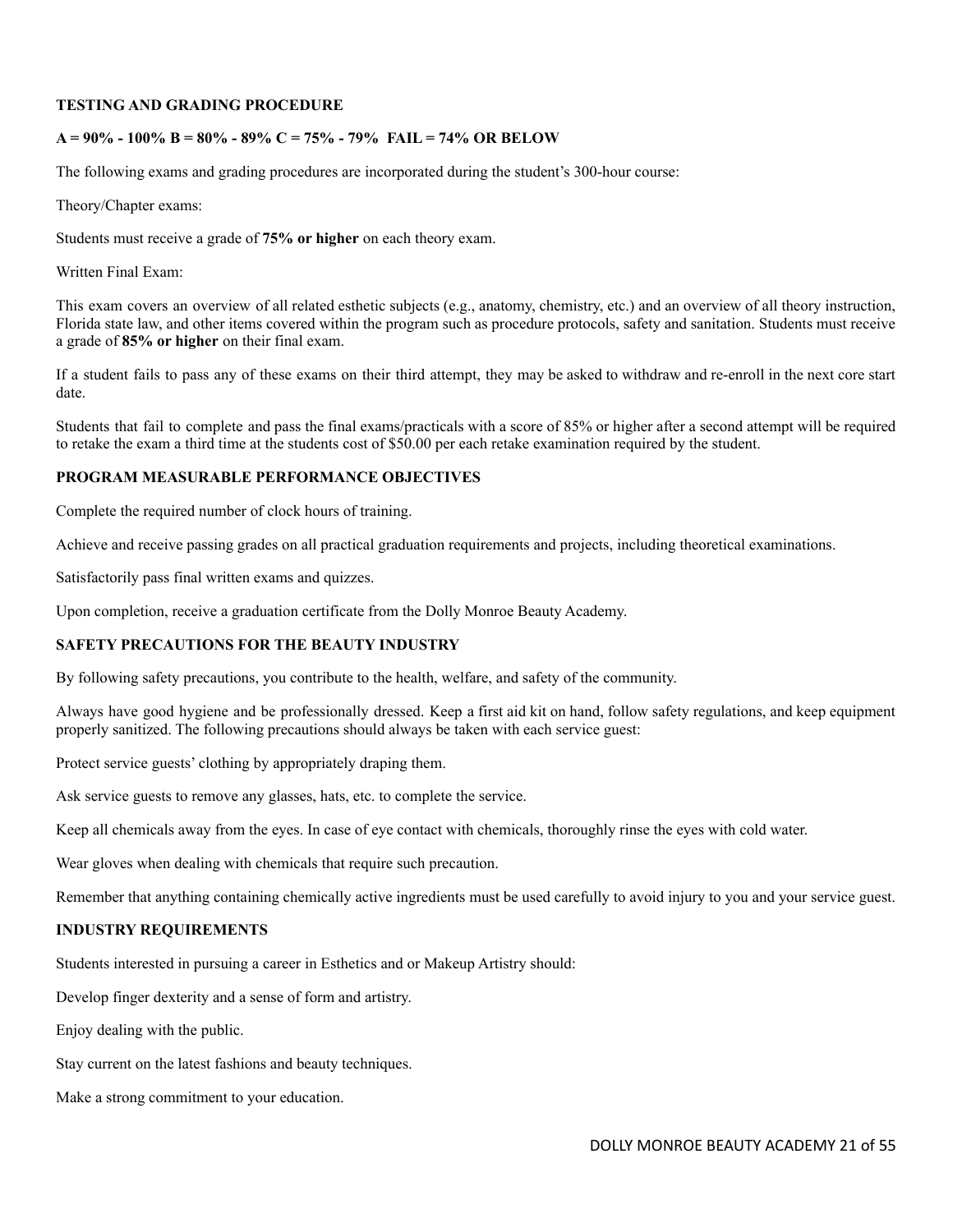## **TESTING AND GRADING PROCEDURE**

## **A = 90% - 100% B = 80% - 89% C = 75% - 79% FAIL = 74% OR BELOW**

The following exams and grading procedures are incorporated during the student's 300-hour course:

Theory/Chapter exams:

Students must receive a grade of **75% or higher** on each theory exam.

Written Final Exam:

This exam covers an overview of all related esthetic subjects (e.g., anatomy, chemistry, etc.) and an overview of all theory instruction, Florida state law, and other items covered within the program such as procedure protocols, safety and sanitation. Students must receive a grade of **85% or higher** on their final exam.

If a student fails to pass any of these exams on their third attempt, they may be asked to withdraw and re-enroll in the next core start date.

Students that fail to complete and pass the final exams/practicals with a score of 85% or higher after a second attempt will be required to retake the exam a third time at the students cost of \$50.00 per each retake examination required by the student.

# **PROGRAM MEASURABLE PERFORMANCE OBJECTIVES**

Complete the required number of clock hours of training.

Achieve and receive passing grades on all practical graduation requirements and projects, including theoretical examinations.

Satisfactorily pass final written exams and quizzes.

Upon completion, receive a graduation certificate from the Dolly Monroe Beauty Academy.

#### **SAFETY PRECAUTIONS FOR THE BEAUTY INDUSTRY**

By following safety precautions, you contribute to the health, welfare, and safety of the community.

Always have good hygiene and be professionally dressed. Keep a first aid kit on hand, follow safety regulations, and keep equipment properly sanitized. The following precautions should always be taken with each service guest:

Protect service guests' clothing by appropriately draping them.

Ask service guests to remove any glasses, hats, etc. to complete the service.

Keep all chemicals away from the eyes. In case of eye contact with chemicals, thoroughly rinse the eyes with cold water.

Wear gloves when dealing with chemicals that require such precaution.

Remember that anything containing chemically active ingredients must be used carefully to avoid injury to you and your service guest.

#### **INDUSTRY REQUIREMENTS**

Students interested in pursuing a career in Esthetics and or Makeup Artistry should:

Develop finger dexterity and a sense of form and artistry.

Enjoy dealing with the public.

Stay current on the latest fashions and beauty techniques.

Make a strong commitment to your education.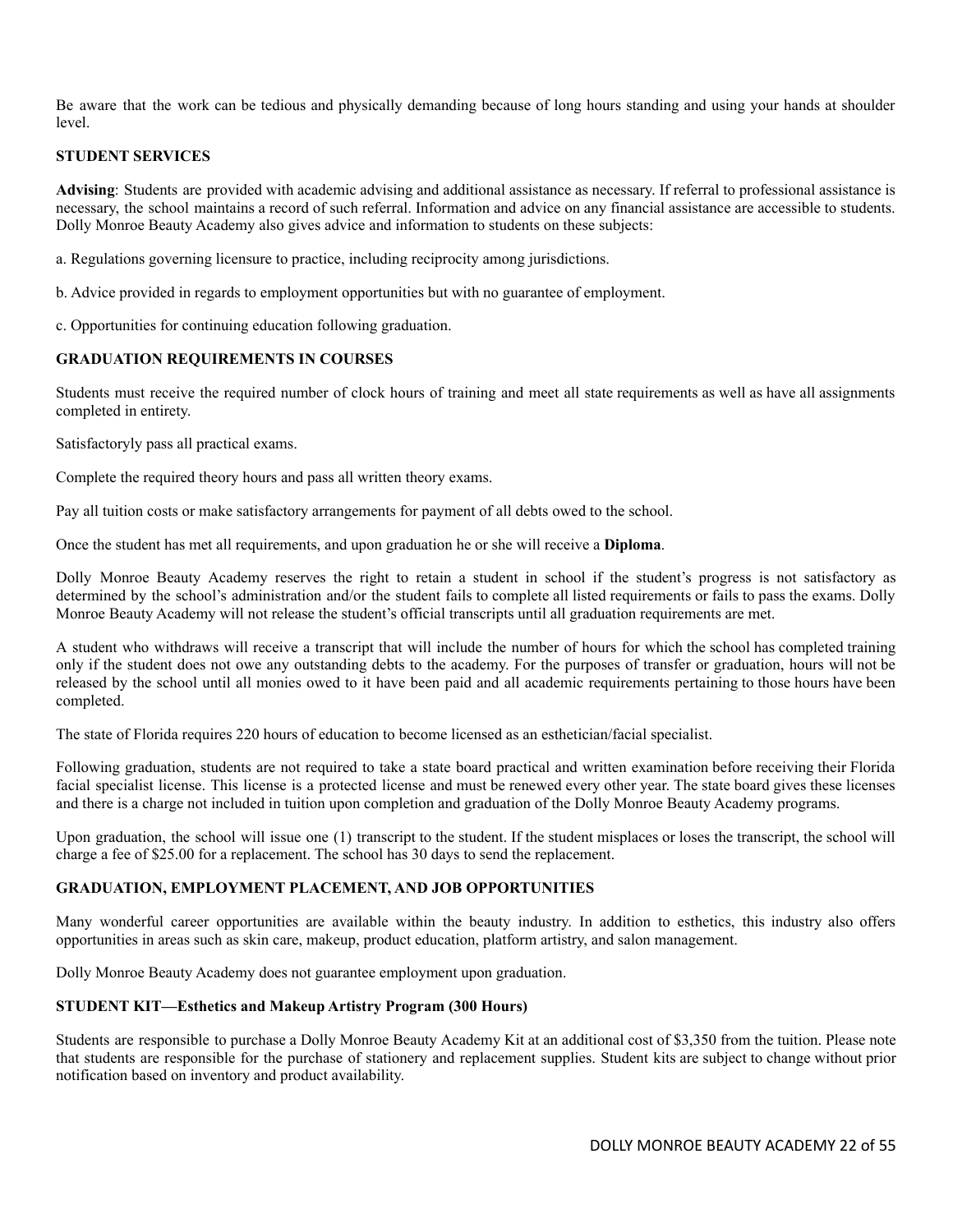Be aware that the work can be tedious and physically demanding because of long hours standing and using your hands at shoulder level.

# **STUDENT SERVICES**

**Advising**: Students are provided with academic advising and additional assistance as necessary. If referral to professional assistance is necessary, the school maintains a record of such referral. Information and advice on any financial assistance are accessible to students. Dolly Monroe Beauty Academy also gives advice and information to students on these subjects:

a. Regulations governing licensure to practice, including reciprocity among jurisdictions.

- b. Advice provided in regards to employment opportunities but with no guarantee of employment.
- c. Opportunities for continuing education following graduation.

# **GRADUATION REQUIREMENTS IN COURSES**

Students must receive the required number of clock hours of training and meet all state requirements as well as have all assignments completed in entirety.

Satisfactoryly pass all practical exams.

Complete the required theory hours and pass all written theory exams.

Pay all tuition costs or make satisfactory arrangements for payment of all debts owed to the school.

Once the student has met all requirements, and upon graduation he or she will receive a **Diploma**.

Dolly Monroe Beauty Academy reserves the right to retain a student in school if the student's progress is not satisfactory as determined by the school's administration and/or the student fails to complete all listed requirements or fails to pass the exams. Dolly Monroe Beauty Academy will not release the student's official transcripts until all graduation requirements are met.

A student who withdraws will receive a transcript that will include the number of hours for which the school has completed training only if the student does not owe any outstanding debts to the academy. For the purposes of transfer or graduation, hours will not be released by the school until all monies owed to it have been paid and all academic requirements pertaining to those hours have been completed.

The state of Florida requires 220 hours of education to become licensed as an esthetician/facial specialist.

Following graduation, students are not required to take a state board practical and written examination before receiving their Florida facial specialist license. This license is a protected license and must be renewed every other year. The state board gives these licenses and there is a charge not included in tuition upon completion and graduation of the Dolly Monroe Beauty Academy programs.

Upon graduation, the school will issue one (1) transcript to the student. If the student misplaces or loses the transcript, the school will charge a fee of \$25.00 for a replacement. The school has 30 days to send the replacement.

#### **GRADUATION, EMPLOYMENT PLACEMENT, AND JOB OPPORTUNITIES**

Many wonderful career opportunities are available within the beauty industry. In addition to esthetics, this industry also offers opportunities in areas such as skin care, makeup, product education, platform artistry, and salon management.

Dolly Monroe Beauty Academy does not guarantee employment upon graduation.

# **STUDENT KIT—Esthetics and Makeup Artistry Program (300 Hours)**

Students are responsible to purchase a Dolly Monroe Beauty Academy Kit at an additional cost of \$3,350 from the tuition. Please note that students are responsible for the purchase of stationery and replacement supplies. Student kits are subject to change without prior notification based on inventory and product availability.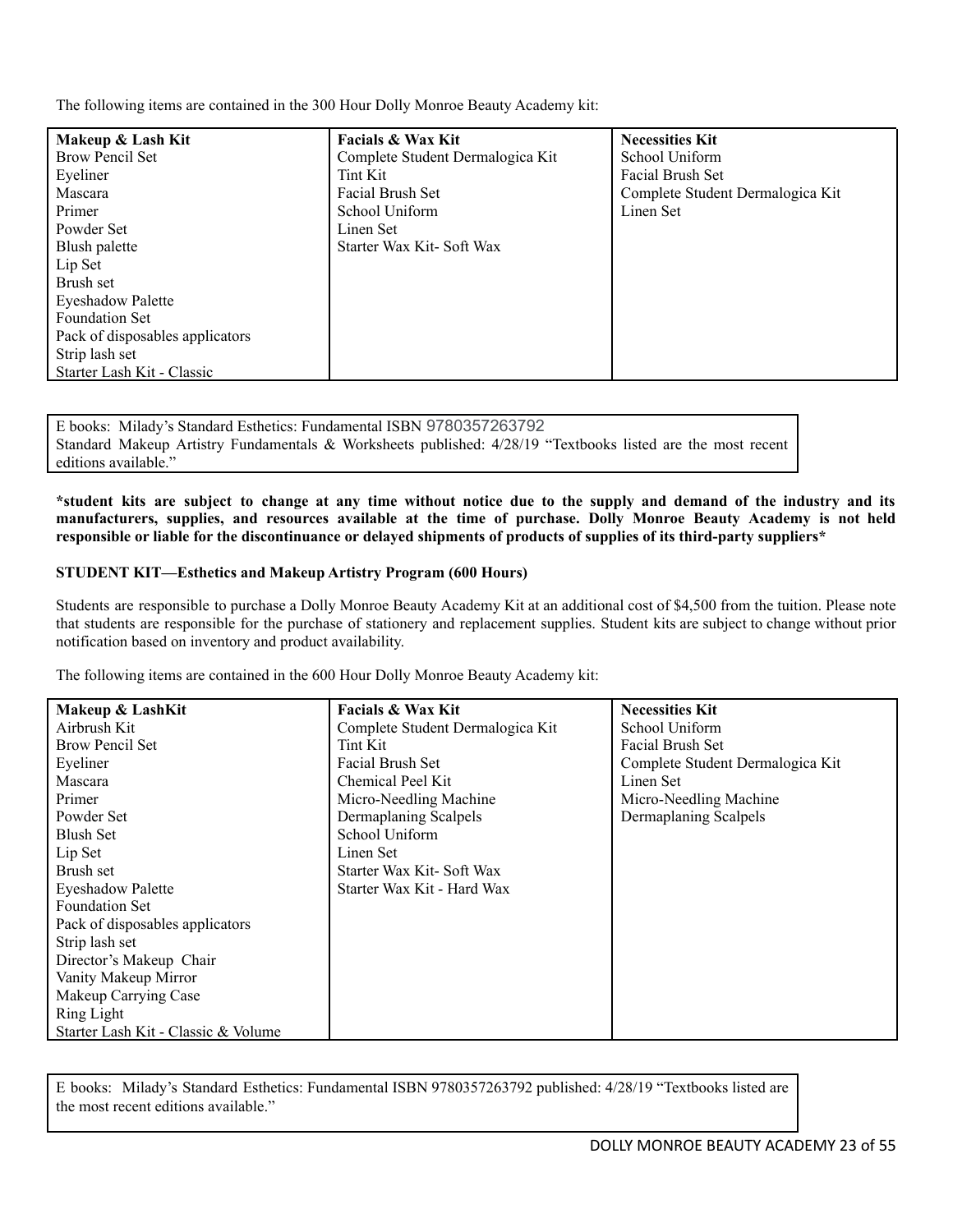The following items are contained in the 300 Hour Dolly Monroe Beauty Academy kit:

| Makeup & Lash Kit               | <b>Facials &amp; Wax Kit</b>     | <b>Necessities Kit</b>           |
|---------------------------------|----------------------------------|----------------------------------|
| Brow Pencil Set                 | Complete Student Dermalogica Kit | School Uniform                   |
| Eveliner                        | Tint Kit                         | <b>Facial Brush Set</b>          |
| Mascara                         | <b>Facial Brush Set</b>          | Complete Student Dermalogica Kit |
| Primer                          | School Uniform                   | Linen Set                        |
| Powder Set                      | Linen Set                        |                                  |
| Blush palette                   | Starter Wax Kit-Soft Wax         |                                  |
| Lip Set                         |                                  |                                  |
| Brush set                       |                                  |                                  |
| <b>Eyeshadow Palette</b>        |                                  |                                  |
| <b>Foundation Set</b>           |                                  |                                  |
| Pack of disposables applicators |                                  |                                  |
| Strip lash set                  |                                  |                                  |
| Starter Lash Kit - Classic      |                                  |                                  |

E books: Milady's Standard Esthetics: Fundamental ISBN 9780357263792 Standard Makeup Artistry Fundamentals & Worksheets published: 4/28/19 "Textbooks listed are the most recent editions available."

\*student kits are subject to change at any time without notice due to the supply and demand of the industry and its manufacturers, supplies, and resources available at the time of purchase. Dolly Monroe Beauty Academy is not held responsible or liable for the discontinuance or delayed shipments of products of supplies of its third-party suppliers\*

# **STUDENT KIT—Esthetics and Makeup Artistry Program (600 Hours)**

Students are responsible to purchase a Dolly Monroe Beauty Academy Kit at an additional cost of \$4,500 from the tuition. Please note that students are responsible for the purchase of stationery and replacement supplies. Student kits are subject to change without prior notification based on inventory and product availability.

The following items are contained in the 600 Hour Dolly Monroe Beauty Academy kit:

| Makeup & LashKit                    | <b>Facials &amp; Wax Kit</b>     | <b>Necessities Kit</b>           |
|-------------------------------------|----------------------------------|----------------------------------|
| Airbrush Kit                        | Complete Student Dermalogica Kit | School Uniform                   |
| Brow Pencil Set                     | Tint Kit                         | Facial Brush Set                 |
| Eyeliner                            | Facial Brush Set                 | Complete Student Dermalogica Kit |
| Mascara                             | Chemical Peel Kit                | Linen Set                        |
| Primer                              | Micro-Needling Machine           | Micro-Needling Machine           |
| Powder Set                          | Dermaplaning Scalpels            | Dermaplaning Scalpels            |
| Blush Set                           | School Uniform                   |                                  |
| Lip Set                             | Linen Set                        |                                  |
| Brush set                           | Starter Wax Kit-Soft Wax         |                                  |
| <b>Eyeshadow Palette</b>            | Starter Wax Kit - Hard Wax       |                                  |
| <b>Foundation Set</b>               |                                  |                                  |
| Pack of disposables applicators     |                                  |                                  |
| Strip lash set                      |                                  |                                  |
| Director's Makeup Chair             |                                  |                                  |
| Vanity Makeup Mirror                |                                  |                                  |
| Makeup Carrying Case                |                                  |                                  |
| Ring Light                          |                                  |                                  |
| Starter Lash Kit - Classic & Volume |                                  |                                  |

E books: Milady's Standard Esthetics: Fundamental ISBN 9780357263792 published: 4/28/19 "Textbooks listed are the most recent editions available."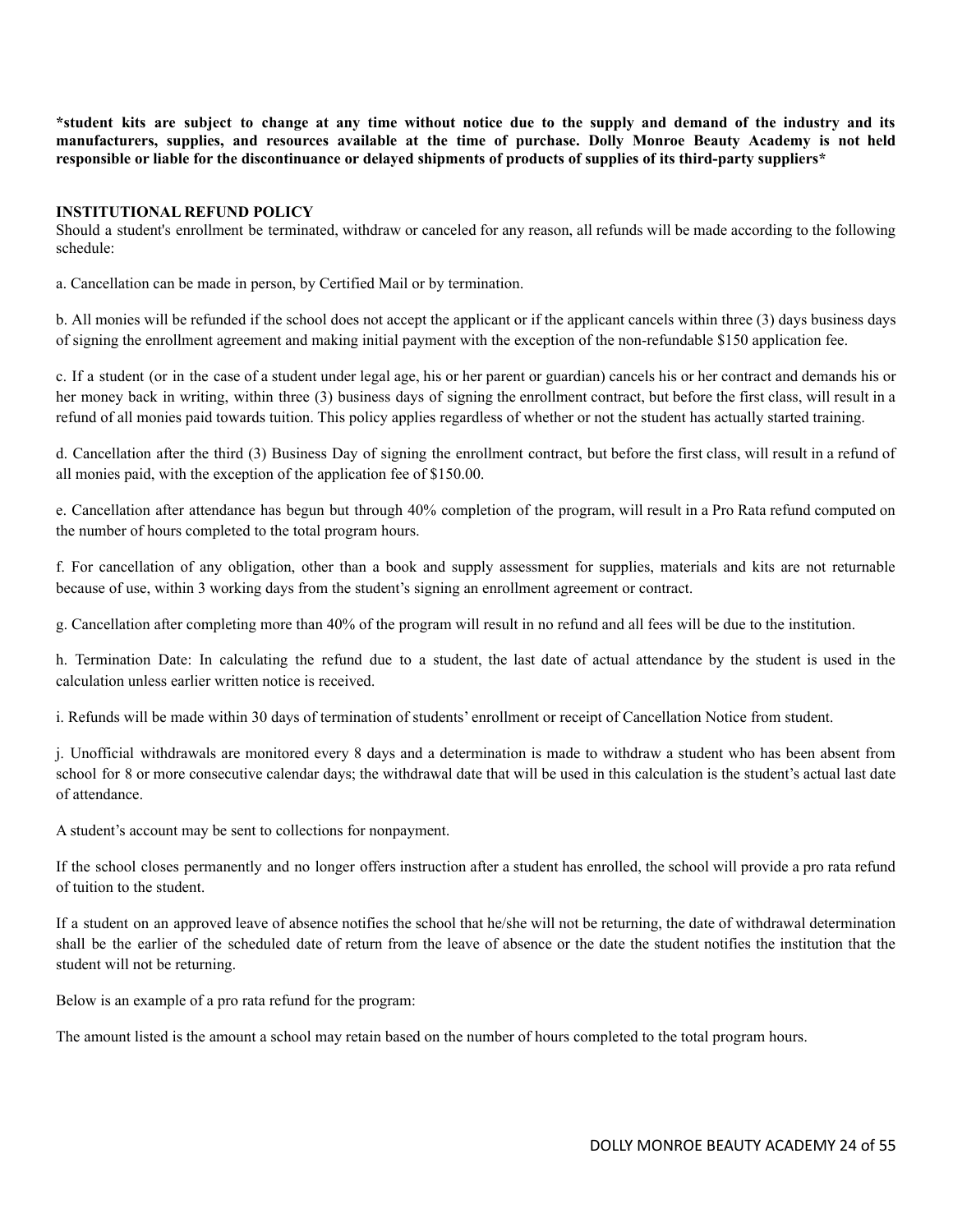\*student kits are subject to change at any time without notice due to the supply and demand of the industry and its manufacturers, supplies, and resources available at the time of purchase. Dolly Monroe Beauty Academy is not held responsible or liable for the discontinuance or delayed shipments of products of supplies of its third-party suppliers\*

#### **INSTITUTIONAL REFUND POLICY**

Should a student's enrollment be terminated, withdraw or canceled for any reason, all refunds will be made according to the following schedule:

a. Cancellation can be made in person, by Certified Mail or by termination.

b. All monies will be refunded if the school does not accept the applicant or if the applicant cancels within three (3) days business days of signing the enrollment agreement and making initial payment with the exception of the non-refundable \$150 application fee.

c. If a student (or in the case of a student under legal age, his or her parent or guardian) cancels his or her contract and demands his or her money back in writing, within three (3) business days of signing the enrollment contract, but before the first class, will result in a refund of all monies paid towards tuition. This policy applies regardless of whether or not the student has actually started training.

d. Cancellation after the third (3) Business Day of signing the enrollment contract, but before the first class, will result in a refund of all monies paid, with the exception of the application fee of \$150.00.

e. Cancellation after attendance has begun but through 40% completion of the program, will result in a Pro Rata refund computed on the number of hours completed to the total program hours.

f. For cancellation of any obligation, other than a book and supply assessment for supplies, materials and kits are not returnable because of use, within 3 working days from the student's signing an enrollment agreement or contract.

g. Cancellation after completing more than 40% of the program will result in no refund and all fees will be due to the institution.

h. Termination Date: In calculating the refund due to a student, the last date of actual attendance by the student is used in the calculation unless earlier written notice is received.

i. Refunds will be made within 30 days of termination of students' enrollment or receipt of Cancellation Notice from student.

j. Unofficial withdrawals are monitored every 8 days and a determination is made to withdraw a student who has been absent from school for 8 or more consecutive calendar days; the withdrawal date that will be used in this calculation is the student's actual last date of attendance.

A student's account may be sent to collections for nonpayment.

If the school closes permanently and no longer offers instruction after a student has enrolled, the school will provide a pro rata refund of tuition to the student.

If a student on an approved leave of absence notifies the school that he/she will not be returning, the date of withdrawal determination shall be the earlier of the scheduled date of return from the leave of absence or the date the student notifies the institution that the student will not be returning.

Below is an example of a pro rata refund for the program:

The amount listed is the amount a school may retain based on the number of hours completed to the total program hours.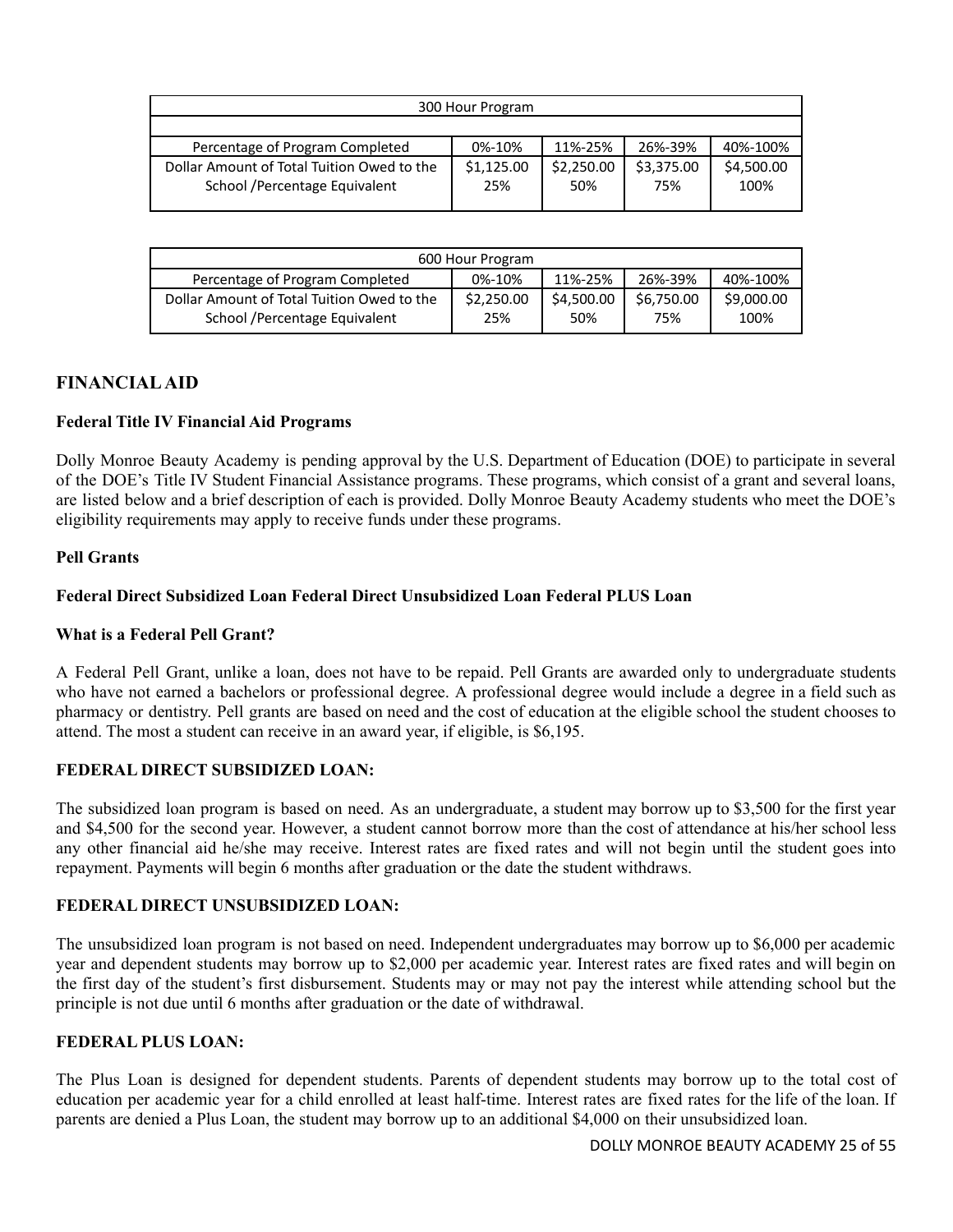| 300 Hour Program                           |            |            |            |            |
|--------------------------------------------|------------|------------|------------|------------|
|                                            |            |            |            |            |
| Percentage of Program Completed            | 0%-10%     | 11%-25%    | 26%-39%    | 40%-100%   |
| Dollar Amount of Total Tuition Owed to the | \$1,125.00 | \$2,250.00 | \$3,375.00 | \$4,500.00 |
| School /Percentage Equivalent              | 25%        | 50%        | 75%        | 100%       |
|                                            |            |            |            |            |

| 600 Hour Program                           |            |            |            |            |  |  |
|--------------------------------------------|------------|------------|------------|------------|--|--|
| Percentage of Program Completed            | 0%-10%     | 11%-25%    | 26%-39%    | 40%-100%   |  |  |
| Dollar Amount of Total Tuition Owed to the | \$2,250.00 | \$4.500.00 | \$6.750.00 | \$9,000.00 |  |  |
| School /Percentage Equivalent              | 25%        | 50%        | 75%        | 100%       |  |  |

# **FINANCIALAID**

# **Federal Title IV Financial Aid Programs**

Dolly Monroe Beauty Academy is pending approval by the U.S. Department of Education (DOE) to participate in several of the DOE's Title IV Student Financial Assistance programs. These programs, which consist of a grant and several loans, are listed below and a brief description of each is provided. Dolly Monroe Beauty Academy students who meet the DOE's eligibility requirements may apply to receive funds under these programs.

# **Pell Grants**

# **Federal Direct Subsidized Loan Federal Direct Unsubsidized Loan Federal PLUS Loan**

# **What is a Federal Pell Grant?**

A Federal Pell Grant, unlike a loan, does not have to be repaid. Pell Grants are awarded only to undergraduate students who have not earned a bachelors or professional degree. A professional degree would include a degree in a field such as pharmacy or dentistry. Pell grants are based on need and the cost of education at the eligible school the student chooses to attend. The most a student can receive in an award year, if eligible, is \$6,195.

# **FEDERAL DIRECT SUBSIDIZED LOAN:**

The subsidized loan program is based on need. As an undergraduate, a student may borrow up to \$3,500 for the first year and \$4,500 for the second year. However, a student cannot borrow more than the cost of attendance at his/her school less any other financial aid he/she may receive. Interest rates are fixed rates and will not begin until the student goes into repayment. Payments will begin 6 months after graduation or the date the student withdraws.

# **FEDERAL DIRECT UNSUBSIDIZED LOAN:**

The unsubsidized loan program is not based on need. Independent undergraduates may borrow up to \$6,000 per academic year and dependent students may borrow up to \$2,000 per academic year. Interest rates are fixed rates and will begin on the first day of the student's first disbursement. Students may or may not pay the interest while attending school but the principle is not due until 6 months after graduation or the date of withdrawal.

# **FEDERAL PLUS LOAN:**

The Plus Loan is designed for dependent students. Parents of dependent students may borrow up to the total cost of education per academic year for a child enrolled at least half-time. Interest rates are fixed rates for the life of the loan. If parents are denied a Plus Loan, the student may borrow up to an additional \$4,000 on their unsubsidized loan.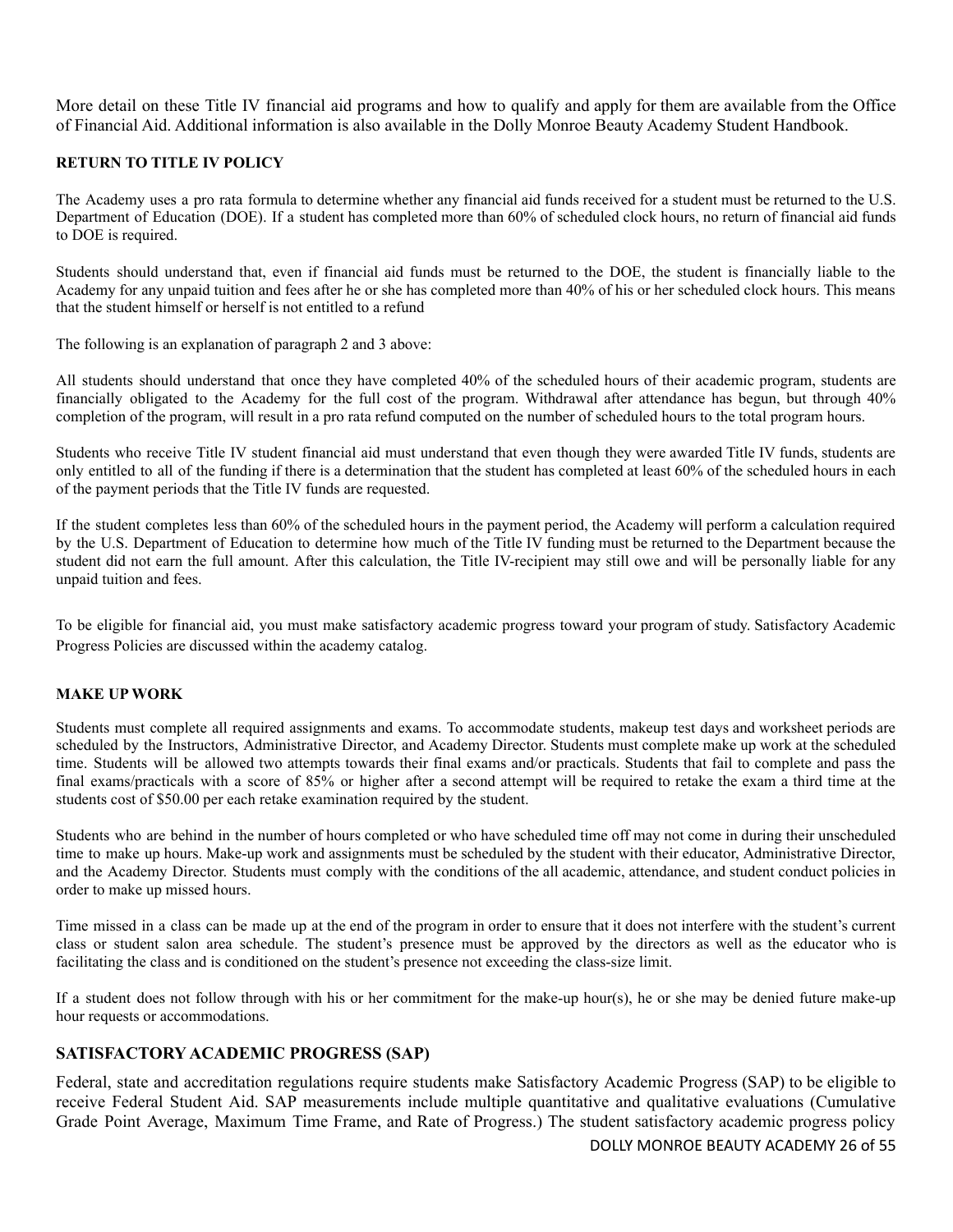More detail on these Title IV financial aid programs and how to qualify and apply for them are available from the Office of Financial Aid. Additional information is also available in the Dolly Monroe Beauty Academy Student Handbook.

# **RETURN TO TITLE IV POLICY**

The Academy uses a pro rata formula to determine whether any financial aid funds received for a student must be returned to the U.S. Department of Education (DOE). If a student has completed more than 60% of scheduled clock hours, no return of financial aid funds to DOE is required.

Students should understand that, even if financial aid funds must be returned to the DOE, the student is financially liable to the Academy for any unpaid tuition and fees after he or she has completed more than 40% of his or her scheduled clock hours. This means that the student himself or herself is not entitled to a refund

The following is an explanation of paragraph 2 and 3 above:

All students should understand that once they have completed 40% of the scheduled hours of their academic program, students are financially obligated to the Academy for the full cost of the program. Withdrawal after attendance has begun, but through 40% completion of the program, will result in a pro rata refund computed on the number of scheduled hours to the total program hours.

Students who receive Title IV student financial aid must understand that even though they were awarded Title IV funds, students are only entitled to all of the funding if there is a determination that the student has completed at least 60% of the scheduled hours in each of the payment periods that the Title IV funds are requested.

If the student completes less than 60% of the scheduled hours in the payment period, the Academy will perform a calculation required by the U.S. Department of Education to determine how much of the Title IV funding must be returned to the Department because the student did not earn the full amount. After this calculation, the Title IV-recipient may still owe and will be personally liable for any unpaid tuition and fees.

To be eligible for financial aid, you must make satisfactory academic progress toward your program of study. Satisfactory Academic Progress Policies are discussed within the academy catalog.

# **MAKE UP WORK**

Students must complete all required assignments and exams. To accommodate students, makeup test days and worksheet periods are scheduled by the Instructors, Administrative Director, and Academy Director. Students must complete make up work at the scheduled time. Students will be allowed two attempts towards their final exams and/or practicals. Students that fail to complete and pass the final exams/practicals with a score of 85% or higher after a second attempt will be required to retake the exam a third time at the students cost of \$50.00 per each retake examination required by the student.

Students who are behind in the number of hours completed or who have scheduled time off may not come in during their unscheduled time to make up hours. Make-up work and assignments must be scheduled by the student with their educator, Administrative Director, and the Academy Director. Students must comply with the conditions of the all academic, attendance, and student conduct policies in order to make up missed hours.

Time missed in a class can be made up at the end of the program in order to ensure that it does not interfere with the student's current class or student salon area schedule. The student's presence must be approved by the directors as well as the educator who is facilitating the class and is conditioned on the student's presence not exceeding the class-size limit.

If a student does not follow through with his or her commitment for the make-up hour(s), he or she may be denied future make-up hour requests or accommodations.

# **SATISFACTORY ACADEMIC PROGRESS (SAP)**

Federal, state and accreditation regulations require students make Satisfactory Academic Progress (SAP) to be eligible to receive Federal Student Aid. SAP measurements include multiple quantitative and qualitative evaluations (Cumulative Grade Point Average, Maximum Time Frame, and Rate of Progress.) The student satisfactory academic progress policy

# DOLLY MONROE BEAUTY ACADEMY 26 of 55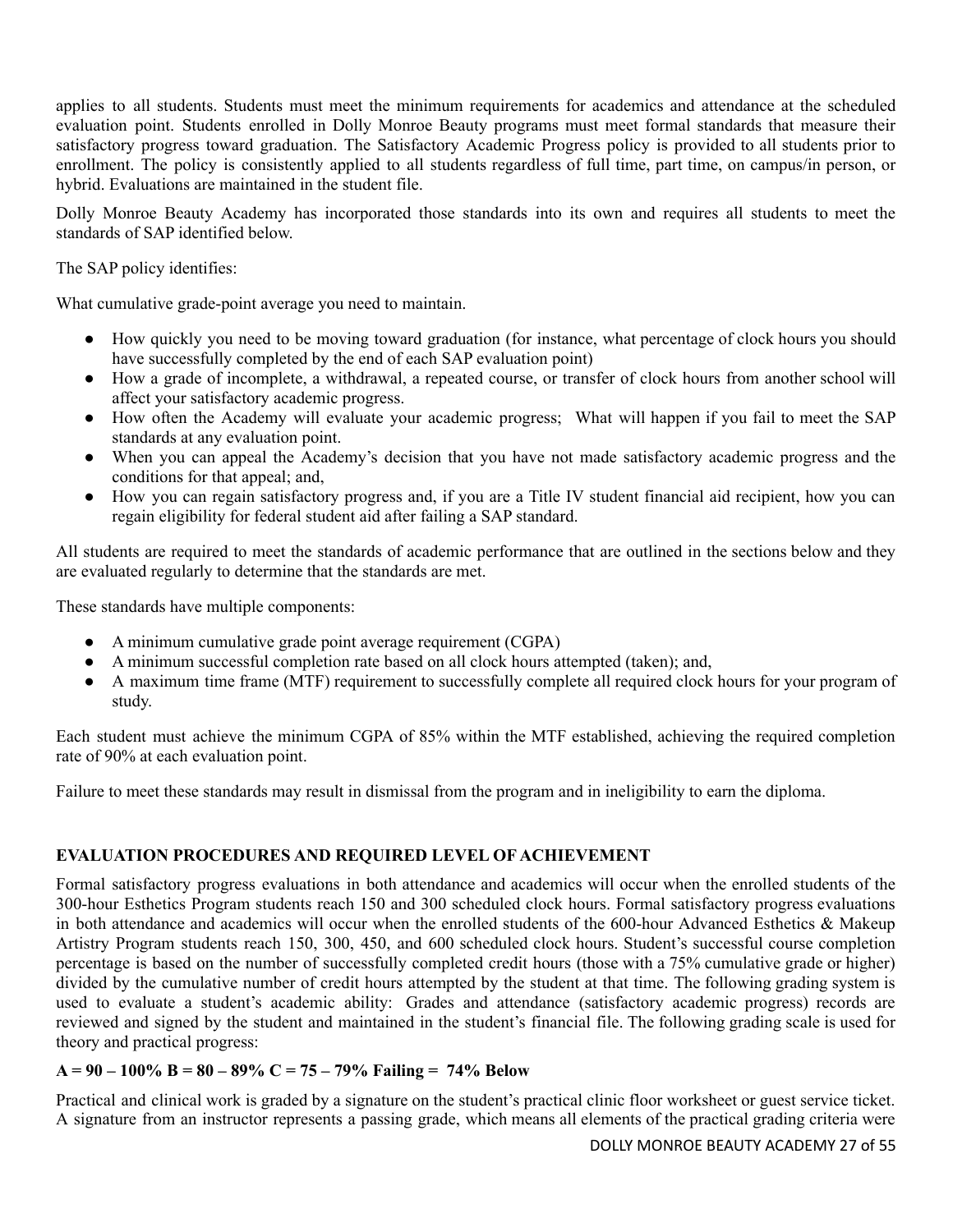applies to all students. Students must meet the minimum requirements for academics and attendance at the scheduled evaluation point. Students enrolled in Dolly Monroe Beauty programs must meet formal standards that measure their satisfactory progress toward graduation. The Satisfactory Academic Progress policy is provided to all students prior to enrollment. The policy is consistently applied to all students regardless of full time, part time, on campus/in person, or hybrid. Evaluations are maintained in the student file.

Dolly Monroe Beauty Academy has incorporated those standards into its own and requires all students to meet the standards of SAP identified below.

The SAP policy identifies:

What cumulative grade-point average you need to maintain.

- How quickly you need to be moving toward graduation (for instance, what percentage of clock hours you should have successfully completed by the end of each SAP evaluation point)
- How a grade of incomplete, a withdrawal, a repeated course, or transfer of clock hours from another school will affect your satisfactory academic progress.
- How often the Academy will evaluate your academic progress; What will happen if you fail to meet the SAP standards at any evaluation point.
- When you can appeal the Academy's decision that you have not made satisfactory academic progress and the conditions for that appeal; and,
- How you can regain satisfactory progress and, if you are a Title IV student financial aid recipient, how you can regain eligibility for federal student aid after failing a SAP standard.

All students are required to meet the standards of academic performance that are outlined in the sections below and they are evaluated regularly to determine that the standards are met.

These standards have multiple components:

- A minimum cumulative grade point average requirement (CGPA)
- A minimum successful completion rate based on all clock hours attempted (taken); and,
- A maximum time frame (MTF) requirement to successfully complete all required clock hours for your program of study.

Each student must achieve the minimum CGPA of 85% within the MTF established, achieving the required completion rate of 90% at each evaluation point.

Failure to meet these standards may result in dismissal from the program and in ineligibility to earn the diploma.

# **EVALUATION PROCEDURES AND REQUIRED LEVEL OF ACHIEVEMENT**

Formal satisfactory progress evaluations in both attendance and academics will occur when the enrolled students of the 300-hour Esthetics Program students reach 150 and 300 scheduled clock hours. Formal satisfactory progress evaluations in both attendance and academics will occur when the enrolled students of the 600-hour Advanced Esthetics & Makeup Artistry Program students reach 150, 300, 450, and 600 scheduled clock hours. Student's successful course completion percentage is based on the number of successfully completed credit hours (those with a 75% cumulative grade or higher) divided by the cumulative number of credit hours attempted by the student at that time. The following grading system is used to evaluate a student's academic ability: Grades and attendance (satisfactory academic progress) records are reviewed and signed by the student and maintained in the student's financial file. The following grading scale is used for theory and practical progress:

# **A = 90 – 100% B = 80 – 89% C = 75 – 79% Failing = 74% Below**

Practical and clinical work is graded by a signature on the student's practical clinic floor worksheet or guest service ticket. A signature from an instructor represents a passing grade, which means all elements of the practical grading criteria were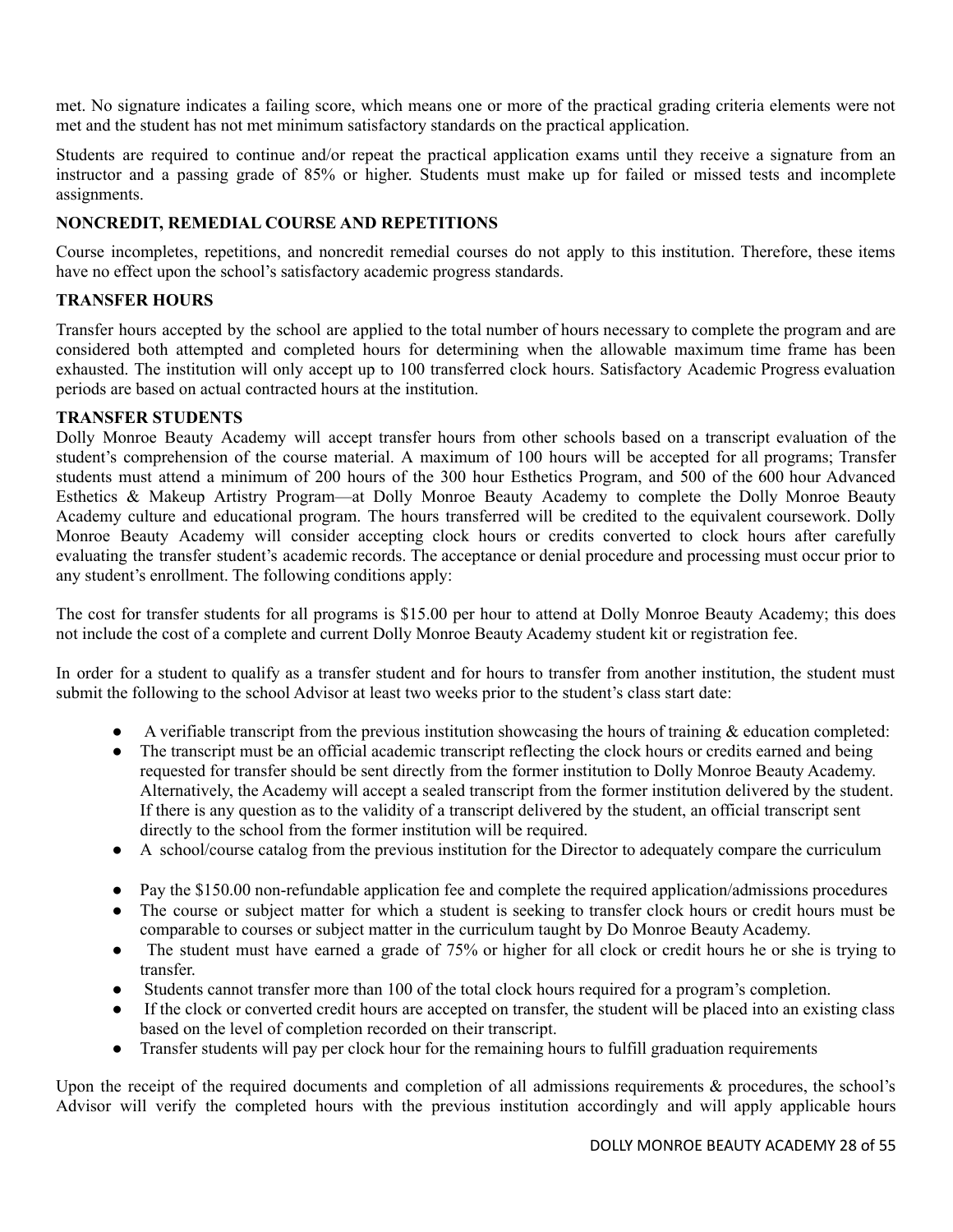met. No signature indicates a failing score, which means one or more of the practical grading criteria elements were not met and the student has not met minimum satisfactory standards on the practical application.

Students are required to continue and/or repeat the practical application exams until they receive a signature from an instructor and a passing grade of 85% or higher. Students must make up for failed or missed tests and incomplete assignments.

# **NONCREDIT, REMEDIAL COURSE AND REPETITIONS**

Course incompletes, repetitions, and noncredit remedial courses do not apply to this institution. Therefore, these items have no effect upon the school's satisfactory academic progress standards.

# **TRANSFER HOURS**

Transfer hours accepted by the school are applied to the total number of hours necessary to complete the program and are considered both attempted and completed hours for determining when the allowable maximum time frame has been exhausted. The institution will only accept up to 100 transferred clock hours. Satisfactory Academic Progress evaluation periods are based on actual contracted hours at the institution.

# **TRANSFER STUDENTS**

Dolly Monroe Beauty Academy will accept transfer hours from other schools based on a transcript evaluation of the student's comprehension of the course material. A maximum of 100 hours will be accepted for all programs; Transfer students must attend a minimum of 200 hours of the 300 hour Esthetics Program, and 500 of the 600 hour Advanced Esthetics & Makeup Artistry Program—at Dolly Monroe Beauty Academy to complete the Dolly Monroe Beauty Academy culture and educational program. The hours transferred will be credited to the equivalent coursework. Dolly Monroe Beauty Academy will consider accepting clock hours or credits converted to clock hours after carefully evaluating the transfer student's academic records. The acceptance or denial procedure and processing must occur prior to any student's enrollment. The following conditions apply:

The cost for transfer students for all programs is \$15.00 per hour to attend at Dolly Monroe Beauty Academy; this does not include the cost of a complete and current Dolly Monroe Beauty Academy student kit or registration fee.

In order for a student to qualify as a transfer student and for hours to transfer from another institution, the student must submit the following to the school Advisor at least two weeks prior to the student's class start date:

- A verifiable transcript from the previous institution showcasing the hours of training & education completed:
- The transcript must be an official academic transcript reflecting the clock hours or credits earned and being requested for transfer should be sent directly from the former institution to Dolly Monroe Beauty Academy. Alternatively, the Academy will accept a sealed transcript from the former institution delivered by the student. If there is any question as to the validity of a transcript delivered by the student, an official transcript sent directly to the school from the former institution will be required.
- A school/course catalog from the previous institution for the Director to adequately compare the curriculum
- Pay the \$150.00 non-refundable application fee and complete the required application/admissions procedures
- The course or subject matter for which a student is seeking to transfer clock hours or credit hours must be comparable to courses or subject matter in the curriculum taught by Do Monroe Beauty Academy.
- The student must have earned a grade of 75% or higher for all clock or credit hours he or she is trying to transfer.
- Students cannot transfer more than 100 of the total clock hours required for a program's completion.
- If the clock or converted credit hours are accepted on transfer, the student will be placed into an existing class based on the level of completion recorded on their transcript.
- Transfer students will pay per clock hour for the remaining hours to fulfill graduation requirements

Upon the receipt of the required documents and completion of all admissions requirements & procedures, the school's Advisor will verify the completed hours with the previous institution accordingly and will apply applicable hours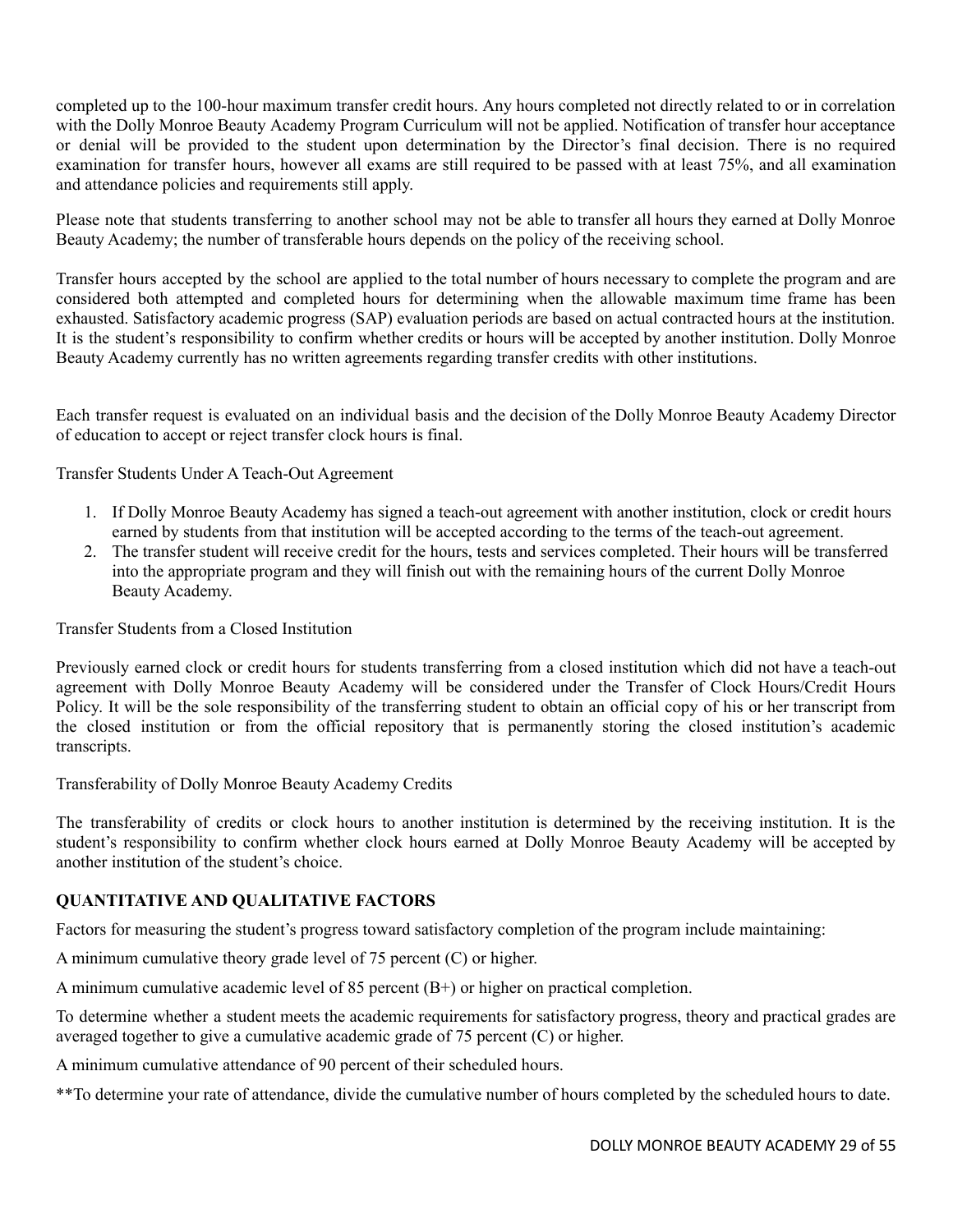completed up to the 100-hour maximum transfer credit hours. Any hours completed not directly related to or in correlation with the Dolly Monroe Beauty Academy Program Curriculum will not be applied. Notification of transfer hour acceptance or denial will be provided to the student upon determination by the Director's final decision. There is no required examination for transfer hours, however all exams are still required to be passed with at least 75%, and all examination and attendance policies and requirements still apply.

Please note that students transferring to another school may not be able to transfer all hours they earned at Dolly Monroe Beauty Academy; the number of transferable hours depends on the policy of the receiving school.

Transfer hours accepted by the school are applied to the total number of hours necessary to complete the program and are considered both attempted and completed hours for determining when the allowable maximum time frame has been exhausted. Satisfactory academic progress (SAP) evaluation periods are based on actual contracted hours at the institution. It is the student's responsibility to confirm whether credits or hours will be accepted by another institution. Dolly Monroe Beauty Academy currently has no written agreements regarding transfer credits with other institutions.

Each transfer request is evaluated on an individual basis and the decision of the Dolly Monroe Beauty Academy Director of education to accept or reject transfer clock hours is final.

Transfer Students Under A Teach-Out Agreement

- 1. If Dolly Monroe Beauty Academy has signed a teach-out agreement with another institution, clock or credit hours earned by students from that institution will be accepted according to the terms of the teach-out agreement.
- 2. The transfer student will receive credit for the hours, tests and services completed. Their hours will be transferred into the appropriate program and they will finish out with the remaining hours of the current Dolly Monroe Beauty Academy.

Transfer Students from a Closed Institution

Previously earned clock or credit hours for students transferring from a closed institution which did not have a teach-out agreement with Dolly Monroe Beauty Academy will be considered under the Transfer of Clock Hours/Credit Hours Policy. It will be the sole responsibility of the transferring student to obtain an official copy of his or her transcript from the closed institution or from the official repository that is permanently storing the closed institution's academic transcripts.

Transferability of Dolly Monroe Beauty Academy Credits

The transferability of credits or clock hours to another institution is determined by the receiving institution. It is the student's responsibility to confirm whether clock hours earned at Dolly Monroe Beauty Academy will be accepted by another institution of the student's choice.

# **QUANTITATIVE AND QUALITATIVE FACTORS**

Factors for measuring the student's progress toward satisfactory completion of the program include maintaining:

A minimum cumulative theory grade level of 75 percent (C) or higher.

A minimum cumulative academic level of 85 percent (B+) or higher on practical completion.

To determine whether a student meets the academic requirements for satisfactory progress, theory and practical grades are averaged together to give a cumulative academic grade of 75 percent (C) or higher.

A minimum cumulative attendance of 90 percent of their scheduled hours.

\*\*To determine your rate of attendance, divide the cumulative number of hours completed by the scheduled hours to date.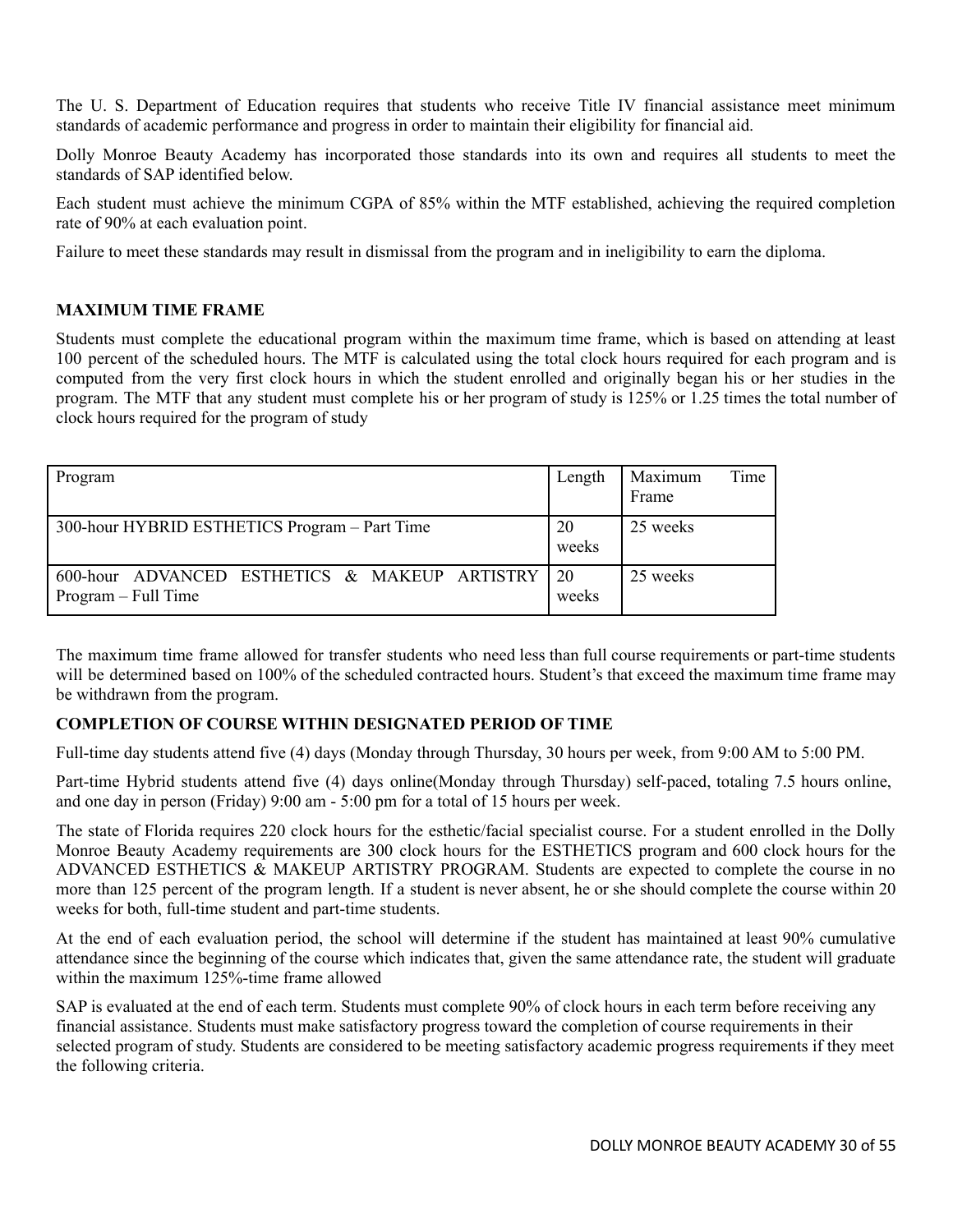The U. S. Department of Education requires that students who receive Title IV financial assistance meet minimum standards of academic performance and progress in order to maintain their eligibility for financial aid.

Dolly Monroe Beauty Academy has incorporated those standards into its own and requires all students to meet the standards of SAP identified below.

Each student must achieve the minimum CGPA of 85% within the MTF established, achieving the required completion rate of 90% at each evaluation point.

Failure to meet these standards may result in dismissal from the program and in ineligibility to earn the diploma.

# **MAXIMUM TIME FRAME**

Students must complete the educational program within the maximum time frame, which is based on attending at least 100 percent of the scheduled hours. The MTF is calculated using the total clock hours required for each program and is computed from the very first clock hours in which the student enrolled and originally began his or her studies in the program. The MTF that any student must complete his or her program of study is 125% or 1.25 times the total number of clock hours required for the program of study

| Program                                                              | Length      | Time<br>Maximum<br>Frame |
|----------------------------------------------------------------------|-------------|--------------------------|
| 300-hour HYBRID ESTHETICS Program - Part Time                        | 20<br>weeks | 25 weeks                 |
| 600-hour ADVANCED ESTHETICS & MAKEUP ARTISTRY<br>Program – Full Time | 20<br>weeks | 25 weeks                 |

The maximum time frame allowed for transfer students who need less than full course requirements or part-time students will be determined based on 100% of the scheduled contracted hours. Student's that exceed the maximum time frame may be withdrawn from the program.

# **COMPLETION OF COURSE WITHIN DESIGNATED PERIOD OF TIME**

Full-time day students attend five (4) days (Monday through Thursday, 30 hours per week, from 9:00 AM to 5:00 PM.

Part-time Hybrid students attend five (4) days online(Monday through Thursday) self-paced, totaling 7.5 hours online, and one day in person (Friday) 9:00 am - 5:00 pm for a total of 15 hours per week.

The state of Florida requires 220 clock hours for the esthetic/facial specialist course. For a student enrolled in the Dolly Monroe Beauty Academy requirements are 300 clock hours for the ESTHETICS program and 600 clock hours for the ADVANCED ESTHETICS & MAKEUP ARTISTRY PROGRAM. Students are expected to complete the course in no more than 125 percent of the program length. If a student is never absent, he or she should complete the course within 20 weeks for both, full-time student and part-time students.

At the end of each evaluation period, the school will determine if the student has maintained at least 90% cumulative attendance since the beginning of the course which indicates that, given the same attendance rate, the student will graduate within the maximum 125%-time frame allowed

SAP is evaluated at the end of each term. Students must complete 90% of clock hours in each term before receiving any financial assistance. Students must make satisfactory progress toward the completion of course requirements in their selected program of study. Students are considered to be meeting satisfactory academic progress requirements if they meet the following criteria.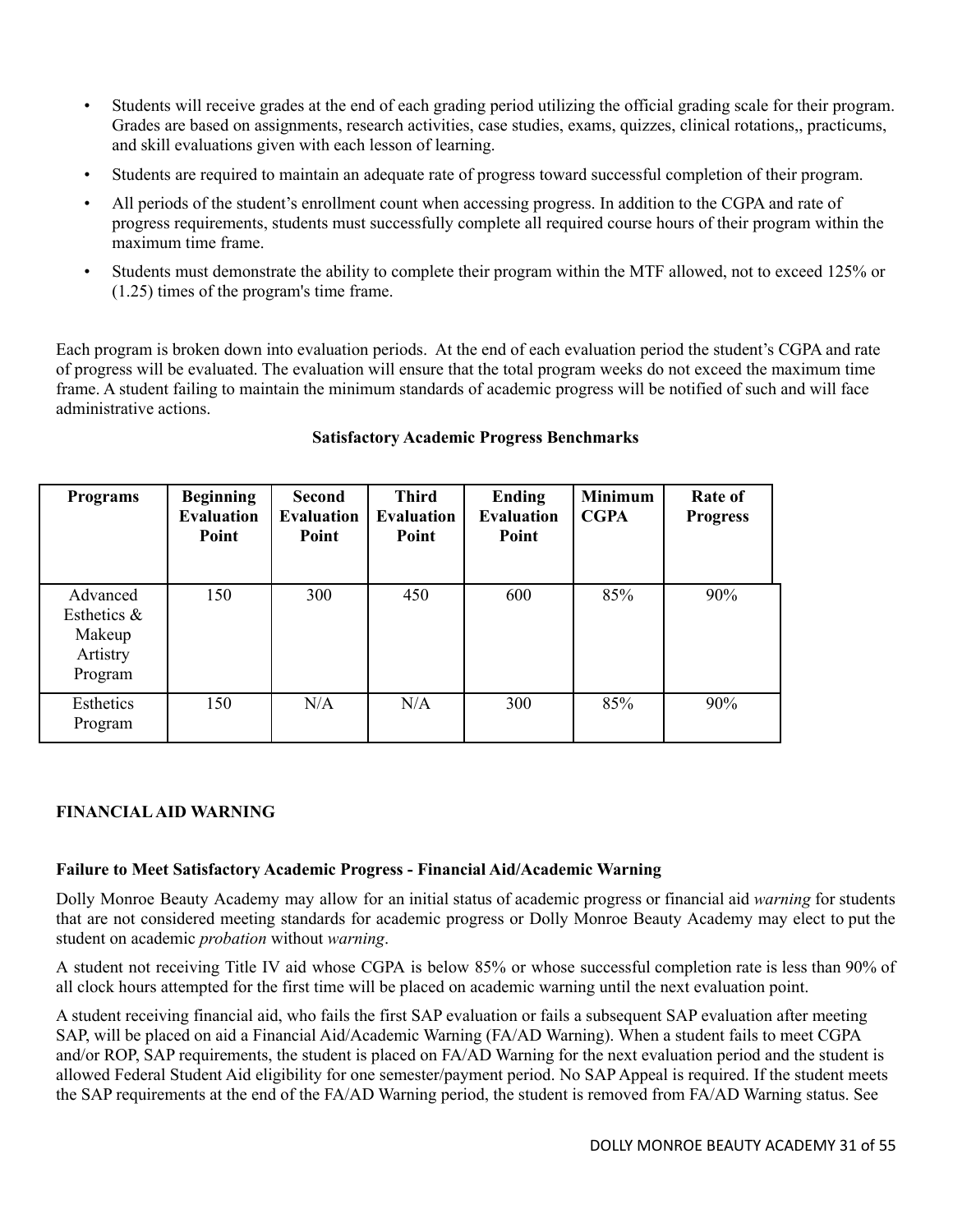- Students will receive grades at the end of each grading period utilizing the official grading scale for their program. Grades are based on assignments, research activities, case studies, exams, quizzes, clinical rotations,, practicums, and skill evaluations given with each lesson of learning.
- Students are required to maintain an adequate rate of progress toward successful completion of their program.
- All periods of the student's enrollment count when accessing progress. In addition to the CGPA and rate of progress requirements, students must successfully complete all required course hours of their program within the maximum time frame.
- Students must demonstrate the ability to complete their program within the MTF allowed, not to exceed 125% or (1.25) times of the program's time frame.

Each program is broken down into evaluation periods. At the end of each evaluation period the student's CGPA and rate of progress will be evaluated. The evaluation will ensure that the total program weeks do not exceed the maximum time frame. A student failing to maintain the minimum standards of academic progress will be notified of such and will face administrative actions.

| <b>Programs</b>                                             | <b>Beginning</b><br><b>Evaluation</b><br>Point | Second<br><b>Evaluation</b><br>Point | <b>Third</b><br><b>Evaluation</b><br>Point | <b>Ending</b><br><b>Evaluation</b><br>Point | <b>Minimum</b><br><b>CGPA</b> | Rate of<br><b>Progress</b> |
|-------------------------------------------------------------|------------------------------------------------|--------------------------------------|--------------------------------------------|---------------------------------------------|-------------------------------|----------------------------|
| Advanced<br>Esthetics $\&$<br>Makeup<br>Artistry<br>Program | 150                                            | 300                                  | 450                                        | 600                                         | 85%                           | 90%                        |
| Esthetics<br>Program                                        | 150                                            | N/A                                  | N/A                                        | 300                                         | 85%                           | 90%                        |

# **Satisfactory Academic Progress Benchmarks**

# **FINANCIALAID WARNING**

# **Failure to Meet Satisfactory Academic Progress - Financial Aid/Academic Warning**

Dolly Monroe Beauty Academy may allow for an initial status of academic progress or financial aid *warning* for students that are not considered meeting standards for academic progress or Dolly Monroe Beauty Academy may elect to put the student on academic *probation* without *warning*.

A student not receiving Title IV aid whose CGPA is below 85% or whose successful completion rate is less than 90% of all clock hours attempted for the first time will be placed on academic warning until the next evaluation point.

A student receiving financial aid, who fails the first SAP evaluation or fails a subsequent SAP evaluation after meeting SAP, will be placed on aid a Financial Aid/Academic Warning (FA/AD Warning). When a student fails to meet CGPA and/or ROP, SAP requirements, the student is placed on FA/AD Warning for the next evaluation period and the student is allowed Federal Student Aid eligibility for one semester/payment period. No SAP Appeal is required. If the student meets the SAP requirements at the end of the FA/AD Warning period, the student is removed from FA/AD Warning status. See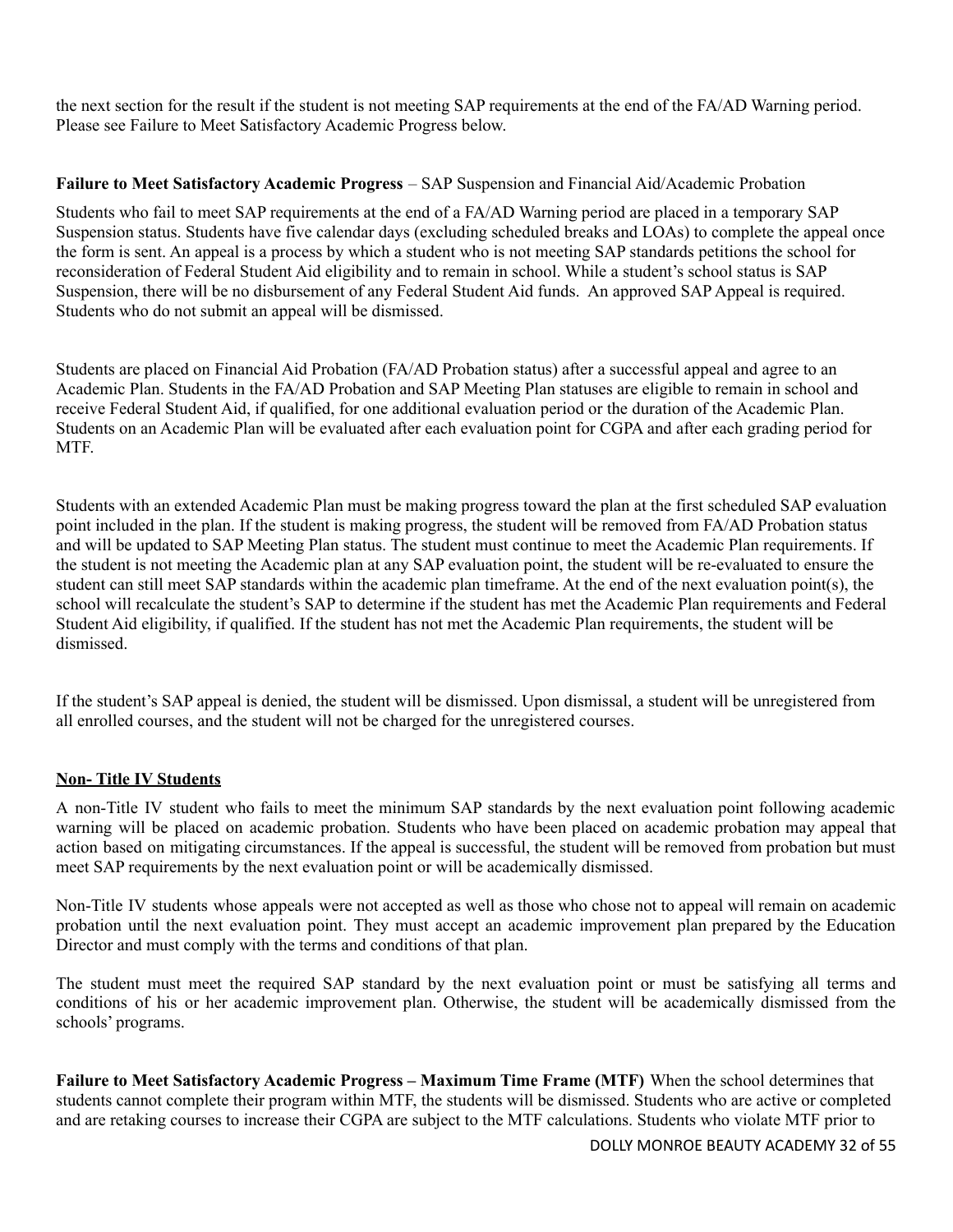the next section for the result if the student is not meeting SAP requirements at the end of the FA/AD Warning period. Please see Failure to Meet Satisfactory Academic Progress below.

# **Failure to Meet Satisfactory Academic Progress** – SAP Suspension and Financial Aid/Academic Probation

Students who fail to meet SAP requirements at the end of a FA/AD Warning period are placed in a temporary SAP Suspension status. Students have five calendar days (excluding scheduled breaks and LOAs) to complete the appeal once the form is sent. An appeal is a process by which a student who is not meeting SAP standards petitions the school for reconsideration of Federal Student Aid eligibility and to remain in school. While a student's school status is SAP Suspension, there will be no disbursement of any Federal Student Aid funds. An approved SAP Appeal is required. Students who do not submit an appeal will be dismissed.

Students are placed on Financial Aid Probation (FA/AD Probation status) after a successful appeal and agree to an Academic Plan. Students in the FA/AD Probation and SAP Meeting Plan statuses are eligible to remain in school and receive Federal Student Aid, if qualified, for one additional evaluation period or the duration of the Academic Plan. Students on an Academic Plan will be evaluated after each evaluation point for CGPA and after each grading period for MTF.

Students with an extended Academic Plan must be making progress toward the plan at the first scheduled SAP evaluation point included in the plan. If the student is making progress, the student will be removed from FA/AD Probation status and will be updated to SAP Meeting Plan status. The student must continue to meet the Academic Plan requirements. If the student is not meeting the Academic plan at any SAP evaluation point, the student will be re-evaluated to ensure the student can still meet SAP standards within the academic plan timeframe. At the end of the next evaluation point(s), the school will recalculate the student's SAP to determine if the student has met the Academic Plan requirements and Federal Student Aid eligibility, if qualified. If the student has not met the Academic Plan requirements, the student will be dismissed.

If the student's SAP appeal is denied, the student will be dismissed. Upon dismissal, a student will be unregistered from all enrolled courses, and the student will not be charged for the unregistered courses.

# **Non- Title IV Students**

A non-Title IV student who fails to meet the minimum SAP standards by the next evaluation point following academic warning will be placed on academic probation. Students who have been placed on academic probation may appeal that action based on mitigating circumstances. If the appeal is successful, the student will be removed from probation but must meet SAP requirements by the next evaluation point or will be academically dismissed.

Non-Title IV students whose appeals were not accepted as well as those who chose not to appeal will remain on academic probation until the next evaluation point. They must accept an academic improvement plan prepared by the Education Director and must comply with the terms and conditions of that plan.

The student must meet the required SAP standard by the next evaluation point or must be satisfying all terms and conditions of his or her academic improvement plan. Otherwise, the student will be academically dismissed from the schools' programs.

**Failure to Meet Satisfactory Academic Progress – Maximum Time Frame (MTF)** When the school determines that students cannot complete their program within MTF, the students will be dismissed. Students who are active or completed and are retaking courses to increase their CGPA are subject to the MTF calculations. Students who violate MTF prior to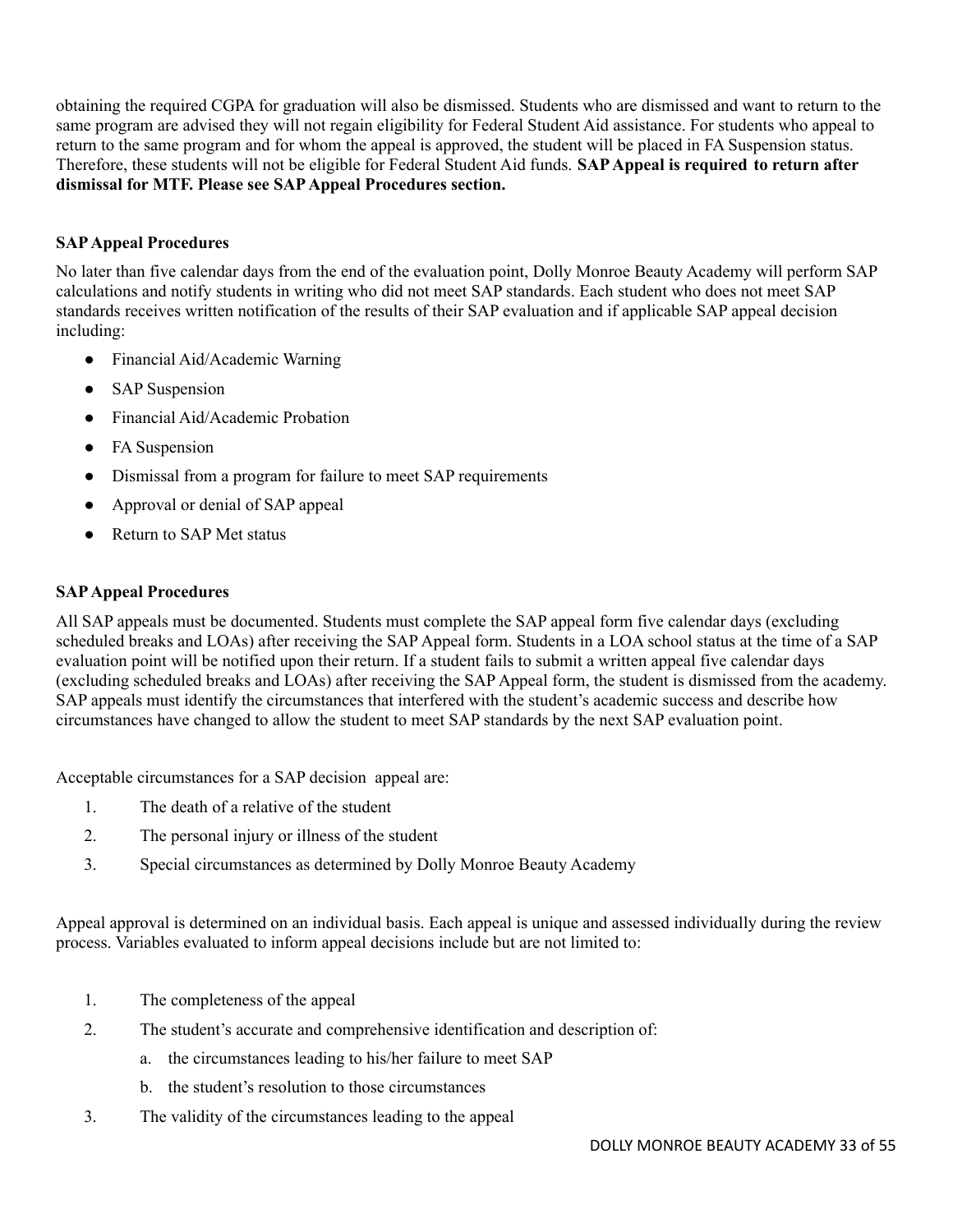obtaining the required CGPA for graduation will also be dismissed. Students who are dismissed and want to return to the same program are advised they will not regain eligibility for Federal Student Aid assistance. For students who appeal to return to the same program and for whom the appeal is approved, the student will be placed in FA Suspension status. Therefore, these students will not be eligible for Federal Student Aid funds. **SAPAppeal is required to return after dismissal for MTF. Please see SAPAppeal Procedures section.**

# **SAPAppeal Procedures**

No later than five calendar days from the end of the evaluation point, Dolly Monroe Beauty Academy will perform SAP calculations and notify students in writing who did not meet SAP standards. Each student who does not meet SAP standards receives written notification of the results of their SAP evaluation and if applicable SAP appeal decision including:

- Financial Aid/Academic Warning
- SAP Suspension
- Financial Aid/Academic Probation
- **FA** Suspension
- Dismissal from a program for failure to meet SAP requirements
- Approval or denial of SAP appeal
- **Return to SAP Met status**

# **SAPAppeal Procedures**

All SAP appeals must be documented. Students must complete the SAP appeal form five calendar days (excluding scheduled breaks and LOAs) after receiving the SAP Appeal form. Students in a LOA school status at the time of a SAP evaluation point will be notified upon their return. If a student fails to submit a written appeal five calendar days (excluding scheduled breaks and LOAs) after receiving the SAP Appeal form, the student is dismissed from the academy. SAP appeals must identify the circumstances that interfered with the student's academic success and describe how circumstances have changed to allow the student to meet SAP standards by the next SAP evaluation point.

Acceptable circumstances for a SAP decision appeal are:

- 1. The death of a relative of the student
- 2. The personal injury or illness of the student
- 3. Special circumstances as determined by Dolly Monroe Beauty Academy

Appeal approval is determined on an individual basis. Each appeal is unique and assessed individually during the review process. Variables evaluated to inform appeal decisions include but are not limited to:

- 1. The completeness of the appeal
- 2. The student's accurate and comprehensive identification and description of:
	- a. the circumstances leading to his/her failure to meet SAP
	- b. the student's resolution to those circumstances
- 3. The validity of the circumstances leading to the appeal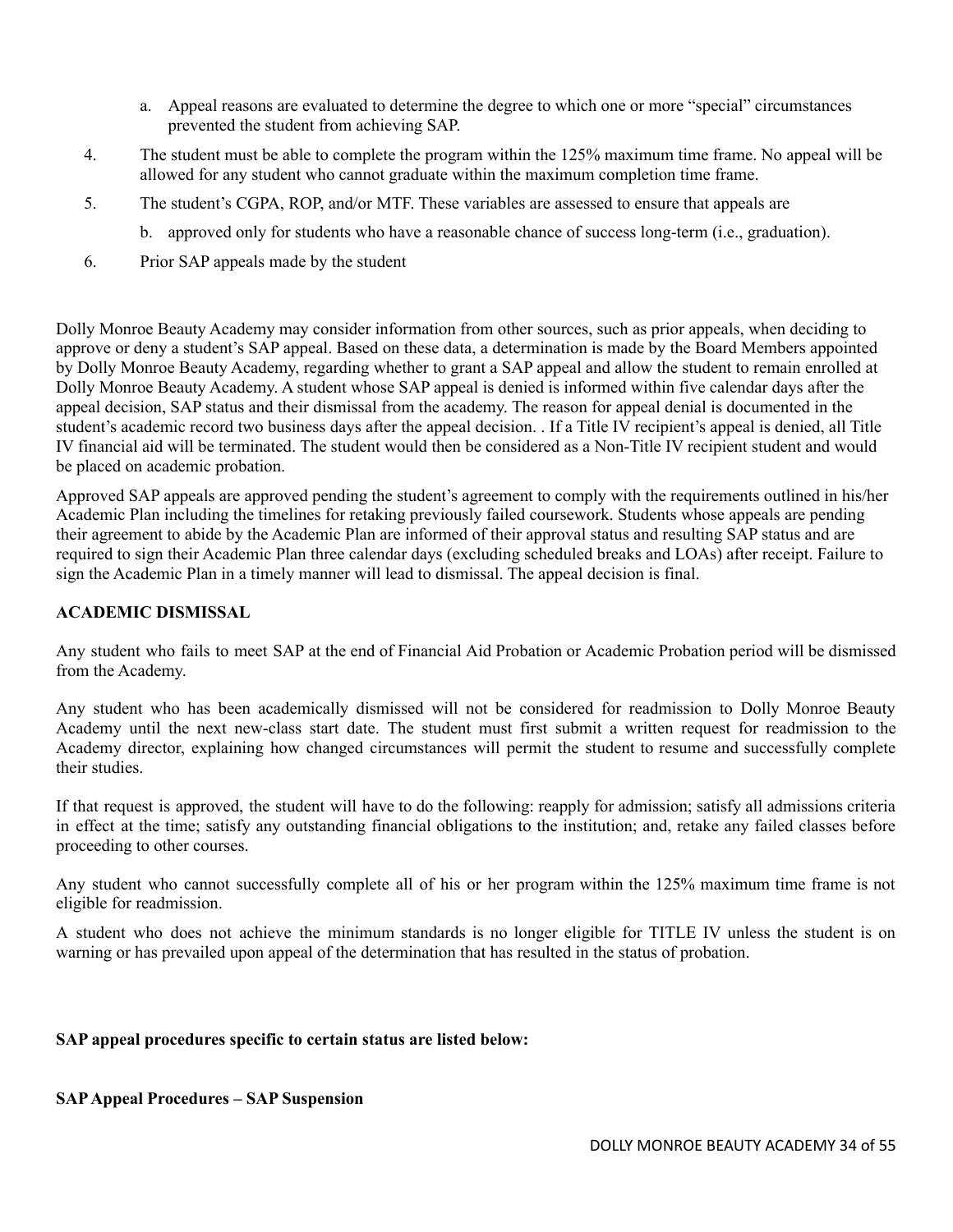- a. Appeal reasons are evaluated to determine the degree to which one or more "special" circumstances prevented the student from achieving SAP.
- 4. The student must be able to complete the program within the 125% maximum time frame. No appeal will be allowed for any student who cannot graduate within the maximum completion time frame.
- 5. The student's CGPA, ROP, and/or MTF. These variables are assessed to ensure that appeals are
	- b. approved only for students who have a reasonable chance of success long-term (i.e., graduation).
- 6. Prior SAP appeals made by the student

Dolly Monroe Beauty Academy may consider information from other sources, such as prior appeals, when deciding to approve or deny a student's SAP appeal. Based on these data, a determination is made by the Board Members appointed by Dolly Monroe Beauty Academy, regarding whether to grant a SAP appeal and allow the student to remain enrolled at Dolly Monroe Beauty Academy. A student whose SAP appeal is denied is informed within five calendar days after the appeal decision, SAP status and their dismissal from the academy. The reason for appeal denial is documented in the student's academic record two business days after the appeal decision. . If a Title IV recipient's appeal is denied, all Title IV financial aid will be terminated. The student would then be considered as a Non-Title IV recipient student and would be placed on academic probation.

Approved SAP appeals are approved pending the student's agreement to comply with the requirements outlined in his/her Academic Plan including the timelines for retaking previously failed coursework. Students whose appeals are pending their agreement to abide by the Academic Plan are informed of their approval status and resulting SAP status and are required to sign their Academic Plan three calendar days (excluding scheduled breaks and LOAs) after receipt. Failure to sign the Academic Plan in a timely manner will lead to dismissal. The appeal decision is final.

# **ACADEMIC DISMISSAL**

Any student who fails to meet SAP at the end of Financial Aid Probation or Academic Probation period will be dismissed from the Academy.

Any student who has been academically dismissed will not be considered for readmission to Dolly Monroe Beauty Academy until the next new-class start date. The student must first submit a written request for readmission to the Academy director, explaining how changed circumstances will permit the student to resume and successfully complete their studies.

If that request is approved, the student will have to do the following: reapply for admission; satisfy all admissions criteria in effect at the time; satisfy any outstanding financial obligations to the institution; and, retake any failed classes before proceeding to other courses.

Any student who cannot successfully complete all of his or her program within the 125% maximum time frame is not eligible for readmission.

A student who does not achieve the minimum standards is no longer eligible for TITLE IV unless the student is on warning or has prevailed upon appeal of the determination that has resulted in the status of probation.

# **SAP appeal procedures specific to certain status are listed below:**

**SAPAppeal Procedures – SAP Suspension**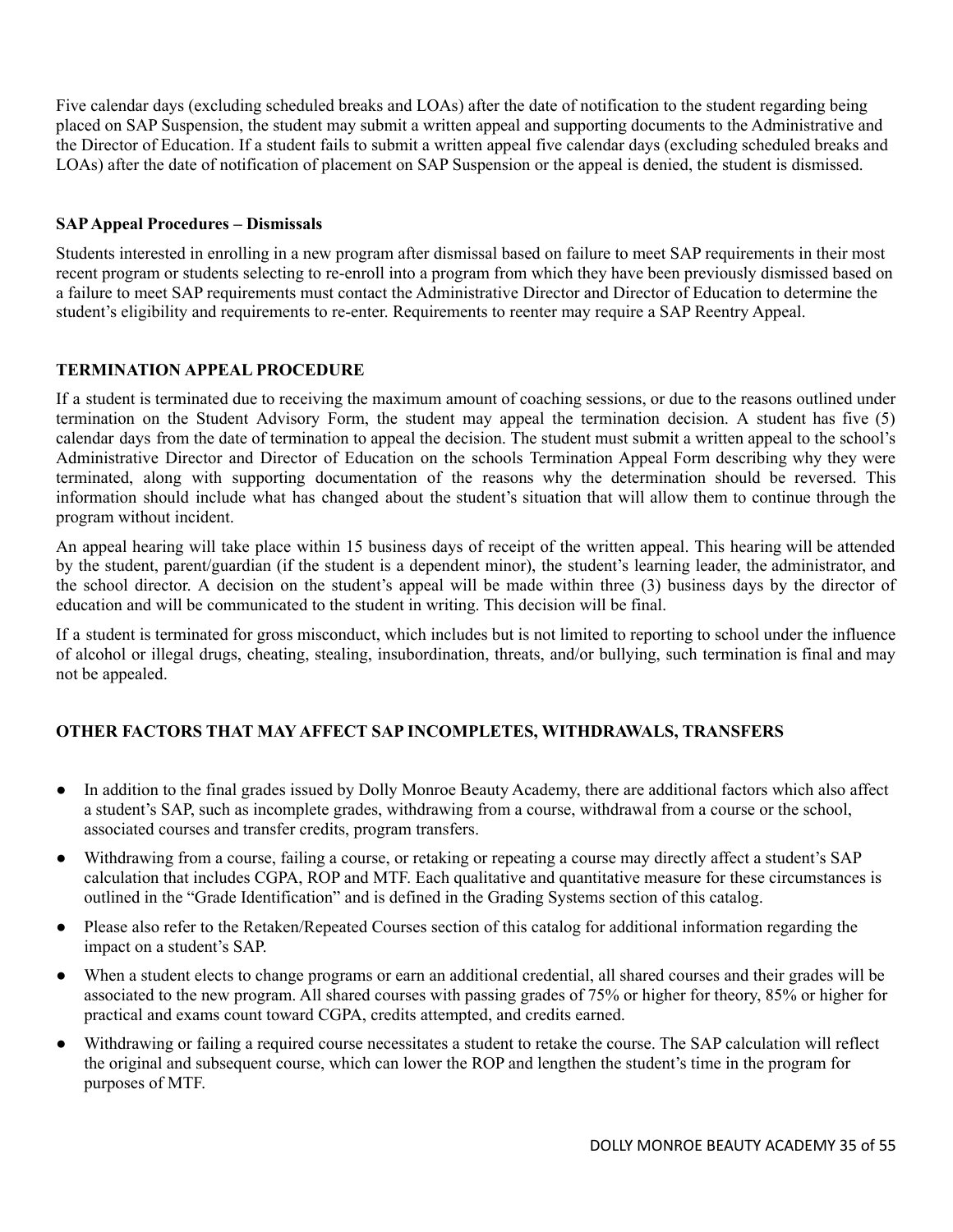Five calendar days (excluding scheduled breaks and LOAs) after the date of notification to the student regarding being placed on SAP Suspension, the student may submit a written appeal and supporting documents to the Administrative and the Director of Education. If a student fails to submit a written appeal five calendar days (excluding scheduled breaks and LOAs) after the date of notification of placement on SAP Suspension or the appeal is denied, the student is dismissed.

# **SAPAppeal Procedures – Dismissals**

Students interested in enrolling in a new program after dismissal based on failure to meet SAP requirements in their most recent program or students selecting to re-enroll into a program from which they have been previously dismissed based on a failure to meet SAP requirements must contact the Administrative Director and Director of Education to determine the student's eligibility and requirements to re-enter. Requirements to reenter may require a SAP Reentry Appeal.

# **TERMINATION APPEAL PROCEDURE**

If a student is terminated due to receiving the maximum amount of coaching sessions, or due to the reasons outlined under termination on the Student Advisory Form, the student may appeal the termination decision. A student has five (5) calendar days from the date of termination to appeal the decision. The student must submit a written appeal to the school's Administrative Director and Director of Education on the schools Termination Appeal Form describing why they were terminated, along with supporting documentation of the reasons why the determination should be reversed. This information should include what has changed about the student's situation that will allow them to continue through the program without incident.

An appeal hearing will take place within 15 business days of receipt of the written appeal. This hearing will be attended by the student, parent/guardian (if the student is a dependent minor), the student's learning leader, the administrator, and the school director. A decision on the student's appeal will be made within three (3) business days by the director of education and will be communicated to the student in writing. This decision will be final.

If a student is terminated for gross misconduct, which includes but is not limited to reporting to school under the influence of alcohol or illegal drugs, cheating, stealing, insubordination, threats, and/or bullying, such termination is final and may not be appealed.

# **OTHER FACTORS THAT MAY AFFECT SAP INCOMPLETES, WITHDRAWALS, TRANSFERS**

- In addition to the final grades issued by Dolly Monroe Beauty Academy, there are additional factors which also affect a student's SAP, such as incomplete grades, withdrawing from a course, withdrawal from a course or the school, associated courses and transfer credits, program transfers.
- Withdrawing from a course, failing a course, or retaking or repeating a course may directly affect a student's SAP calculation that includes CGPA, ROP and MTF. Each qualitative and quantitative measure for these circumstances is outlined in the "Grade Identification" and is defined in the Grading Systems section of this catalog.
- Please also refer to the Retaken/Repeated Courses section of this catalog for additional information regarding the impact on a student's SAP.
- When a student elects to change programs or earn an additional credential, all shared courses and their grades will be associated to the new program. All shared courses with passing grades of 75% or higher for theory, 85% or higher for practical and exams count toward CGPA, credits attempted, and credits earned.
- Withdrawing or failing a required course necessitates a student to retake the course. The SAP calculation will reflect the original and subsequent course, which can lower the ROP and lengthen the student's time in the program for purposes of MTF.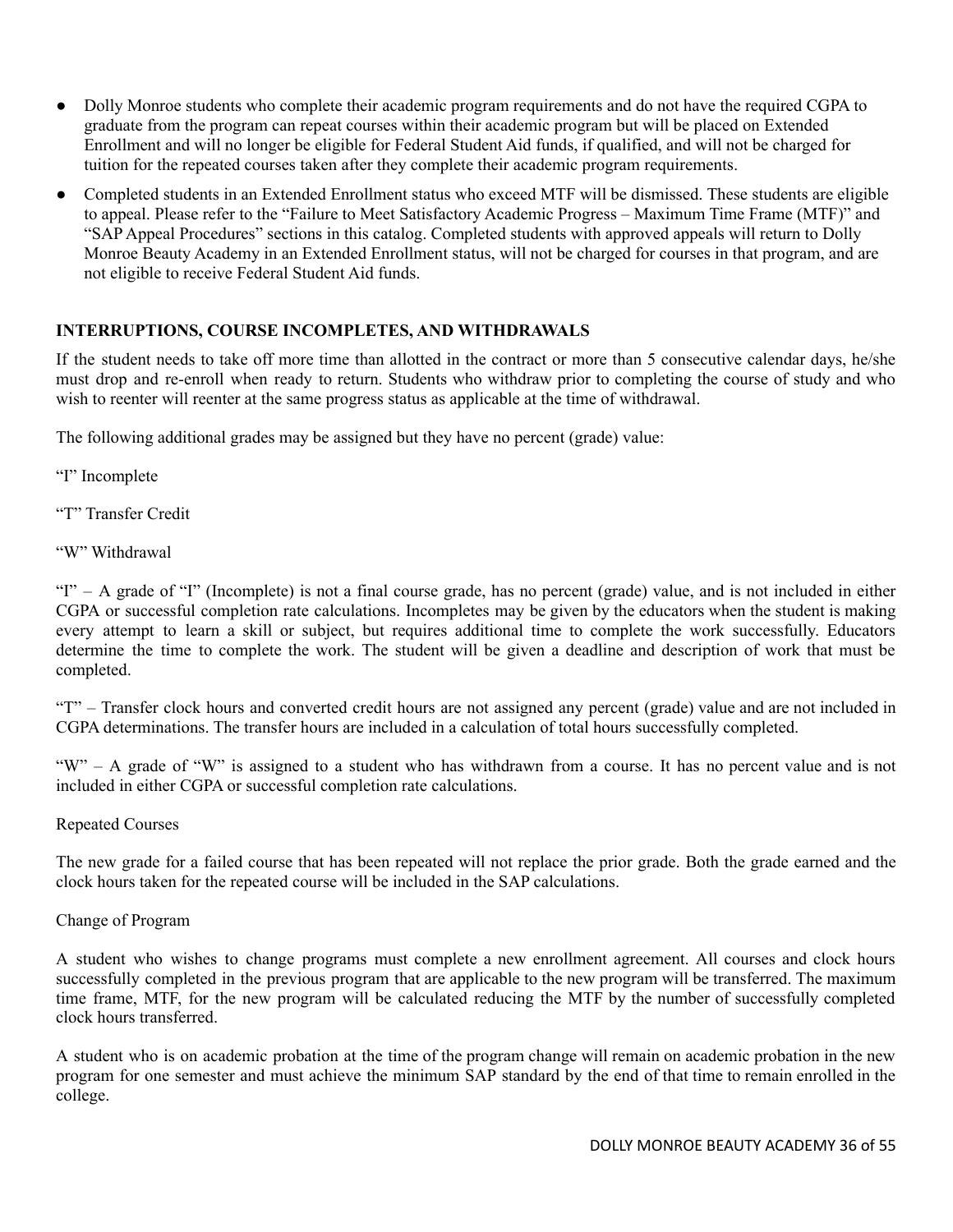- Dolly Monroe students who complete their academic program requirements and do not have the required CGPA to graduate from the program can repeat courses within their academic program but will be placed on Extended Enrollment and will no longer be eligible for Federal Student Aid funds, if qualified, and will not be charged for tuition for the repeated courses taken after they complete their academic program requirements.
- Completed students in an Extended Enrollment status who exceed MTF will be dismissed. These students are eligible to appeal. Please refer to the "Failure to Meet Satisfactory Academic Progress – Maximum Time Frame (MTF)" and "SAP Appeal Procedures" sections in this catalog. Completed students with approved appeals will return to Dolly Monroe Beauty Academy in an Extended Enrollment status, will not be charged for courses in that program, and are not eligible to receive Federal Student Aid funds.

# **INTERRUPTIONS, COURSE INCOMPLETES, AND WITHDRAWALS**

If the student needs to take off more time than allotted in the contract or more than 5 consecutive calendar days, he/she must drop and re-enroll when ready to return. Students who withdraw prior to completing the course of study and who wish to reenter will reenter at the same progress status as applicable at the time of withdrawal.

The following additional grades may be assigned but they have no percent (grade) value:

"I" Incomplete

"T" Transfer Credit

"W" Withdrawal

"I" – A grade of "I" (Incomplete) is not a final course grade, has no percent (grade) value, and is not included in either CGPA or successful completion rate calculations. Incompletes may be given by the educators when the student is making every attempt to learn a skill or subject, but requires additional time to complete the work successfully. Educators determine the time to complete the work. The student will be given a deadline and description of work that must be completed.

"T" – Transfer clock hours and converted credit hours are not assigned any percent (grade) value and are not included in CGPA determinations. The transfer hours are included in a calculation of total hours successfully completed.

"W" – A grade of "W" is assigned to a student who has withdrawn from a course. It has no percent value and is not included in either CGPA or successful completion rate calculations.

Repeated Courses

The new grade for a failed course that has been repeated will not replace the prior grade. Both the grade earned and the clock hours taken for the repeated course will be included in the SAP calculations.

Change of Program

A student who wishes to change programs must complete a new enrollment agreement. All courses and clock hours successfully completed in the previous program that are applicable to the new program will be transferred. The maximum time frame, MTF, for the new program will be calculated reducing the MTF by the number of successfully completed clock hours transferred.

A student who is on academic probation at the time of the program change will remain on academic probation in the new program for one semester and must achieve the minimum SAP standard by the end of that time to remain enrolled in the college.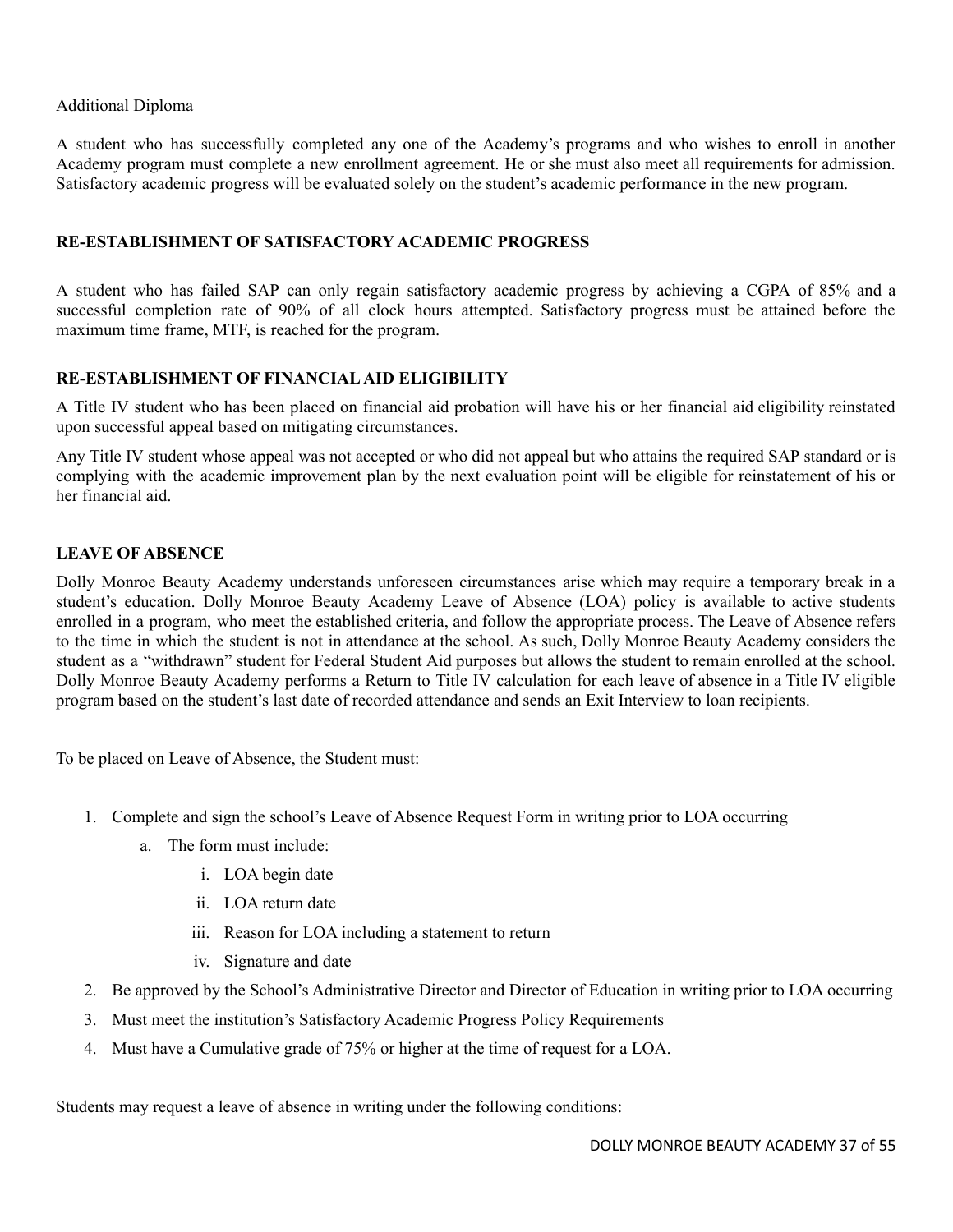# Additional Diploma

A student who has successfully completed any one of the Academy's programs and who wishes to enroll in another Academy program must complete a new enrollment agreement. He or she must also meet all requirements for admission. Satisfactory academic progress will be evaluated solely on the student's academic performance in the new program.

# **RE-ESTABLISHMENT OF SATISFACTORY ACADEMIC PROGRESS**

A student who has failed SAP can only regain satisfactory academic progress by achieving a CGPA of 85% and a successful completion rate of 90% of all clock hours attempted. Satisfactory progress must be attained before the maximum time frame, MTF, is reached for the program.

# **RE-ESTABLISHMENT OF FINANCIALAID ELIGIBILITY**

A Title IV student who has been placed on financial aid probation will have his or her financial aid eligibility reinstated upon successful appeal based on mitigating circumstances.

Any Title IV student whose appeal was not accepted or who did not appeal but who attains the required SAP standard or is complying with the academic improvement plan by the next evaluation point will be eligible for reinstatement of his or her financial aid.

# **LEAVE OF ABSENCE**

Dolly Monroe Beauty Academy understands unforeseen circumstances arise which may require a temporary break in a student's education. Dolly Monroe Beauty Academy Leave of Absence (LOA) policy is available to active students enrolled in a program, who meet the established criteria, and follow the appropriate process. The Leave of Absence refers to the time in which the student is not in attendance at the school. As such, Dolly Monroe Beauty Academy considers the student as a "withdrawn" student for Federal Student Aid purposes but allows the student to remain enrolled at the school. Dolly Monroe Beauty Academy performs a Return to Title IV calculation for each leave of absence in a Title IV eligible program based on the student's last date of recorded attendance and sends an Exit Interview to loan recipients.

To be placed on Leave of Absence, the Student must:

- 1. Complete and sign the school's Leave of Absence Request Form in writing prior to LOA occurring
	- a. The form must include:
		- i. LOA begin date
		- ii. LOA return date
		- iii. Reason for LOA including a statement to return
		- iv. Signature and date
- 2. Be approved by the School's Administrative Director and Director of Education in writing prior to LOA occurring
- 3. Must meet the institution's Satisfactory Academic Progress Policy Requirements
- 4. Must have a Cumulative grade of 75% or higher at the time of request for a LOA.

Students may request a leave of absence in writing under the following conditions: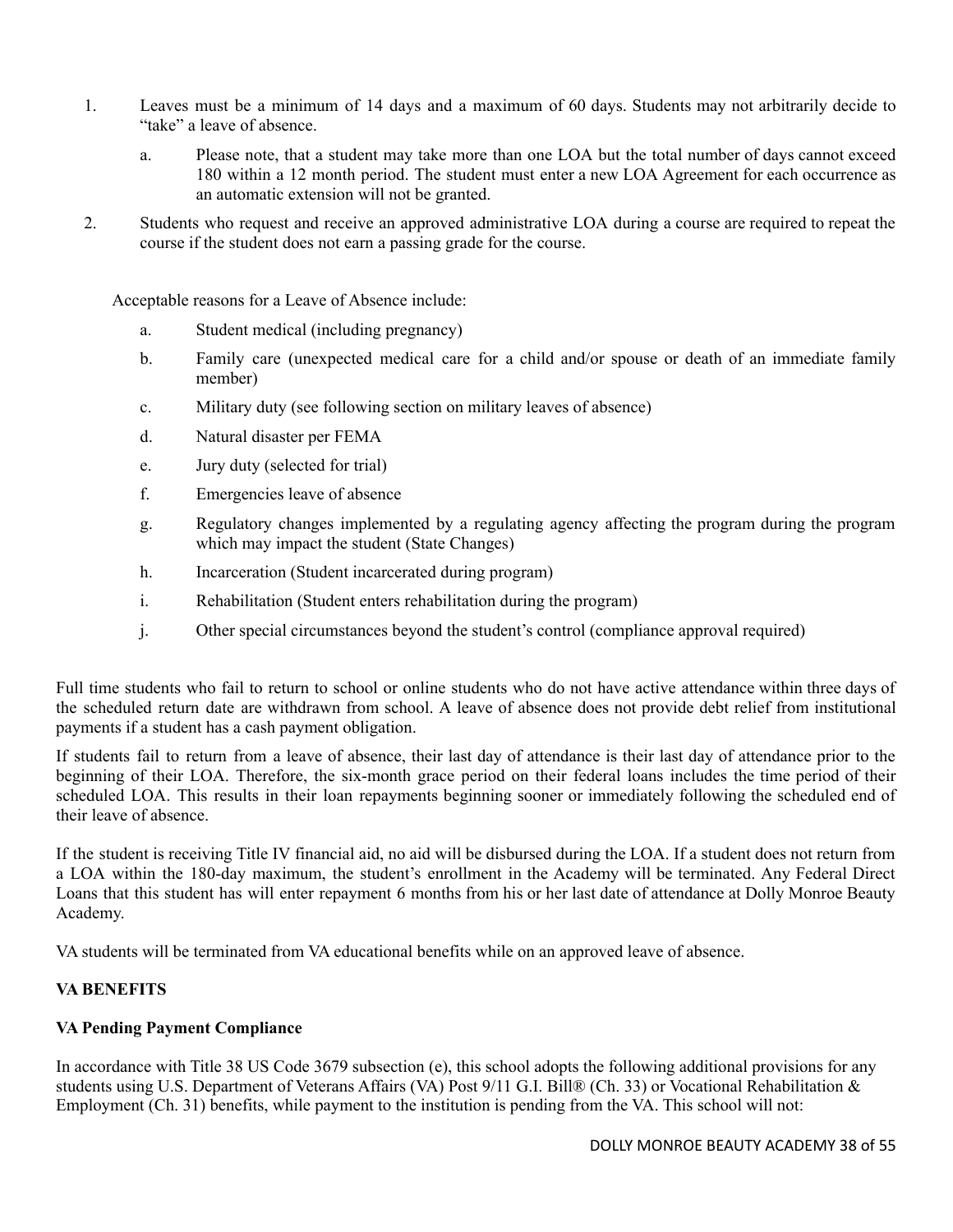- 1. Leaves must be a minimum of 14 days and a maximum of 60 days. Students may not arbitrarily decide to "take" a leave of absence.
	- a. Please note, that a student may take more than one LOA but the total number of days cannot exceed 180 within a 12 month period. The student must enter a new LOA Agreement for each occurrence as an automatic extension will not be granted.
- 2. Students who request and receive an approved administrative LOA during a course are required to repeat the course if the student does not earn a passing grade for the course.

Acceptable reasons for a Leave of Absence include:

- a. Student medical (including pregnancy)
- b. Family care (unexpected medical care for a child and/or spouse or death of an immediate family member)
- c. Military duty (see following section on military leaves of absence)
- d. Natural disaster per FEMA
- e. Jury duty (selected for trial)
- f. Emergencies leave of absence
- g. Regulatory changes implemented by a regulating agency affecting the program during the program which may impact the student (State Changes)
- h. Incarceration (Student incarcerated during program)
- i. Rehabilitation (Student enters rehabilitation during the program)
- j. Other special circumstances beyond the student's control (compliance approval required)

Full time students who fail to return to school or online students who do not have active attendance within three days of the scheduled return date are withdrawn from school. A leave of absence does not provide debt relief from institutional payments if a student has a cash payment obligation.

If students fail to return from a leave of absence, their last day of attendance is their last day of attendance prior to the beginning of their LOA. Therefore, the six-month grace period on their federal loans includes the time period of their scheduled LOA. This results in their loan repayments beginning sooner or immediately following the scheduled end of their leave of absence.

If the student is receiving Title IV financial aid, no aid will be disbursed during the LOA. If a student does not return from a LOA within the 180-day maximum, the student's enrollment in the Academy will be terminated. Any Federal Direct Loans that this student has will enter repayment 6 months from his or her last date of attendance at Dolly Monroe Beauty Academy.

VA students will be terminated from VA educational benefits while on an approved leave of absence.

# **VA BENEFITS**

# **VA Pending Payment Compliance**

In accordance with Title 38 US Code 3679 subsection (e), this school adopts the following additional provisions for any students using U.S. Department of Veterans Affairs (VA) Post 9/11 G.I. Bill® (Ch. 33) or Vocational Rehabilitation & Employment (Ch. 31) benefits, while payment to the institution is pending from the VA. This school will not: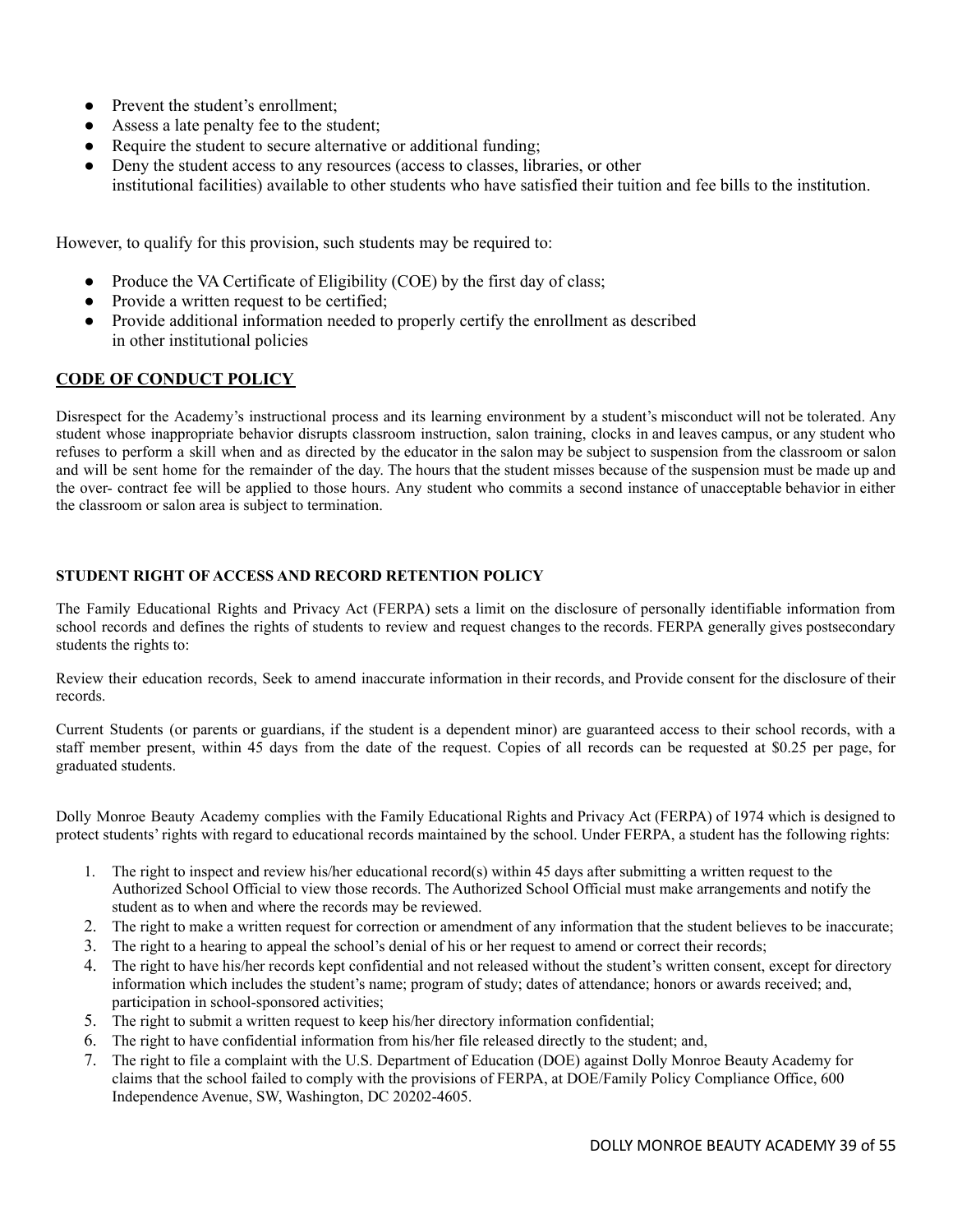- Prevent the student's enrollment;
- Assess a late penalty fee to the student;
- Require the student to secure alternative or additional funding;
- Deny the student access to any resources (access to classes, libraries, or other institutional facilities) available to other students who have satisfied their tuition and fee bills to the institution.

However, to qualify for this provision, such students may be required to:

- Produce the VA Certificate of Eligibility (COE) by the first day of class;
- Provide a written request to be certified;
- Provide additional information needed to properly certify the enrollment as described in other institutional policies

# **CODE OF CONDUCT POLICY**

Disrespect for the Academy's instructional process and its learning environment by a student's misconduct will not be tolerated. Any student whose inappropriate behavior disrupts classroom instruction, salon training, clocks in and leaves campus, or any student who refuses to perform a skill when and as directed by the educator in the salon may be subject to suspension from the classroom or salon and will be sent home for the remainder of the day. The hours that the student misses because of the suspension must be made up and the over- contract fee will be applied to those hours. Any student who commits a second instance of unacceptable behavior in either the classroom or salon area is subject to termination.

# **STUDENT RIGHT OF ACCESS AND RECORD RETENTION POLICY**

The Family Educational Rights and Privacy Act (FERPA) sets a limit on the disclosure of personally identifiable information from school records and defines the rights of students to review and request changes to the records. FERPA generally gives postsecondary students the rights to:

Review their education records, Seek to amend inaccurate information in their records, and Provide consent for the disclosure of their records.

Current Students (or parents or guardians, if the student is a dependent minor) are guaranteed access to their school records, with a staff member present, within 45 days from the date of the request. Copies of all records can be requested at \$0.25 per page, for graduated students.

Dolly Monroe Beauty Academy complies with the Family Educational Rights and Privacy Act (FERPA) of 1974 which is designed to protect students' rights with regard to educational records maintained by the school. Under FERPA, a student has the following rights:

- 1. The right to inspect and review his/her educational record(s) within 45 days after submitting a written request to the Authorized School Official to view those records. The Authorized School Official must make arrangements and notify the student as to when and where the records may be reviewed.
- 2. The right to make a written request for correction or amendment of any information that the student believes to be inaccurate;
- 3. The right to a hearing to appeal the school's denial of his or her request to amend or correct their records;
- 4. The right to have his/her records kept confidential and not released without the student's written consent, except for directory information which includes the student's name; program of study; dates of attendance; honors or awards received; and, participation in school-sponsored activities;
- 5. The right to submit a written request to keep his/her directory information confidential;
- 6. The right to have confidential information from his/her file released directly to the student; and,
- 7. The right to file a complaint with the U.S. Department of Education (DOE) against Dolly Monroe Beauty Academy for claims that the school failed to comply with the provisions of FERPA, at DOE/Family Policy Compliance Office, 600 Independence Avenue, SW, Washington, DC 20202-4605.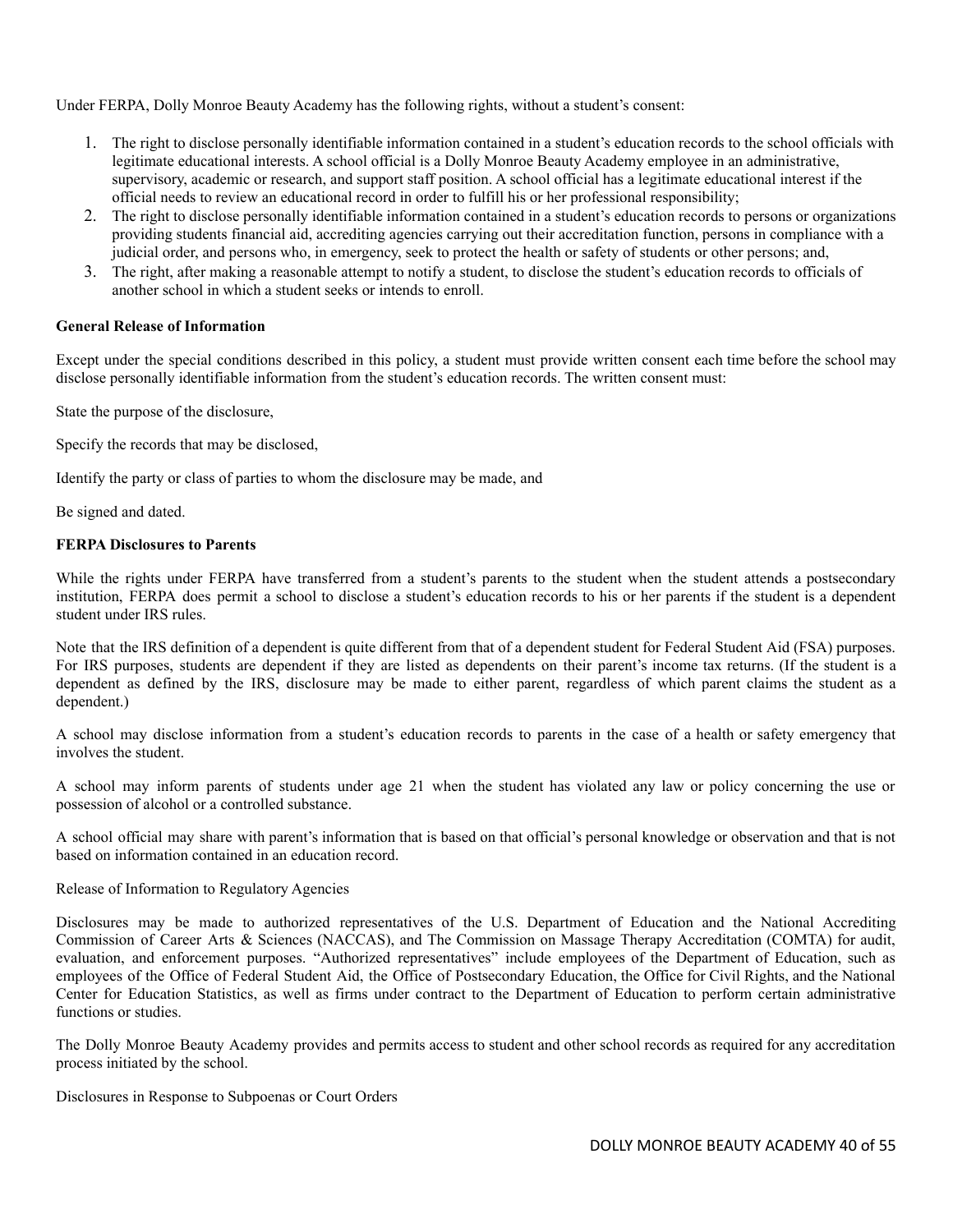Under FERPA, Dolly Monroe Beauty Academy has the following rights, without a student's consent:

- 1. The right to disclose personally identifiable information contained in a student's education records to the school officials with legitimate educational interests. A school official is a Dolly Monroe Beauty Academy employee in an administrative, supervisory, academic or research, and support staff position. A school official has a legitimate educational interest if the official needs to review an educational record in order to fulfill his or her professional responsibility;
- 2. The right to disclose personally identifiable information contained in a student's education records to persons or organizations providing students financial aid, accrediting agencies carrying out their accreditation function, persons in compliance with a judicial order, and persons who, in emergency, seek to protect the health or safety of students or other persons; and,
- 3. The right, after making a reasonable attempt to notify a student, to disclose the student's education records to officials of another school in which a student seeks or intends to enroll.

# **General Release of Information**

Except under the special conditions described in this policy, a student must provide written consent each time before the school may disclose personally identifiable information from the student's education records. The written consent must:

State the purpose of the disclosure,

Specify the records that may be disclosed,

Identify the party or class of parties to whom the disclosure may be made, and

Be signed and dated.

#### **FERPA Disclosures to Parents**

While the rights under FERPA have transferred from a student's parents to the student when the student attends a postsecondary institution, FERPA does permit a school to disclose a student's education records to his or her parents if the student is a dependent student under IRS rules.

Note that the IRS definition of a dependent is quite different from that of a dependent student for Federal Student Aid (FSA) purposes. For IRS purposes, students are dependent if they are listed as dependents on their parent's income tax returns. (If the student is a dependent as defined by the IRS, disclosure may be made to either parent, regardless of which parent claims the student as a dependent.)

A school may disclose information from a student's education records to parents in the case of a health or safety emergency that involves the student.

A school may inform parents of students under age 21 when the student has violated any law or policy concerning the use or possession of alcohol or a controlled substance.

A school official may share with parent's information that is based on that official's personal knowledge or observation and that is not based on information contained in an education record.

# Release of Information to Regulatory Agencies

Disclosures may be made to authorized representatives of the U.S. Department of Education and the National Accrediting Commission of Career Arts & Sciences (NACCAS), and The Commission on Massage Therapy Accreditation (COMTA) for audit, evaluation, and enforcement purposes. "Authorized representatives" include employees of the Department of Education, such as employees of the Office of Federal Student Aid, the Office of Postsecondary Education, the Office for Civil Rights, and the National Center for Education Statistics, as well as firms under contract to the Department of Education to perform certain administrative functions or studies.

The Dolly Monroe Beauty Academy provides and permits access to student and other school records as required for any accreditation process initiated by the school.

Disclosures in Response to Subpoenas or Court Orders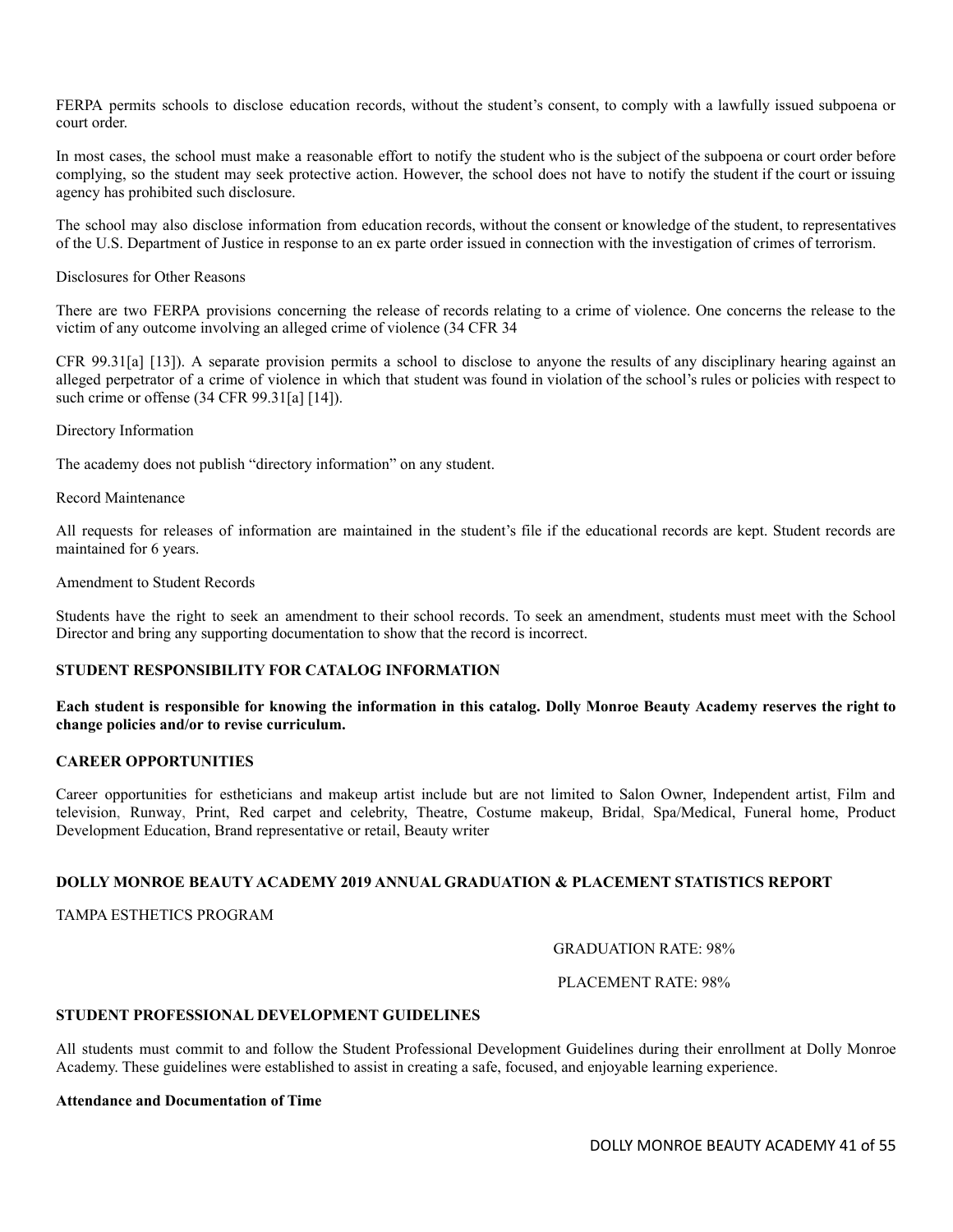FERPA permits schools to disclose education records, without the student's consent, to comply with a lawfully issued subpoena or court order.

In most cases, the school must make a reasonable effort to notify the student who is the subject of the subpoena or court order before complying, so the student may seek protective action. However, the school does not have to notify the student if the court or issuing agency has prohibited such disclosure.

The school may also disclose information from education records, without the consent or knowledge of the student, to representatives of the U.S. Department of Justice in response to an ex parte order issued in connection with the investigation of crimes of terrorism.

Disclosures for Other Reasons

There are two FERPA provisions concerning the release of records relating to a crime of violence. One concerns the release to the victim of any outcome involving an alleged crime of violence (34 CFR 34

CFR 99.31[a] [13]). A separate provision permits a school to disclose to anyone the results of any disciplinary hearing against an alleged perpetrator of a crime of violence in which that student was found in violation of the school's rules or policies with respect to such crime or offense (34 CFR 99.31[a] [14]).

#### Directory Information

The academy does not publish "directory information" on any student.

#### Record Maintenance

All requests for releases of information are maintained in the student's file if the educational records are kept. Student records are maintained for 6 years.

#### Amendment to Student Records

Students have the right to seek an amendment to their school records. To seek an amendment, students must meet with the School Director and bring any supporting documentation to show that the record is incorrect.

## **STUDENT RESPONSIBILITY FOR CATALOG INFORMATION**

Each student is responsible for knowing the information in this catalog. Dolly Monroe Beauty Academy reserves the right to **change policies and/or to revise curriculum.**

#### **CAREER OPPORTUNITIES**

Career opportunities for estheticians and makeup artist include but are not limited to Salon Owner, Independent artist, Film and television, Runway, Print, Red carpet and celebrity, Theatre, Costume makeup, Bridal, Spa/Medical, Funeral home, Product Development Education, Brand representative or retail, Beauty writer

#### **DOLLY MONROE BEAUTY ACADEMY 2019 ANNUAL GRADUATION & PLACEMENT STATISTICS REPORT**

TAMPA ESTHETICS PROGRAM

# GRADUATION RATE: 98%

#### PLACEMENT RATE: 98%

#### **STUDENT PROFESSIONAL DEVELOPMENT GUIDELINES**

All students must commit to and follow the Student Professional Development Guidelines during their enrollment at Dolly Monroe Academy. These guidelines were established to assist in creating a safe, focused, and enjoyable learning experience.

#### **Attendance and Documentation of Time**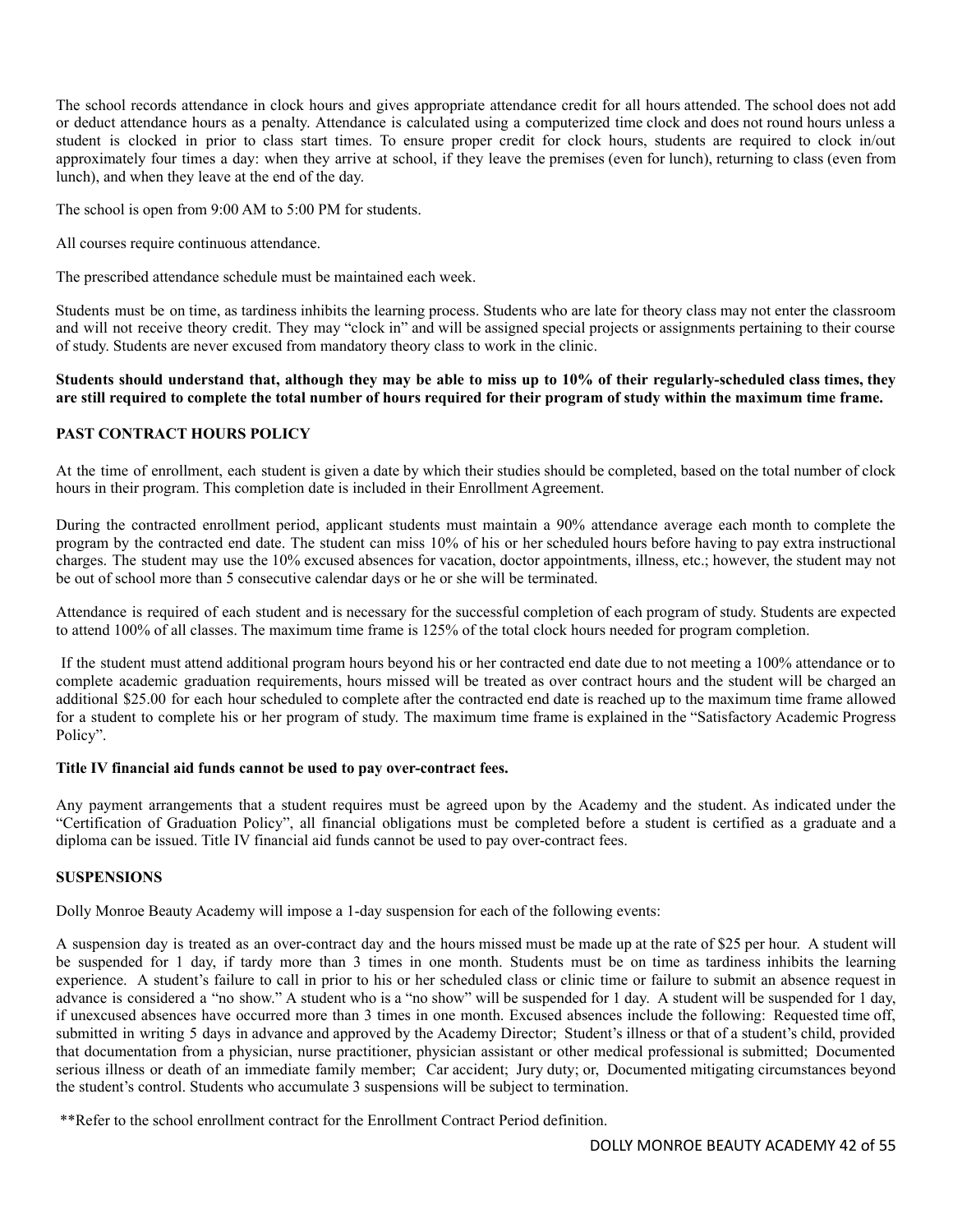The school records attendance in clock hours and gives appropriate attendance credit for all hours attended. The school does not add or deduct attendance hours as a penalty. Attendance is calculated using a computerized time clock and does not round hours unless a student is clocked in prior to class start times. To ensure proper credit for clock hours, students are required to clock in/out approximately four times a day: when they arrive at school, if they leave the premises (even for lunch), returning to class (even from lunch), and when they leave at the end of the day.

The school is open from 9:00 AM to 5:00 PM for students.

All courses require continuous attendance.

The prescribed attendance schedule must be maintained each week.

Students must be on time, as tardiness inhibits the learning process. Students who are late for theory class may not enter the classroom and will not receive theory credit. They may "clock in" and will be assigned special projects or assignments pertaining to their course of study. Students are never excused from mandatory theory class to work in the clinic.

# Students should understand that, although they may be able to miss up to 10% of their regularly-scheduled class times, they are still required to complete the total number of hours required for their program of study within the maximum time frame.

# **PAST CONTRACT HOURS POLICY**

At the time of enrollment, each student is given a date by which their studies should be completed, based on the total number of clock hours in their program. This completion date is included in their Enrollment Agreement.

During the contracted enrollment period, applicant students must maintain a 90% attendance average each month to complete the program by the contracted end date. The student can miss 10% of his or her scheduled hours before having to pay extra instructional charges. The student may use the 10% excused absences for vacation, doctor appointments, illness, etc.; however, the student may not be out of school more than 5 consecutive calendar days or he or she will be terminated.

Attendance is required of each student and is necessary for the successful completion of each program of study. Students are expected to attend 100% of all classes. The maximum time frame is 125% of the total clock hours needed for program completion.

If the student must attend additional program hours beyond his or her contracted end date due to not meeting a 100% attendance or to complete academic graduation requirements, hours missed will be treated as over contract hours and the student will be charged an additional \$25.00 for each hour scheduled to complete after the contracted end date is reached up to the maximum time frame allowed for a student to complete his or her program of study. The maximum time frame is explained in the "Satisfactory Academic Progress Policy".

# **Title IV financial aid funds cannot be used to pay over-contract fees.**

Any payment arrangements that a student requires must be agreed upon by the Academy and the student. As indicated under the "Certification of Graduation Policy", all financial obligations must be completed before a student is certified as a graduate and a diploma can be issued. Title IV financial aid funds cannot be used to pay over-contract fees.

# **SUSPENSIONS**

Dolly Monroe Beauty Academy will impose a 1-day suspension for each of the following events:

A suspension day is treated as an over-contract day and the hours missed must be made up at the rate of \$25 per hour. A student will be suspended for 1 day, if tardy more than 3 times in one month. Students must be on time as tardiness inhibits the learning experience. A student's failure to call in prior to his or her scheduled class or clinic time or failure to submit an absence request in advance is considered a "no show." A student who is a "no show" will be suspended for 1 day. A student will be suspended for 1 day, if unexcused absences have occurred more than 3 times in one month. Excused absences include the following: Requested time off, submitted in writing 5 days in advance and approved by the Academy Director; Student's illness or that of a student's child, provided that documentation from a physician, nurse practitioner, physician assistant or other medical professional is submitted; Documented serious illness or death of an immediate family member; Car accident; Jury duty; or, Documented mitigating circumstances beyond the student's control. Students who accumulate 3 suspensions will be subject to termination.

\*\*Refer to the school enrollment contract for the Enrollment Contract Period definition.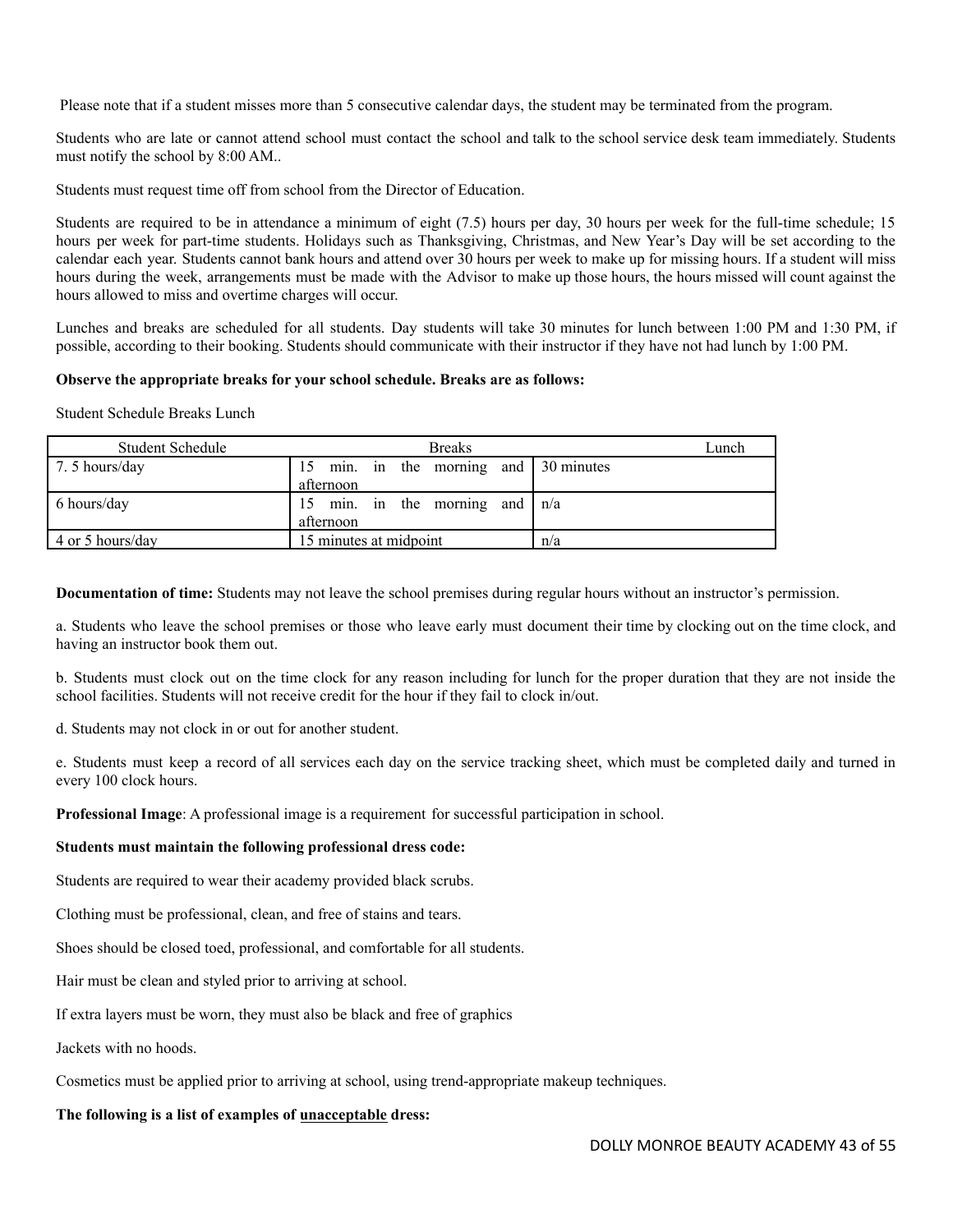Please note that if a student misses more than 5 consecutive calendar days, the student may be terminated from the program.

Students who are late or cannot attend school must contact the school and talk to the school service desk team immediately. Students must notify the school by 8:00 AM..

Students must request time off from school from the Director of Education.

Students are required to be in attendance a minimum of eight (7.5) hours per day, 30 hours per week for the full-time schedule; 15 hours per week for part-time students. Holidays such as Thanksgiving, Christmas, and New Year's Day will be set according to the calendar each year. Students cannot bank hours and attend over 30 hours per week to make up for missing hours. If a student will miss hours during the week, arrangements must be made with the Advisor to make up those hours, the hours missed will count against the hours allowed to miss and overtime charges will occur.

Lunches and breaks are scheduled for all students. Day students will take 30 minutes for lunch between 1:00 PM and 1:30 PM, if possible, according to their booking. Students should communicate with their instructor if they have not had lunch by 1:00 PM.

#### **Observe the appropriate breaks for your school schedule. Breaks are as follows:**

Student Schedule Breaks Lunch

| Student Schedule | <b>Breaks</b>                                        |  |  |  |
|------------------|------------------------------------------------------|--|--|--|
| 7. 5 hours/day   | min. in the morning and $\frac{1}{20}$ minutes<br>15 |  |  |  |
|                  | afternoon                                            |  |  |  |
| 6 hours/day      | min. in the morning and<br>15<br>n/a                 |  |  |  |
|                  | afternoon                                            |  |  |  |
| 4 or 5 hours/day | 15 minutes at midpoint<br>n/a                        |  |  |  |

**Documentation of time:** Students may not leave the school premises during regular hours without an instructor's permission.

a. Students who leave the school premises or those who leave early must document their time by clocking out on the time clock, and having an instructor book them out.

b. Students must clock out on the time clock for any reason including for lunch for the proper duration that they are not inside the school facilities. Students will not receive credit for the hour if they fail to clock in/out.

d. Students may not clock in or out for another student.

e. Students must keep a record of all services each day on the service tracking sheet, which must be completed daily and turned in every 100 clock hours.

**Professional Image**: A professional image is a requirement for successful participation in school.

# **Students must maintain the following professional dress code:**

Students are required to wear their academy provided black scrubs.

Clothing must be professional, clean, and free of stains and tears.

Shoes should be closed toed, professional, and comfortable for all students.

Hair must be clean and styled prior to arriving at school.

If extra layers must be worn, they must also be black and free of graphics

Jackets with no hoods.

Cosmetics must be applied prior to arriving at school, using trend-appropriate makeup techniques.

# **The following is a list of examples of unacceptable dress:**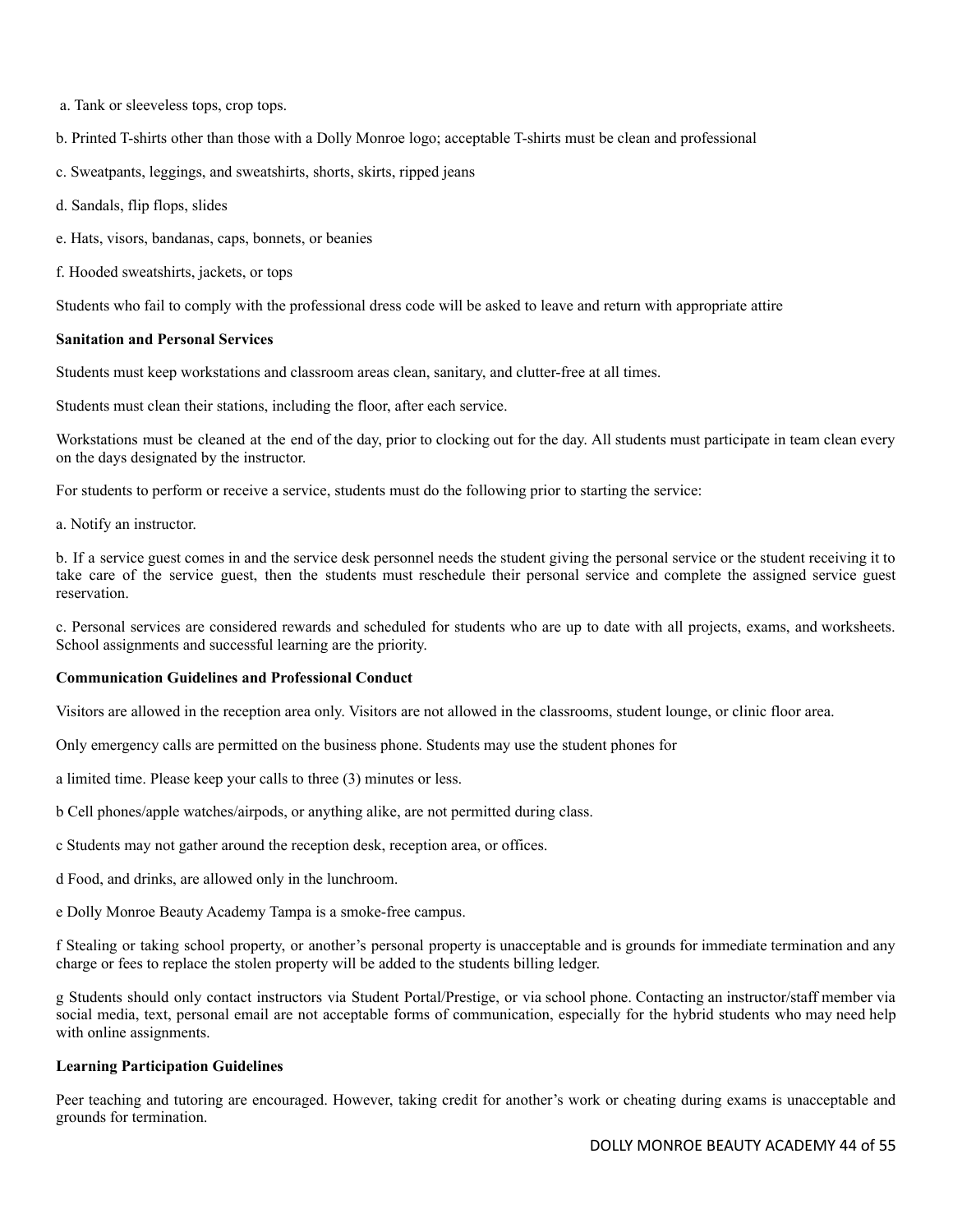- a. Tank or sleeveless tops, crop tops.
- b. Printed T-shirts other than those with a Dolly Monroe logo; acceptable T-shirts must be clean and professional
- c. Sweatpants, leggings, and sweatshirts, shorts, skirts, ripped jeans
- d. Sandals, flip flops, slides
- e. Hats, visors, bandanas, caps, bonnets, or beanies
- f. Hooded sweatshirts, jackets, or tops

Students who fail to comply with the professional dress code will be asked to leave and return with appropriate attire

#### **Sanitation and Personal Services**

Students must keep workstations and classroom areas clean, sanitary, and clutter-free at all times.

Students must clean their stations, including the floor, after each service.

Workstations must be cleaned at the end of the day, prior to clocking out for the day. All students must participate in team clean every on the days designated by the instructor.

For students to perform or receive a service, students must do the following prior to starting the service:

a. Notify an instructor.

b. If a service guest comes in and the service desk personnel needs the student giving the personal service or the student receiving it to take care of the service guest, then the students must reschedule their personal service and complete the assigned service guest reservation.

c. Personal services are considered rewards and scheduled for students who are up to date with all projects, exams, and worksheets. School assignments and successful learning are the priority.

## **Communication Guidelines and Professional Conduct**

Visitors are allowed in the reception area only. Visitors are not allowed in the classrooms, student lounge, or clinic floor area.

Only emergency calls are permitted on the business phone. Students may use the student phones for

- a limited time. Please keep your calls to three (3) minutes or less.
- b Cell phones/apple watches/airpods, or anything alike, are not permitted during class.
- c Students may not gather around the reception desk, reception area, or offices.
- d Food, and drinks, are allowed only in the lunchroom.
- e Dolly Monroe Beauty Academy Tampa is a smoke-free campus.

f Stealing or taking school property, or another's personal property is unacceptable and is grounds for immediate termination and any charge or fees to replace the stolen property will be added to the students billing ledger.

g Students should only contact instructors via Student Portal/Prestige, or via school phone. Contacting an instructor/staff member via social media, text, personal email are not acceptable forms of communication, especially for the hybrid students who may need help with online assignments.

# **Learning Participation Guidelines**

Peer teaching and tutoring are encouraged. However, taking credit for another's work or cheating during exams is unacceptable and grounds for termination.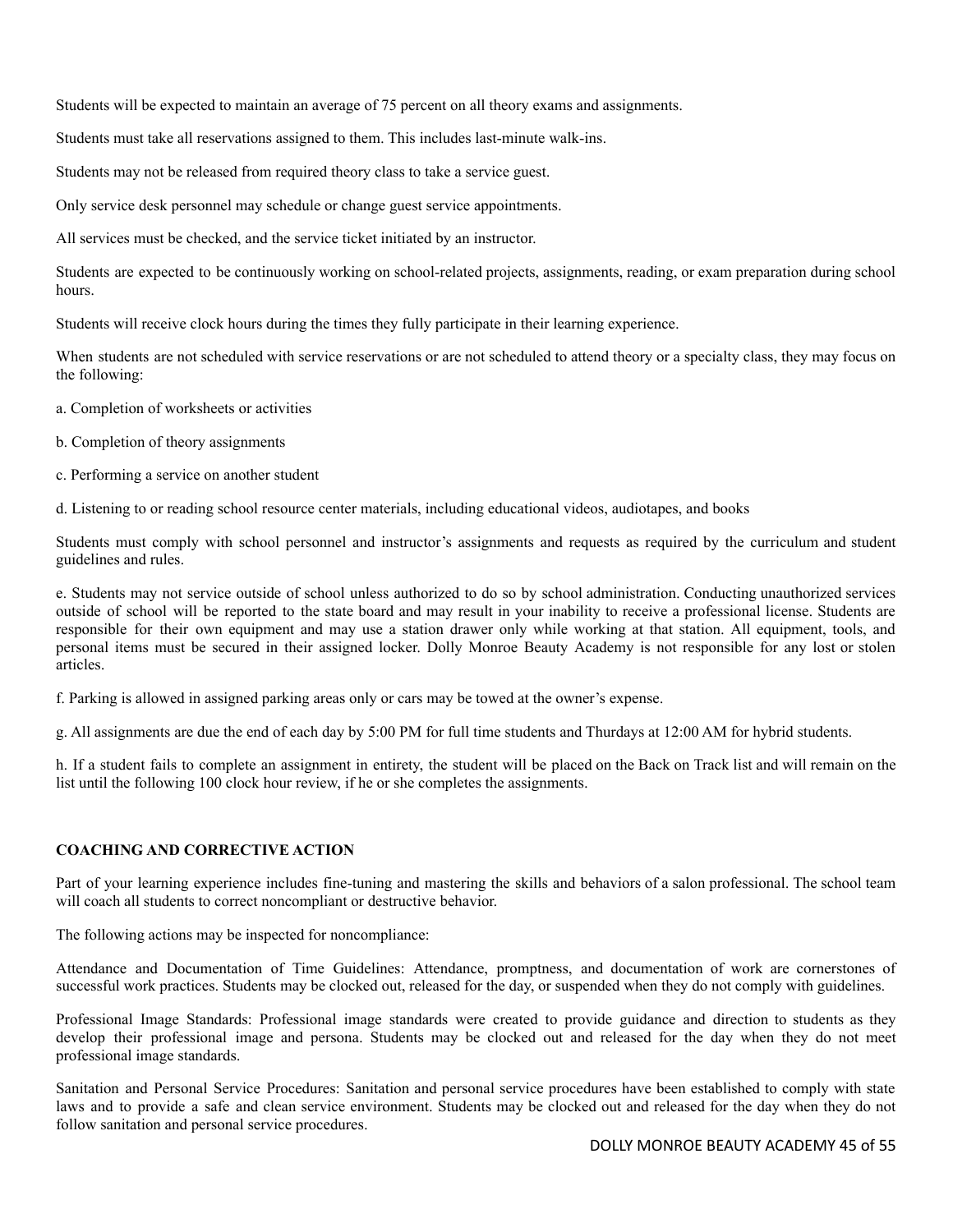Students will be expected to maintain an average of 75 percent on all theory exams and assignments.

Students must take all reservations assigned to them. This includes last-minute walk-ins.

Students may not be released from required theory class to take a service guest.

Only service desk personnel may schedule or change guest service appointments.

All services must be checked, and the service ticket initiated by an instructor.

Students are expected to be continuously working on school-related projects, assignments, reading, or exam preparation during school hours.

Students will receive clock hours during the times they fully participate in their learning experience.

When students are not scheduled with service reservations or are not scheduled to attend theory or a specialty class, they may focus on the following:

a. Completion of worksheets or activities

- b. Completion of theory assignments
- c. Performing a service on another student

d. Listening to or reading school resource center materials, including educational videos, audiotapes, and books

Students must comply with school personnel and instructor's assignments and requests as required by the curriculum and student guidelines and rules.

e. Students may not service outside of school unless authorized to do so by school administration. Conducting unauthorized services outside of school will be reported to the state board and may result in your inability to receive a professional license. Students are responsible for their own equipment and may use a station drawer only while working at that station. All equipment, tools, and personal items must be secured in their assigned locker. Dolly Monroe Beauty Academy is not responsible for any lost or stolen articles.

f. Parking is allowed in assigned parking areas only or cars may be towed at the owner's expense.

g. All assignments are due the end of each day by 5:00 PM for full time students and Thurdays at 12:00 AM for hybrid students.

h. If a student fails to complete an assignment in entirety, the student will be placed on the Back on Track list and will remain on the list until the following 100 clock hour review, if he or she completes the assignments.

## **COACHING AND CORRECTIVE ACTION**

Part of your learning experience includes fine-tuning and mastering the skills and behaviors of a salon professional. The school team will coach all students to correct noncompliant or destructive behavior.

The following actions may be inspected for noncompliance:

Attendance and Documentation of Time Guidelines: Attendance, promptness, and documentation of work are cornerstones of successful work practices. Students may be clocked out, released for the day, or suspended when they do not comply with guidelines.

Professional Image Standards: Professional image standards were created to provide guidance and direction to students as they develop their professional image and persona. Students may be clocked out and released for the day when they do not meet professional image standards.

Sanitation and Personal Service Procedures: Sanitation and personal service procedures have been established to comply with state laws and to provide a safe and clean service environment. Students may be clocked out and released for the day when they do not follow sanitation and personal service procedures.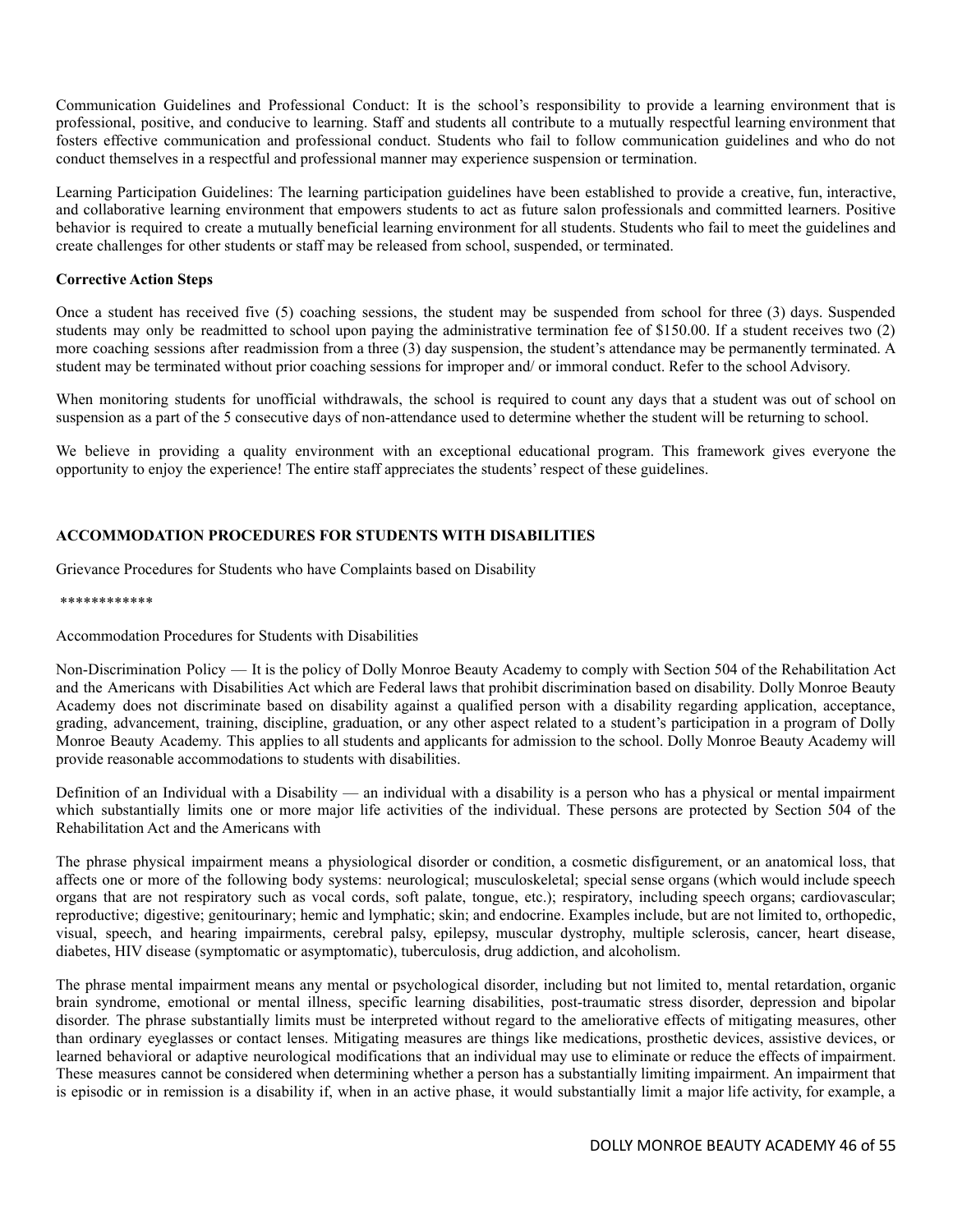Communication Guidelines and Professional Conduct: It is the school's responsibility to provide a learning environment that is professional, positive, and conducive to learning. Staff and students all contribute to a mutually respectful learning environment that fosters effective communication and professional conduct. Students who fail to follow communication guidelines and who do not conduct themselves in a respectful and professional manner may experience suspension or termination.

Learning Participation Guidelines: The learning participation guidelines have been established to provide a creative, fun, interactive, and collaborative learning environment that empowers students to act as future salon professionals and committed learners. Positive behavior is required to create a mutually beneficial learning environment for all students. Students who fail to meet the guidelines and create challenges for other students or staff may be released from school, suspended, or terminated.

# **Corrective Action Steps**

Once a student has received five (5) coaching sessions, the student may be suspended from school for three (3) days. Suspended students may only be readmitted to school upon paying the administrative termination fee of \$150.00. If a student receives two (2) more coaching sessions after readmission from a three (3) day suspension, the student's attendance may be permanently terminated. A student may be terminated without prior coaching sessions for improper and/ or immoral conduct. Refer to the school Advisory.

When monitoring students for unofficial withdrawals, the school is required to count any days that a student was out of school on suspension as a part of the 5 consecutive days of non-attendance used to determine whether the student will be returning to school.

We believe in providing a quality environment with an exceptional educational program. This framework gives everyone the opportunity to enjoy the experience! The entire staff appreciates the students' respect of these guidelines.

# **ACCOMMODATION PROCEDURES FOR STUDENTS WITH DISABILITIES**

Grievance Procedures for Students who have Complaints based on Disability

#### \*\*\*\*\*\*\*\*\*\*\*\*

Accommodation Procedures for Students with Disabilities

Non-Discrimination Policy — It is the policy of Dolly Monroe Beauty Academy to comply with Section 504 of the Rehabilitation Act and the Americans with Disabilities Act which are Federal laws that prohibit discrimination based on disability. Dolly Monroe Beauty Academy does not discriminate based on disability against a qualified person with a disability regarding application, acceptance, grading, advancement, training, discipline, graduation, or any other aspect related to a student's participation in a program of Dolly Monroe Beauty Academy. This applies to all students and applicants for admission to the school. Dolly Monroe Beauty Academy will provide reasonable accommodations to students with disabilities.

Definition of an Individual with a Disability — an individual with a disability is a person who has a physical or mental impairment which substantially limits one or more major life activities of the individual. These persons are protected by Section 504 of the Rehabilitation Act and the Americans with

The phrase physical impairment means a physiological disorder or condition, a cosmetic disfigurement, or an anatomical loss, that affects one or more of the following body systems: neurological; musculoskeletal; special sense organs (which would include speech organs that are not respiratory such as vocal cords, soft palate, tongue, etc.); respiratory, including speech organs; cardiovascular; reproductive; digestive; genitourinary; hemic and lymphatic; skin; and endocrine. Examples include, but are not limited to, orthopedic, visual, speech, and hearing impairments, cerebral palsy, epilepsy, muscular dystrophy, multiple sclerosis, cancer, heart disease, diabetes, HIV disease (symptomatic or asymptomatic), tuberculosis, drug addiction, and alcoholism.

The phrase mental impairment means any mental or psychological disorder, including but not limited to, mental retardation, organic brain syndrome, emotional or mental illness, specific learning disabilities, post-traumatic stress disorder, depression and bipolar disorder. The phrase substantially limits must be interpreted without regard to the ameliorative effects of mitigating measures, other than ordinary eyeglasses or contact lenses. Mitigating measures are things like medications, prosthetic devices, assistive devices, or learned behavioral or adaptive neurological modifications that an individual may use to eliminate or reduce the effects of impairment. These measures cannot be considered when determining whether a person has a substantially limiting impairment. An impairment that is episodic or in remission is a disability if, when in an active phase, it would substantially limit a major life activity, for example, a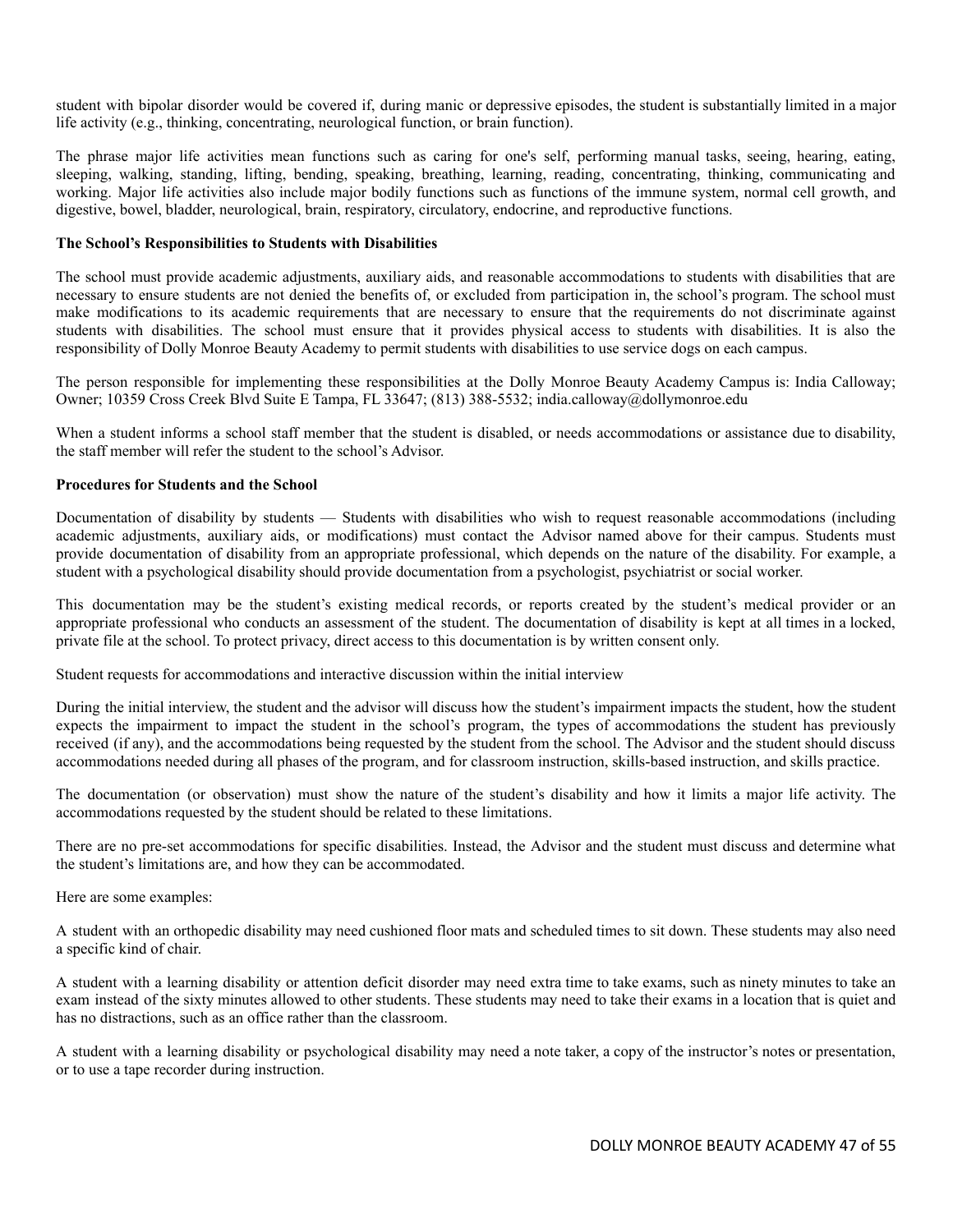student with bipolar disorder would be covered if, during manic or depressive episodes, the student is substantially limited in a major life activity (e.g., thinking, concentrating, neurological function, or brain function).

The phrase major life activities mean functions such as caring for one's self, performing manual tasks, seeing, hearing, eating, sleeping, walking, standing, lifting, bending, speaking, breathing, learning, reading, concentrating, thinking, communicating and working. Major life activities also include major bodily functions such as functions of the immune system, normal cell growth, and digestive, bowel, bladder, neurological, brain, respiratory, circulatory, endocrine, and reproductive functions.

#### **The School's Responsibilities to Students with Disabilities**

The school must provide academic adjustments, auxiliary aids, and reasonable accommodations to students with disabilities that are necessary to ensure students are not denied the benefits of, or excluded from participation in, the school's program. The school must make modifications to its academic requirements that are necessary to ensure that the requirements do not discriminate against students with disabilities. The school must ensure that it provides physical access to students with disabilities. It is also the responsibility of Dolly Monroe Beauty Academy to permit students with disabilities to use service dogs on each campus.

The person responsible for implementing these responsibilities at the Dolly Monroe Beauty Academy Campus is: India Calloway; Owner; 10359 Cross Creek Blvd Suite E Tampa, FL 33647; (813) 388-5532; india.calloway@dollymonroe.edu

When a student informs a school staff member that the student is disabled, or needs accommodations or assistance due to disability, the staff member will refer the student to the school's Advisor.

# **Procedures for Students and the School**

Documentation of disability by students — Students with disabilities who wish to request reasonable accommodations (including academic adjustments, auxiliary aids, or modifications) must contact the Advisor named above for their campus. Students must provide documentation of disability from an appropriate professional, which depends on the nature of the disability. For example, a student with a psychological disability should provide documentation from a psychologist, psychiatrist or social worker.

This documentation may be the student's existing medical records, or reports created by the student's medical provider or an appropriate professional who conducts an assessment of the student. The documentation of disability is kept at all times in a locked, private file at the school. To protect privacy, direct access to this documentation is by written consent only.

Student requests for accommodations and interactive discussion within the initial interview

During the initial interview, the student and the advisor will discuss how the student's impairment impacts the student, how the student expects the impairment to impact the student in the school's program, the types of accommodations the student has previously received (if any), and the accommodations being requested by the student from the school. The Advisor and the student should discuss accommodations needed during all phases of the program, and for classroom instruction, skills-based instruction, and skills practice.

The documentation (or observation) must show the nature of the student's disability and how it limits a major life activity. The accommodations requested by the student should be related to these limitations.

There are no pre-set accommodations for specific disabilities. Instead, the Advisor and the student must discuss and determine what the student's limitations are, and how they can be accommodated.

Here are some examples:

A student with an orthopedic disability may need cushioned floor mats and scheduled times to sit down. These students may also need a specific kind of chair.

A student with a learning disability or attention deficit disorder may need extra time to take exams, such as ninety minutes to take an exam instead of the sixty minutes allowed to other students. These students may need to take their exams in a location that is quiet and has no distractions, such as an office rather than the classroom.

A student with a learning disability or psychological disability may need a note taker, a copy of the instructor's notes or presentation, or to use a tape recorder during instruction.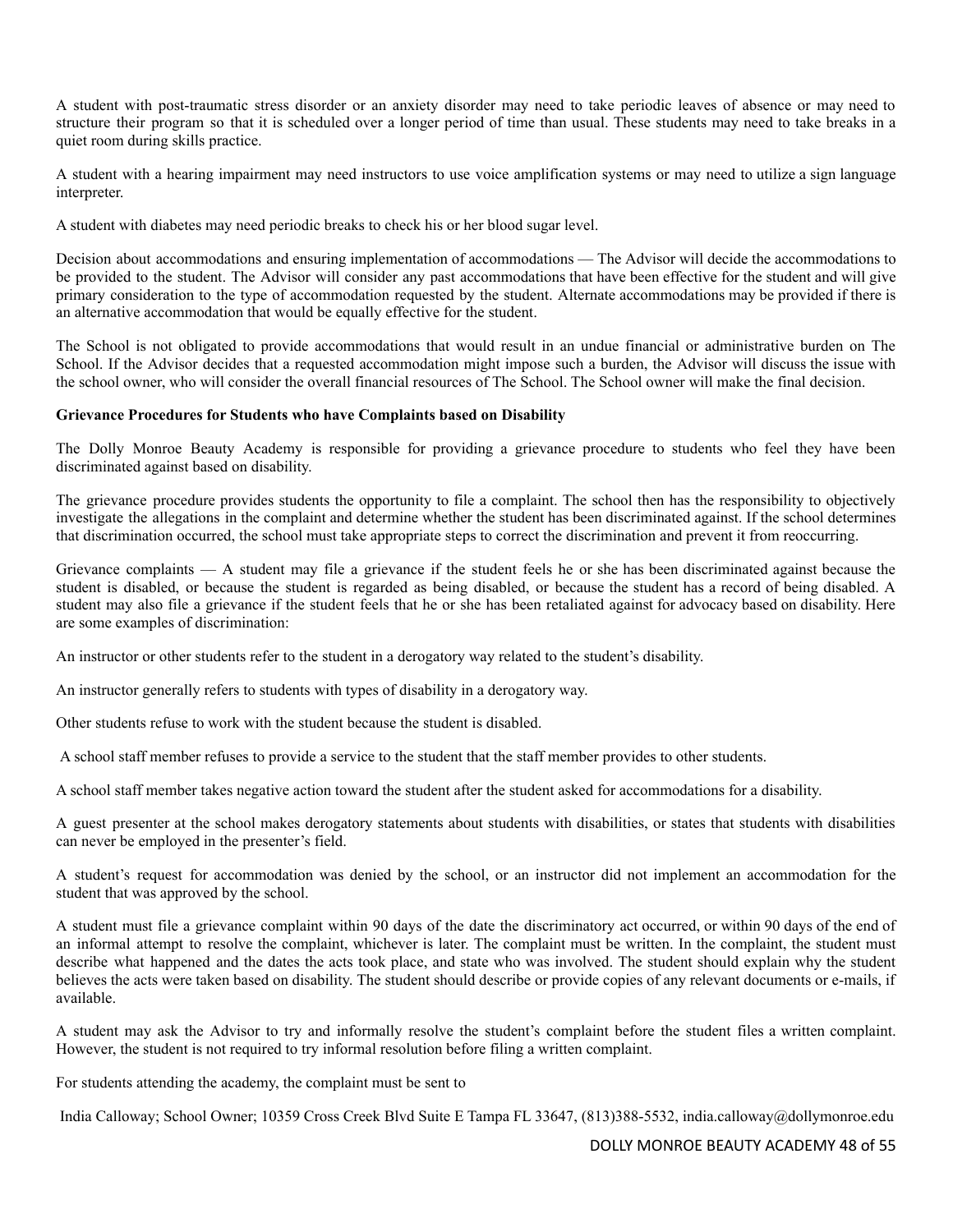A student with post-traumatic stress disorder or an anxiety disorder may need to take periodic leaves of absence or may need to structure their program so that it is scheduled over a longer period of time than usual. These students may need to take breaks in a quiet room during skills practice.

A student with a hearing impairment may need instructors to use voice amplification systems or may need to utilize a sign language interpreter.

A student with diabetes may need periodic breaks to check his or her blood sugar level.

Decision about accommodations and ensuring implementation of accommodations — The Advisor will decide the accommodations to be provided to the student. The Advisor will consider any past accommodations that have been effective for the student and will give primary consideration to the type of accommodation requested by the student. Alternate accommodations may be provided if there is an alternative accommodation that would be equally effective for the student.

The School is not obligated to provide accommodations that would result in an undue financial or administrative burden on The School. If the Advisor decides that a requested accommodation might impose such a burden, the Advisor will discuss the issue with the school owner, who will consider the overall financial resources of The School. The School owner will make the final decision.

# **Grievance Procedures for Students who have Complaints based on Disability**

The Dolly Monroe Beauty Academy is responsible for providing a grievance procedure to students who feel they have been discriminated against based on disability.

The grievance procedure provides students the opportunity to file a complaint. The school then has the responsibility to objectively investigate the allegations in the complaint and determine whether the student has been discriminated against. If the school determines that discrimination occurred, the school must take appropriate steps to correct the discrimination and prevent it from reoccurring.

Grievance complaints — A student may file a grievance if the student feels he or she has been discriminated against because the student is disabled, or because the student is regarded as being disabled, or because the student has a record of being disabled. A student may also file a grievance if the student feels that he or she has been retaliated against for advocacy based on disability. Here are some examples of discrimination:

An instructor or other students refer to the student in a derogatory way related to the student's disability.

An instructor generally refers to students with types of disability in a derogatory way.

Other students refuse to work with the student because the student is disabled.

A school staff member refuses to provide a service to the student that the staff member provides to other students.

A school staff member takes negative action toward the student after the student asked for accommodations for a disability.

A guest presenter at the school makes derogatory statements about students with disabilities, or states that students with disabilities can never be employed in the presenter's field.

A student's request for accommodation was denied by the school, or an instructor did not implement an accommodation for the student that was approved by the school.

A student must file a grievance complaint within 90 days of the date the discriminatory act occurred, or within 90 days of the end of an informal attempt to resolve the complaint, whichever is later. The complaint must be written. In the complaint, the student must describe what happened and the dates the acts took place, and state who was involved. The student should explain why the student believes the acts were taken based on disability. The student should describe or provide copies of any relevant documents or e-mails, if available.

A student may ask the Advisor to try and informally resolve the student's complaint before the student files a written complaint. However, the student is not required to try informal resolution before filing a written complaint.

For students attending the academy, the complaint must be sent to

India Calloway; School Owner; 10359 Cross Creek Blvd Suite E Tampa FL 33647, (813)388-5532, india.calloway@dollymonroe.edu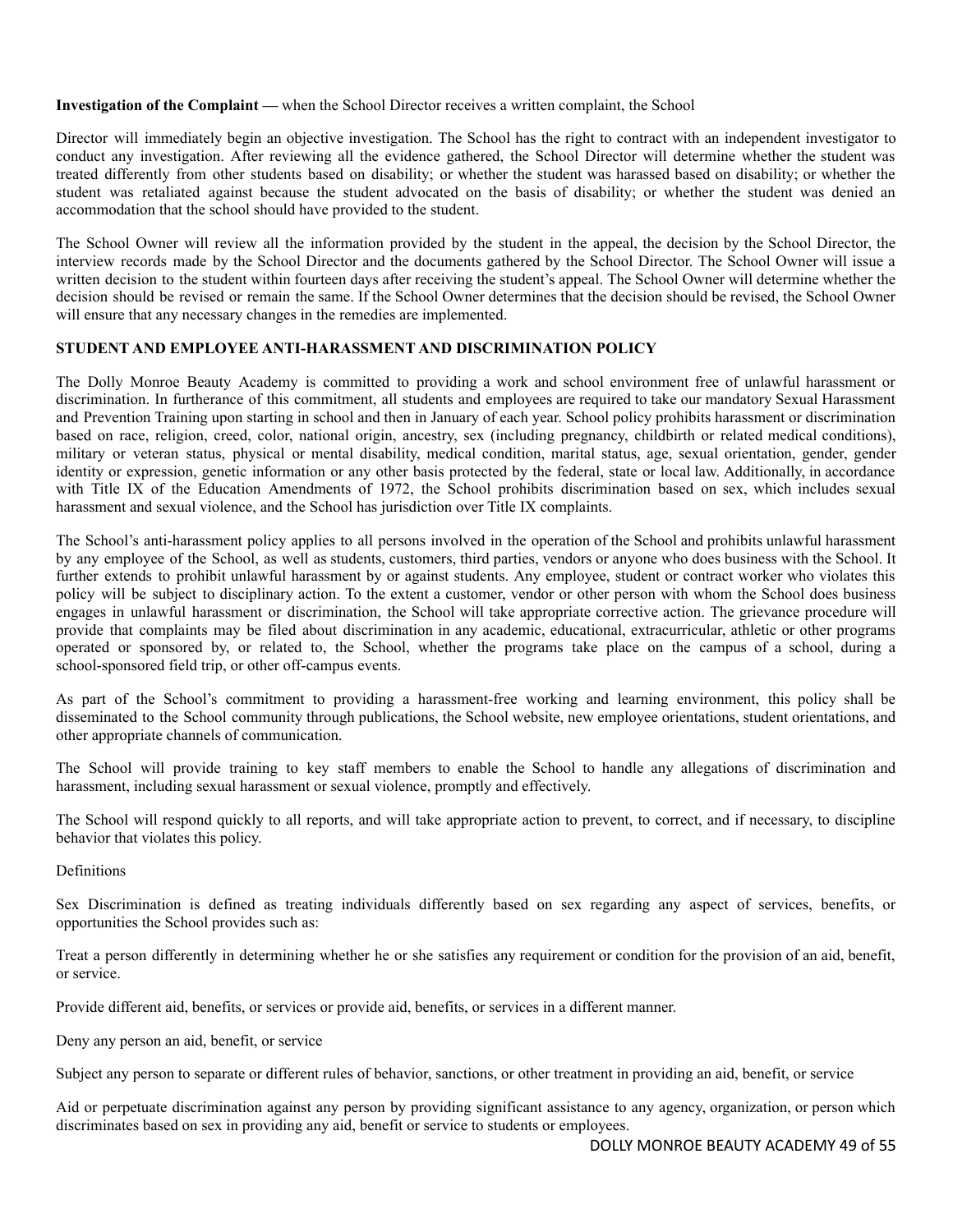**Investigation of the Complaint —** when the School Director receives a written complaint, the School

Director will immediately begin an objective investigation. The School has the right to contract with an independent investigator to conduct any investigation. After reviewing all the evidence gathered, the School Director will determine whether the student was treated differently from other students based on disability; or whether the student was harassed based on disability; or whether the student was retaliated against because the student advocated on the basis of disability; or whether the student was denied an accommodation that the school should have provided to the student.

The School Owner will review all the information provided by the student in the appeal, the decision by the School Director, the interview records made by the School Director and the documents gathered by the School Director. The School Owner will issue a written decision to the student within fourteen days after receiving the student's appeal. The School Owner will determine whether the decision should be revised or remain the same. If the School Owner determines that the decision should be revised, the School Owner will ensure that any necessary changes in the remedies are implemented.

# **STUDENT AND EMPLOYEE ANTI-HARASSMENT AND DISCRIMINATION POLICY**

The Dolly Monroe Beauty Academy is committed to providing a work and school environment free of unlawful harassment or discrimination. In furtherance of this commitment, all students and employees are required to take our mandatory Sexual Harassment and Prevention Training upon starting in school and then in January of each year. School policy prohibits harassment or discrimination based on race, religion, creed, color, national origin, ancestry, sex (including pregnancy, childbirth or related medical conditions), military or veteran status, physical or mental disability, medical condition, marital status, age, sexual orientation, gender, gender identity or expression, genetic information or any other basis protected by the federal, state or local law. Additionally, in accordance with Title IX of the Education Amendments of 1972, the School prohibits discrimination based on sex, which includes sexual harassment and sexual violence, and the School has jurisdiction over Title IX complaints.

The School's anti-harassment policy applies to all persons involved in the operation of the School and prohibits unlawful harassment by any employee of the School, as well as students, customers, third parties, vendors or anyone who does business with the School. It further extends to prohibit unlawful harassment by or against students. Any employee, student or contract worker who violates this policy will be subject to disciplinary action. To the extent a customer, vendor or other person with whom the School does business engages in unlawful harassment or discrimination, the School will take appropriate corrective action. The grievance procedure will provide that complaints may be filed about discrimination in any academic, educational, extracurricular, athletic or other programs operated or sponsored by, or related to, the School, whether the programs take place on the campus of a school, during a school-sponsored field trip, or other off-campus events.

As part of the School's commitment to providing a harassment-free working and learning environment, this policy shall be disseminated to the School community through publications, the School website, new employee orientations, student orientations, and other appropriate channels of communication.

The School will provide training to key staff members to enable the School to handle any allegations of discrimination and harassment, including sexual harassment or sexual violence, promptly and effectively.

The School will respond quickly to all reports, and will take appropriate action to prevent, to correct, and if necessary, to discipline behavior that violates this policy.

**Definitions** 

Sex Discrimination is defined as treating individuals differently based on sex regarding any aspect of services, benefits, or opportunities the School provides such as:

Treat a person differently in determining whether he or she satisfies any requirement or condition for the provision of an aid, benefit, or service.

Provide different aid, benefits, or services or provide aid, benefits, or services in a different manner.

Deny any person an aid, benefit, or service

Subject any person to separate or different rules of behavior, sanctions, or other treatment in providing an aid, benefit, or service

Aid or perpetuate discrimination against any person by providing significant assistance to any agency, organization, or person which discriminates based on sex in providing any aid, benefit or service to students or employees.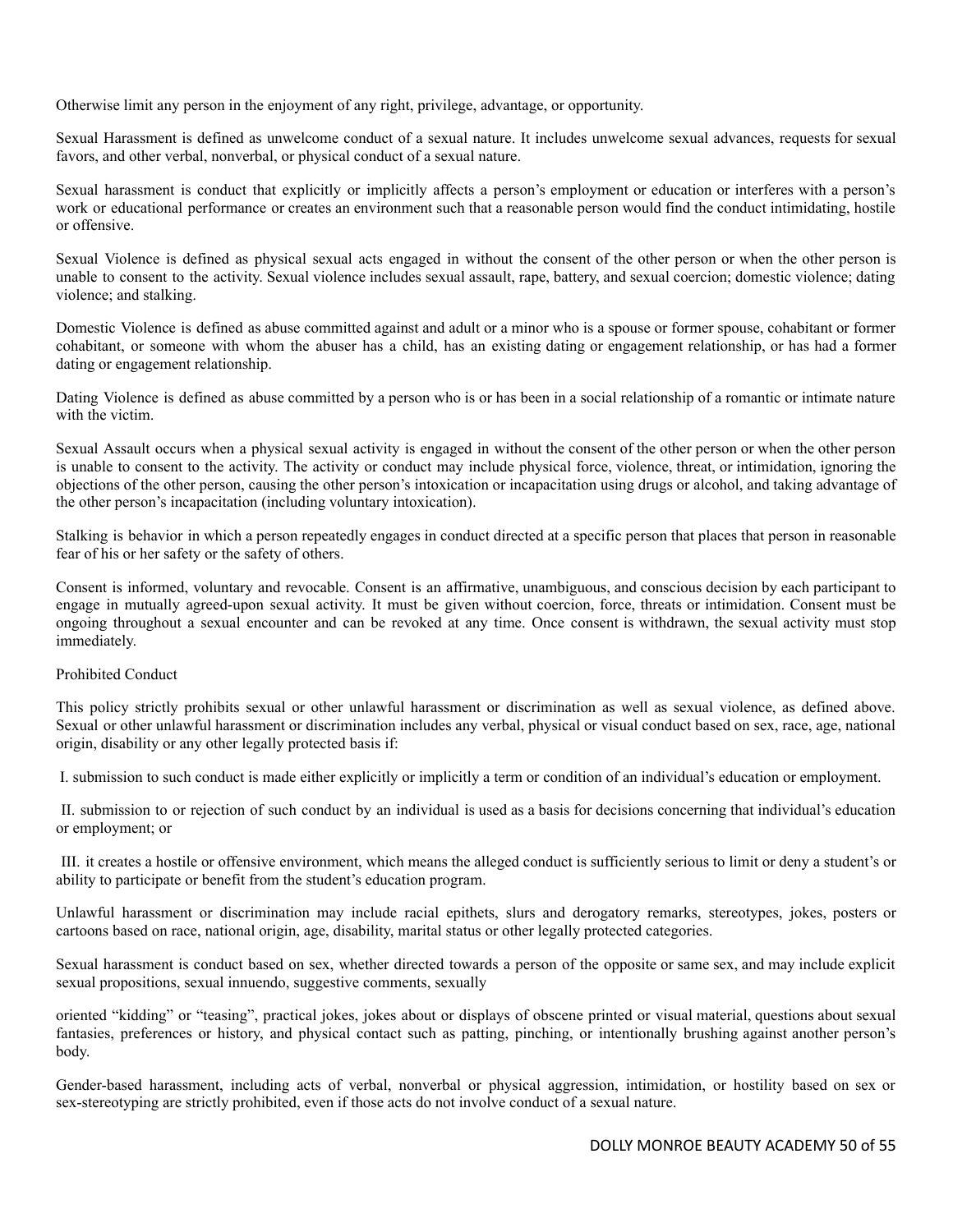Otherwise limit any person in the enjoyment of any right, privilege, advantage, or opportunity.

Sexual Harassment is defined as unwelcome conduct of a sexual nature. It includes unwelcome sexual advances, requests for sexual favors, and other verbal, nonverbal, or physical conduct of a sexual nature.

Sexual harassment is conduct that explicitly or implicitly affects a person's employment or education or interferes with a person's work or educational performance or creates an environment such that a reasonable person would find the conduct intimidating, hostile or offensive.

Sexual Violence is defined as physical sexual acts engaged in without the consent of the other person or when the other person is unable to consent to the activity. Sexual violence includes sexual assault, rape, battery, and sexual coercion; domestic violence; dating violence; and stalking.

Domestic Violence is defined as abuse committed against and adult or a minor who is a spouse or former spouse, cohabitant or former cohabitant, or someone with whom the abuser has a child, has an existing dating or engagement relationship, or has had a former dating or engagement relationship.

Dating Violence is defined as abuse committed by a person who is or has been in a social relationship of a romantic or intimate nature with the victim.

Sexual Assault occurs when a physical sexual activity is engaged in without the consent of the other person or when the other person is unable to consent to the activity. The activity or conduct may include physical force, violence, threat, or intimidation, ignoring the objections of the other person, causing the other person's intoxication or incapacitation using drugs or alcohol, and taking advantage of the other person's incapacitation (including voluntary intoxication).

Stalking is behavior in which a person repeatedly engages in conduct directed at a specific person that places that person in reasonable fear of his or her safety or the safety of others.

Consent is informed, voluntary and revocable. Consent is an affirmative, unambiguous, and conscious decision by each participant to engage in mutually agreed-upon sexual activity. It must be given without coercion, force, threats or intimidation. Consent must be ongoing throughout a sexual encounter and can be revoked at any time. Once consent is withdrawn, the sexual activity must stop immediately.

# Prohibited Conduct

This policy strictly prohibits sexual or other unlawful harassment or discrimination as well as sexual violence, as defined above. Sexual or other unlawful harassment or discrimination includes any verbal, physical or visual conduct based on sex, race, age, national origin, disability or any other legally protected basis if:

I. submission to such conduct is made either explicitly or implicitly a term or condition of an individual's education or employment.

II. submission to or rejection of such conduct by an individual is used as a basis for decisions concerning that individual's education or employment; or

III. it creates a hostile or offensive environment, which means the alleged conduct is sufficiently serious to limit or deny a student's or ability to participate or benefit from the student's education program.

Unlawful harassment or discrimination may include racial epithets, slurs and derogatory remarks, stereotypes, jokes, posters or cartoons based on race, national origin, age, disability, marital status or other legally protected categories.

Sexual harassment is conduct based on sex, whether directed towards a person of the opposite or same sex, and may include explicit sexual propositions, sexual innuendo, suggestive comments, sexually

oriented "kidding" or "teasing", practical jokes, jokes about or displays of obscene printed or visual material, questions about sexual fantasies, preferences or history, and physical contact such as patting, pinching, or intentionally brushing against another person's body.

Gender-based harassment, including acts of verbal, nonverbal or physical aggression, intimidation, or hostility based on sex or sex-stereotyping are strictly prohibited, even if those acts do not involve conduct of a sexual nature.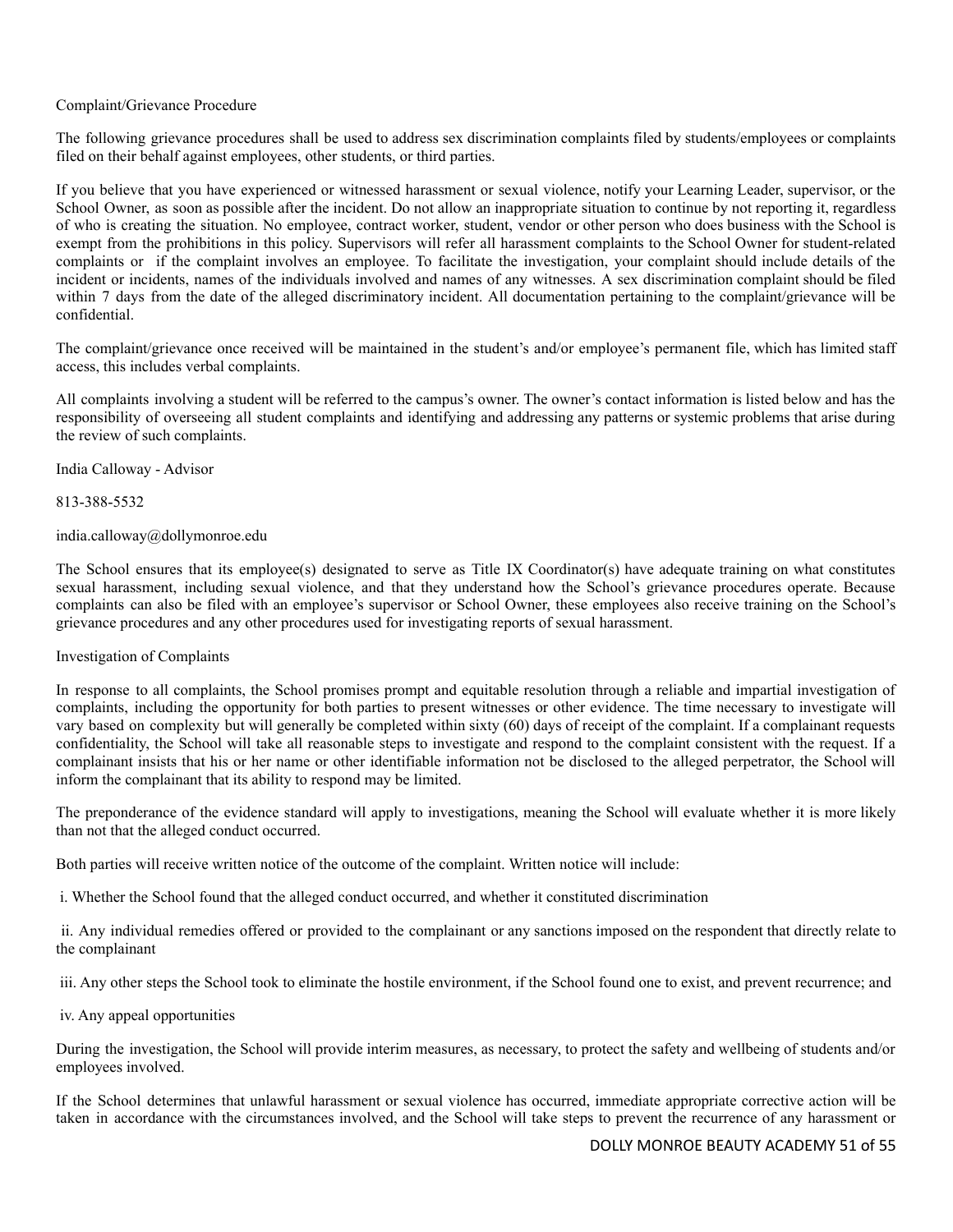## Complaint/Grievance Procedure

The following grievance procedures shall be used to address sex discrimination complaints filed by students/employees or complaints filed on their behalf against employees, other students, or third parties.

If you believe that you have experienced or witnessed harassment or sexual violence, notify your Learning Leader, supervisor, or the School Owner, as soon as possible after the incident. Do not allow an inappropriate situation to continue by not reporting it, regardless of who is creating the situation. No employee, contract worker, student, vendor or other person who does business with the School is exempt from the prohibitions in this policy. Supervisors will refer all harassment complaints to the School Owner for student-related complaints or if the complaint involves an employee. To facilitate the investigation, your complaint should include details of the incident or incidents, names of the individuals involved and names of any witnesses. A sex discrimination complaint should be filed within 7 days from the date of the alleged discriminatory incident. All documentation pertaining to the complaint/grievance will be confidential.

The complaint/grievance once received will be maintained in the student's and/or employee's permanent file, which has limited staff access, this includes verbal complaints.

All complaints involving a student will be referred to the campus's owner. The owner's contact information is listed below and has the responsibility of overseeing all student complaints and identifying and addressing any patterns or systemic problems that arise during the review of such complaints.

India Calloway - Advisor

813-388-5532

#### india.calloway@dollymonroe.edu

The School ensures that its employee(s) designated to serve as Title IX Coordinator(s) have adequate training on what constitutes sexual harassment, including sexual violence, and that they understand how the School's grievance procedures operate. Because complaints can also be filed with an employee's supervisor or School Owner, these employees also receive training on the School's grievance procedures and any other procedures used for investigating reports of sexual harassment.

#### Investigation of Complaints

In response to all complaints, the School promises prompt and equitable resolution through a reliable and impartial investigation of complaints, including the opportunity for both parties to present witnesses or other evidence. The time necessary to investigate will vary based on complexity but will generally be completed within sixty (60) days of receipt of the complaint. If a complainant requests confidentiality, the School will take all reasonable steps to investigate and respond to the complaint consistent with the request. If a complainant insists that his or her name or other identifiable information not be disclosed to the alleged perpetrator, the School will inform the complainant that its ability to respond may be limited.

The preponderance of the evidence standard will apply to investigations, meaning the School will evaluate whether it is more likely than not that the alleged conduct occurred.

Both parties will receive written notice of the outcome of the complaint. Written notice will include:

i. Whether the School found that the alleged conduct occurred, and whether it constituted discrimination

ii. Any individual remedies offered or provided to the complainant or any sanctions imposed on the respondent that directly relate to the complainant

iii. Any other steps the School took to eliminate the hostile environment, if the School found one to exist, and prevent recurrence; and

#### iv. Any appeal opportunities

During the investigation, the School will provide interim measures, as necessary, to protect the safety and wellbeing of students and/or employees involved.

If the School determines that unlawful harassment or sexual violence has occurred, immediate appropriate corrective action will be taken in accordance with the circumstances involved, and the School will take steps to prevent the recurrence of any harassment or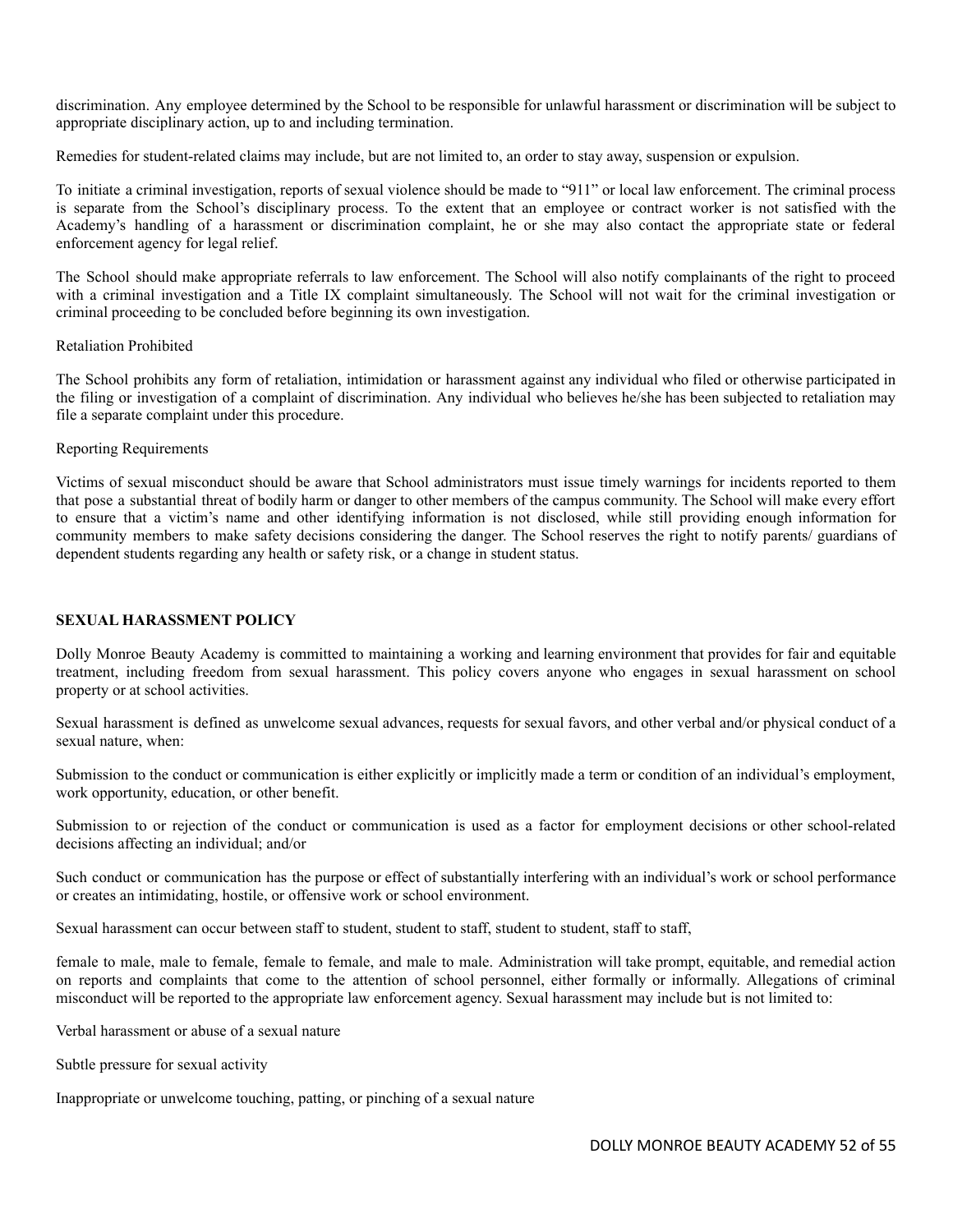discrimination. Any employee determined by the School to be responsible for unlawful harassment or discrimination will be subject to appropriate disciplinary action, up to and including termination.

Remedies for student-related claims may include, but are not limited to, an order to stay away, suspension or expulsion.

To initiate a criminal investigation, reports of sexual violence should be made to "911" or local law enforcement. The criminal process is separate from the School's disciplinary process. To the extent that an employee or contract worker is not satisfied with the Academy's handling of a harassment or discrimination complaint, he or she may also contact the appropriate state or federal enforcement agency for legal relief.

The School should make appropriate referrals to law enforcement. The School will also notify complainants of the right to proceed with a criminal investigation and a Title IX complaint simultaneously. The School will not wait for the criminal investigation or criminal proceeding to be concluded before beginning its own investigation.

# Retaliation Prohibited

The School prohibits any form of retaliation, intimidation or harassment against any individual who filed or otherwise participated in the filing or investigation of a complaint of discrimination. Any individual who believes he/she has been subjected to retaliation may file a separate complaint under this procedure.

# Reporting Requirements

Victims of sexual misconduct should be aware that School administrators must issue timely warnings for incidents reported to them that pose a substantial threat of bodily harm or danger to other members of the campus community. The School will make every effort to ensure that a victim's name and other identifying information is not disclosed, while still providing enough information for community members to make safety decisions considering the danger. The School reserves the right to notify parents/ guardians of dependent students regarding any health or safety risk, or a change in student status.

# **SEXUAL HARASSMENT POLICY**

Dolly Monroe Beauty Academy is committed to maintaining a working and learning environment that provides for fair and equitable treatment, including freedom from sexual harassment. This policy covers anyone who engages in sexual harassment on school property or at school activities.

Sexual harassment is defined as unwelcome sexual advances, requests for sexual favors, and other verbal and/or physical conduct of a sexual nature, when:

Submission to the conduct or communication is either explicitly or implicitly made a term or condition of an individual's employment, work opportunity, education, or other benefit.

Submission to or rejection of the conduct or communication is used as a factor for employment decisions or other school-related decisions affecting an individual; and/or

Such conduct or communication has the purpose or effect of substantially interfering with an individual's work or school performance or creates an intimidating, hostile, or offensive work or school environment.

Sexual harassment can occur between staff to student, student to staff, student to student, staff to staff,

female to male, male to female, female to female, and male to male. Administration will take prompt, equitable, and remedial action on reports and complaints that come to the attention of school personnel, either formally or informally. Allegations of criminal misconduct will be reported to the appropriate law enforcement agency. Sexual harassment may include but is not limited to:

Verbal harassment or abuse of a sexual nature

Subtle pressure for sexual activity

Inappropriate or unwelcome touching, patting, or pinching of a sexual nature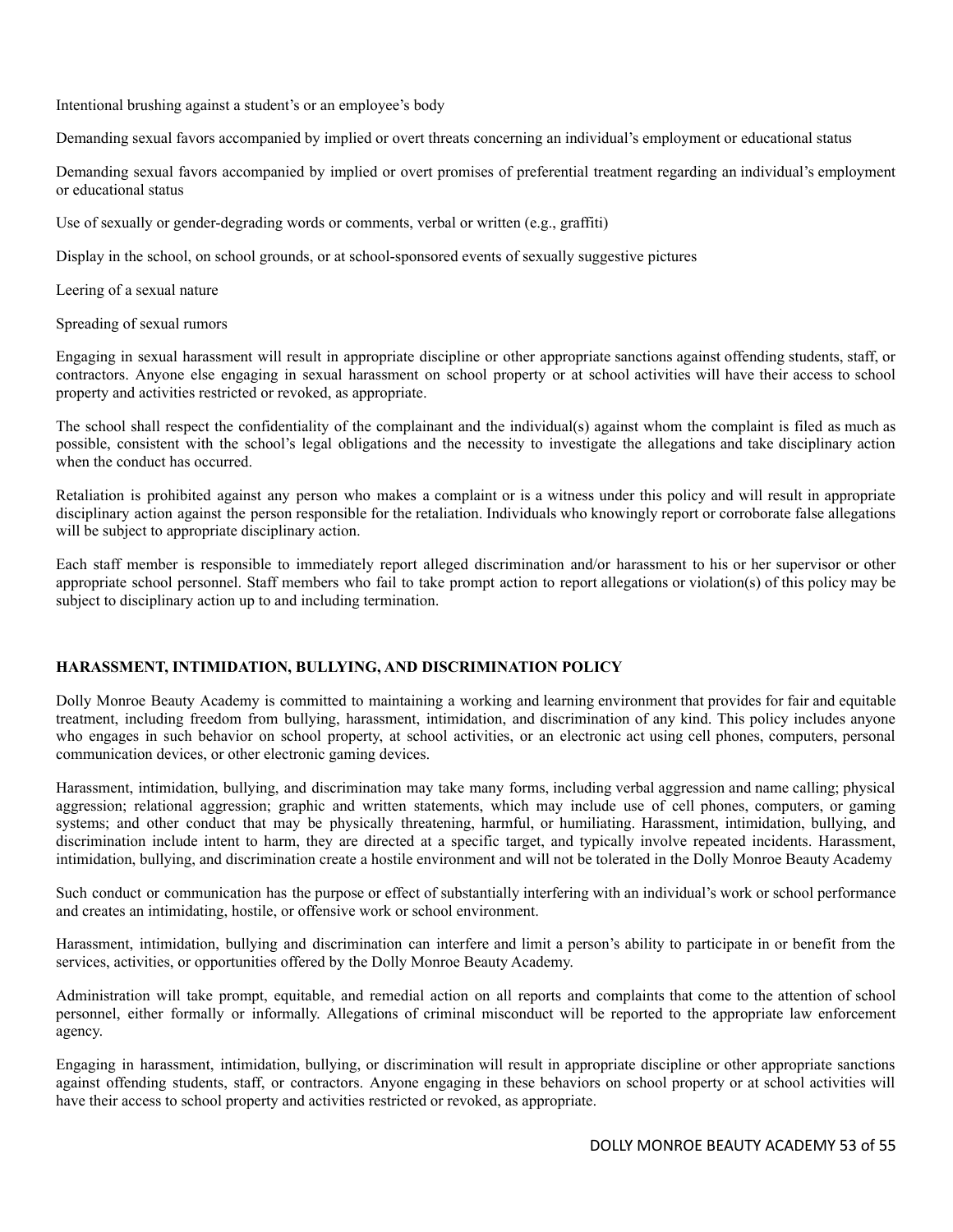Intentional brushing against a student's or an employee's body

Demanding sexual favors accompanied by implied or overt threats concerning an individual's employment or educational status

Demanding sexual favors accompanied by implied or overt promises of preferential treatment regarding an individual's employment or educational status

Use of sexually or gender-degrading words or comments, verbal or written (e.g., graffiti)

Display in the school, on school grounds, or at school-sponsored events of sexually suggestive pictures

Leering of a sexual nature

Spreading of sexual rumors

Engaging in sexual harassment will result in appropriate discipline or other appropriate sanctions against offending students, staff, or contractors. Anyone else engaging in sexual harassment on school property or at school activities will have their access to school property and activities restricted or revoked, as appropriate.

The school shall respect the confidentiality of the complainant and the individual(s) against whom the complaint is filed as much as possible, consistent with the school's legal obligations and the necessity to investigate the allegations and take disciplinary action when the conduct has occurred.

Retaliation is prohibited against any person who makes a complaint or is a witness under this policy and will result in appropriate disciplinary action against the person responsible for the retaliation. Individuals who knowingly report or corroborate false allegations will be subject to appropriate disciplinary action.

Each staff member is responsible to immediately report alleged discrimination and/or harassment to his or her supervisor or other appropriate school personnel. Staff members who fail to take prompt action to report allegations or violation(s) of this policy may be subject to disciplinary action up to and including termination.

# **HARASSMENT, INTIMIDATION, BULLYING, AND DISCRIMINATION POLICY**

Dolly Monroe Beauty Academy is committed to maintaining a working and learning environment that provides for fair and equitable treatment, including freedom from bullying, harassment, intimidation, and discrimination of any kind. This policy includes anyone who engages in such behavior on school property, at school activities, or an electronic act using cell phones, computers, personal communication devices, or other electronic gaming devices.

Harassment, intimidation, bullying, and discrimination may take many forms, including verbal aggression and name calling; physical aggression; relational aggression; graphic and written statements, which may include use of cell phones, computers, or gaming systems; and other conduct that may be physically threatening, harmful, or humiliating. Harassment, intimidation, bullying, and discrimination include intent to harm, they are directed at a specific target, and typically involve repeated incidents. Harassment, intimidation, bullying, and discrimination create a hostile environment and will not be tolerated in the Dolly Monroe Beauty Academy

Such conduct or communication has the purpose or effect of substantially interfering with an individual's work or school performance and creates an intimidating, hostile, or offensive work or school environment.

Harassment, intimidation, bullying and discrimination can interfere and limit a person's ability to participate in or benefit from the services, activities, or opportunities offered by the Dolly Monroe Beauty Academy.

Administration will take prompt, equitable, and remedial action on all reports and complaints that come to the attention of school personnel, either formally or informally. Allegations of criminal misconduct will be reported to the appropriate law enforcement agency.

Engaging in harassment, intimidation, bullying, or discrimination will result in appropriate discipline or other appropriate sanctions against offending students, staff, or contractors. Anyone engaging in these behaviors on school property or at school activities will have their access to school property and activities restricted or revoked, as appropriate.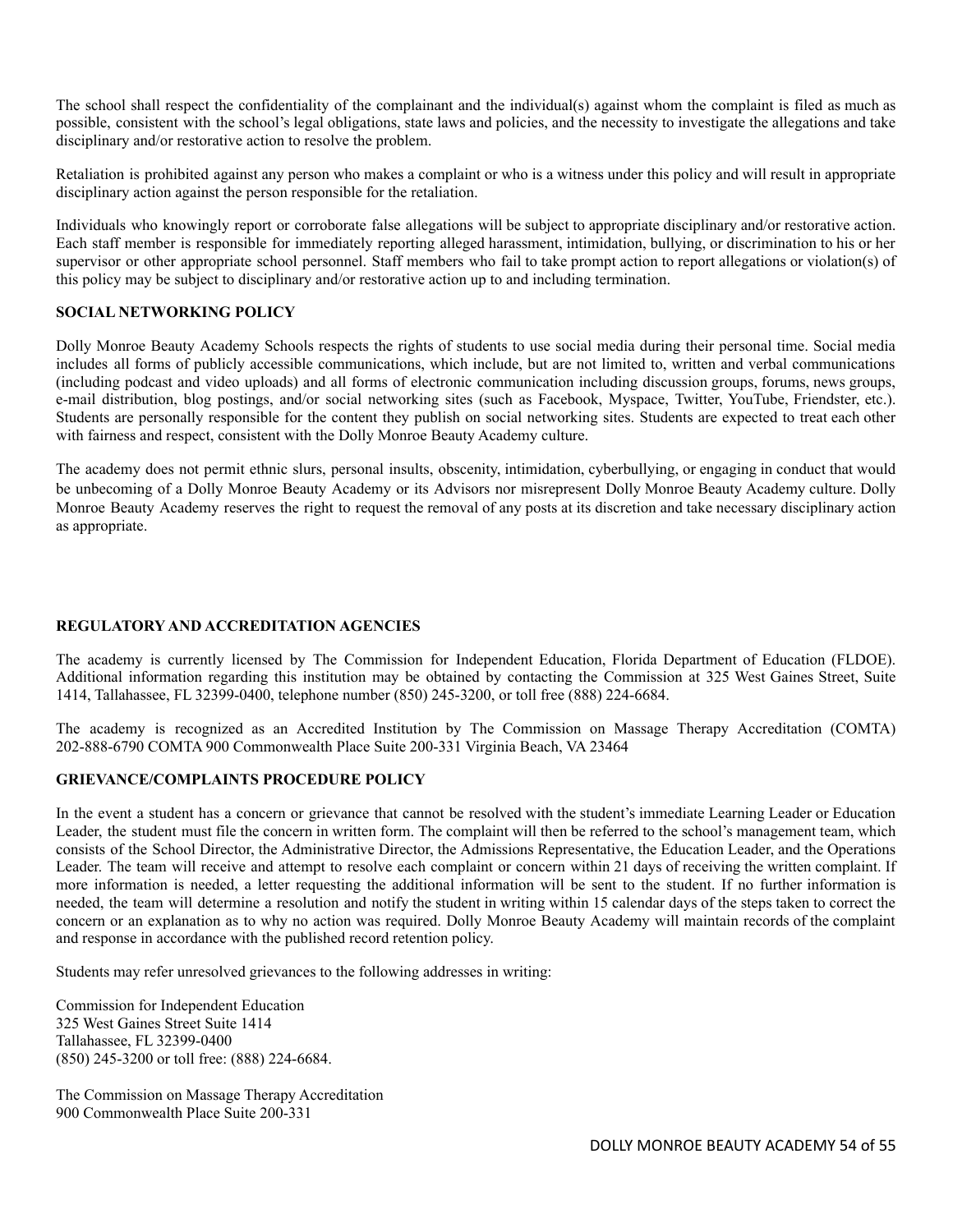The school shall respect the confidentiality of the complainant and the individual(s) against whom the complaint is filed as much as possible, consistent with the school's legal obligations, state laws and policies, and the necessity to investigate the allegations and take disciplinary and/or restorative action to resolve the problem.

Retaliation is prohibited against any person who makes a complaint or who is a witness under this policy and will result in appropriate disciplinary action against the person responsible for the retaliation.

Individuals who knowingly report or corroborate false allegations will be subject to appropriate disciplinary and/or restorative action. Each staff member is responsible for immediately reporting alleged harassment, intimidation, bullying, or discrimination to his or her supervisor or other appropriate school personnel. Staff members who fail to take prompt action to report allegations or violation(s) of this policy may be subject to disciplinary and/or restorative action up to and including termination.

# **SOCIAL NETWORKING POLICY**

Dolly Monroe Beauty Academy Schools respects the rights of students to use social media during their personal time. Social media includes all forms of publicly accessible communications, which include, but are not limited to, written and verbal communications (including podcast and video uploads) and all forms of electronic communication including discussion groups, forums, news groups, e-mail distribution, blog postings, and/or social networking sites (such as Facebook, Myspace, Twitter, YouTube, Friendster, etc.). Students are personally responsible for the content they publish on social networking sites. Students are expected to treat each other with fairness and respect, consistent with the Dolly Monroe Beauty Academy culture.

The academy does not permit ethnic slurs, personal insults, obscenity, intimidation, cyberbullying, or engaging in conduct that would be unbecoming of a Dolly Monroe Beauty Academy or its Advisors nor misrepresent Dolly Monroe Beauty Academy culture. Dolly Monroe Beauty Academy reserves the right to request the removal of any posts at its discretion and take necessary disciplinary action as appropriate.

# **REGULATORY AND ACCREDITATION AGENCIES**

The academy is currently licensed by The Commission for Independent Education, Florida Department of Education (FLDOE). Additional information regarding this institution may be obtained by contacting the Commission at 325 West Gaines Street, Suite 1414, Tallahassee, FL 32399-0400, telephone number (850) 245-3200, or toll free (888) 224-6684.

The academy is recognized as an Accredited Institution by The Commission on Massage Therapy Accreditation (COMTA) 202-888-6790 COMTA 900 Commonwealth Place Suite 200-331 Virginia Beach, VA 23464

# **GRIEVANCE/COMPLAINTS PROCEDURE POLICY**

In the event a student has a concern or grievance that cannot be resolved with the student's immediate Learning Leader or Education Leader, the student must file the concern in written form. The complaint will then be referred to the school's management team, which consists of the School Director, the Administrative Director, the Admissions Representative, the Education Leader, and the Operations Leader. The team will receive and attempt to resolve each complaint or concern within 21 days of receiving the written complaint. If more information is needed, a letter requesting the additional information will be sent to the student. If no further information is needed, the team will determine a resolution and notify the student in writing within 15 calendar days of the steps taken to correct the concern or an explanation as to why no action was required. Dolly Monroe Beauty Academy will maintain records of the complaint and response in accordance with the published record retention policy.

Students may refer unresolved grievances to the following addresses in writing:

Commission for Independent Education 325 West Gaines Street Suite 1414 Tallahassee, FL 32399-0400 (850) 245-3200 or toll free: (888) 224-6684.

The Commission on Massage Therapy Accreditation 900 Commonwealth Place Suite 200-331